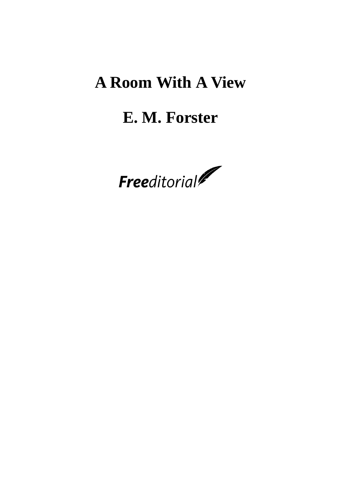# **A Room With A View**

## **E. M. Forster**

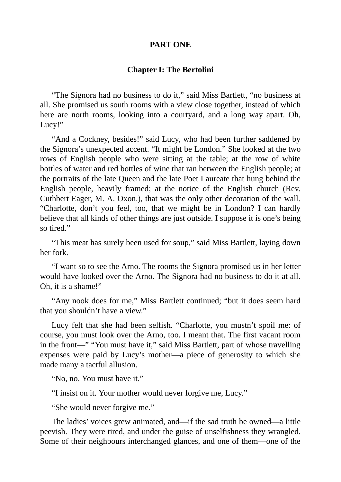#### **PART ONE**

#### **Chapter I: The Bertolini**

"The Signora had no business to do it," said Miss Bartlett, "no business at all. She promised us south rooms with a view close together, instead of which here are north rooms, looking into a courtyard, and a long way apart. Oh, Lucy!"

"And a Cockney, besides!" said Lucy, who had been further saddened by the Signora's unexpected accent. "It might be London." She looked at the two rows of English people who were sitting at the table; at the row of white bottles of water and red bottles of wine that ran between the English people; at the portraits of the late Queen and the late Poet Laureate that hung behind the English people, heavily framed; at the notice of the English church (Rev. Cuthbert Eager, M. A. Oxon.), that was the only other decoration of the wall. "Charlotte, don't you feel, too, that we might be in London? I can hardly believe that all kinds of other things are just outside. I suppose it is one's being so tired."

"This meat has surely been used for soup," said Miss Bartlett, laying down her fork.

"I want so to see the Arno. The rooms the Signora promised us in her letter would have looked over the Arno. The Signora had no business to do it at all. Oh, it is a shame!"

"Any nook does for me," Miss Bartlett continued; "but it does seem hard that you shouldn't have a view."

Lucy felt that she had been selfish. "Charlotte, you mustn't spoil me: of course, you must look over the Arno, too. I meant that. The first vacant room in the front—" "You must have it," said Miss Bartlett, part of whose travelling expenses were paid by Lucy's mother—a piece of generosity to which she made many a tactful allusion.

"No, no. You must have it."

"I insist on it. Your mother would never forgive me, Lucy."

"She would never forgive me."

The ladies' voices grew animated, and—if the sad truth be owned—a little peevish. They were tired, and under the guise of unselfishness they wrangled. Some of their neighbours interchanged glances, and one of them—one of the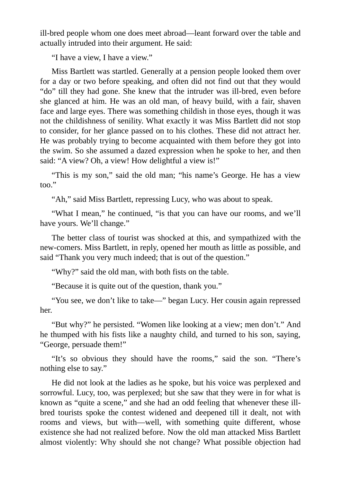ill-bred people whom one does meet abroad—leant forward over the table and actually intruded into their argument. He said:

"I have a view, I have a view."

Miss Bartlett was startled. Generally at a pension people looked them over for a day or two before speaking, and often did not find out that they would "do" till they had gone. She knew that the intruder was ill-bred, even before she glanced at him. He was an old man, of heavy build, with a fair, shaven face and large eyes. There was something childish in those eyes, though it was not the childishness of senility. What exactly it was Miss Bartlett did not stop to consider, for her glance passed on to his clothes. These did not attract her. He was probably trying to become acquainted with them before they got into the swim. So she assumed a dazed expression when he spoke to her, and then said: "A view? Oh, a view! How delightful a view is!"

"This is my son," said the old man; "his name's George. He has a view too."

"Ah," said Miss Bartlett, repressing Lucy, who was about to speak.

"What I mean," he continued, "is that you can have our rooms, and we'll have yours. We'll change."

The better class of tourist was shocked at this, and sympathized with the new-comers. Miss Bartlett, in reply, opened her mouth as little as possible, and said "Thank you very much indeed; that is out of the question."

"Why?" said the old man, with both fists on the table.

"Because it is quite out of the question, thank you."

"You see, we don't like to take—" began Lucy. Her cousin again repressed her.

"But why?" he persisted. "Women like looking at a view; men don't." And he thumped with his fists like a naughty child, and turned to his son, saying, "George, persuade them!"

"It's so obvious they should have the rooms," said the son. "There's nothing else to say."

He did not look at the ladies as he spoke, but his voice was perplexed and sorrowful. Lucy, too, was perplexed; but she saw that they were in for what is known as "quite a scene," and she had an odd feeling that whenever these illbred tourists spoke the contest widened and deepened till it dealt, not with rooms and views, but with—well, with something quite different, whose existence she had not realized before. Now the old man attacked Miss Bartlett almost violently: Why should she not change? What possible objection had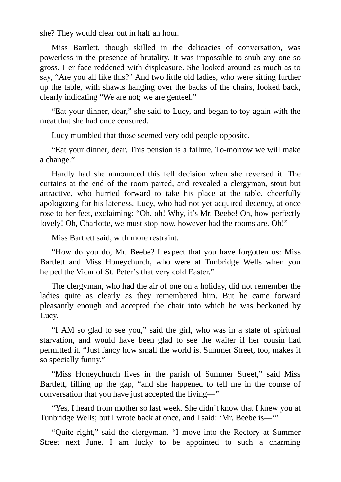she? They would clear out in half an hour.

Miss Bartlett, though skilled in the delicacies of conversation, was powerless in the presence of brutality. It was impossible to snub any one so gross. Her face reddened with displeasure. She looked around as much as to say, "Are you all like this?" And two little old ladies, who were sitting further up the table, with shawls hanging over the backs of the chairs, looked back, clearly indicating "We are not; we are genteel."

"Eat your dinner, dear," she said to Lucy, and began to toy again with the meat that she had once censured.

Lucy mumbled that those seemed very odd people opposite.

"Eat your dinner, dear. This pension is a failure. To-morrow we will make a change."

Hardly had she announced this fell decision when she reversed it. The curtains at the end of the room parted, and revealed a clergyman, stout but attractive, who hurried forward to take his place at the table, cheerfully apologizing for his lateness. Lucy, who had not yet acquired decency, at once rose to her feet, exclaiming: "Oh, oh! Why, it's Mr. Beebe! Oh, how perfectly lovely! Oh, Charlotte, we must stop now, however bad the rooms are. Oh!"

Miss Bartlett said, with more restraint:

"How do you do, Mr. Beebe? I expect that you have forgotten us: Miss Bartlett and Miss Honeychurch, who were at Tunbridge Wells when you helped the Vicar of St. Peter's that very cold Easter."

The clergyman, who had the air of one on a holiday, did not remember the ladies quite as clearly as they remembered him. But he came forward pleasantly enough and accepted the chair into which he was beckoned by Lucy.

"I AM so glad to see you," said the girl, who was in a state of spiritual starvation, and would have been glad to see the waiter if her cousin had permitted it. "Just fancy how small the world is. Summer Street, too, makes it so specially funny."

"Miss Honeychurch lives in the parish of Summer Street," said Miss Bartlett, filling up the gap, "and she happened to tell me in the course of conversation that you have just accepted the living—"

"Yes, I heard from mother so last week. She didn't know that I knew you at Tunbridge Wells; but I wrote back at once, and I said: 'Mr. Beebe is—'"

"Quite right," said the clergyman. "I move into the Rectory at Summer Street next June. I am lucky to be appointed to such a charming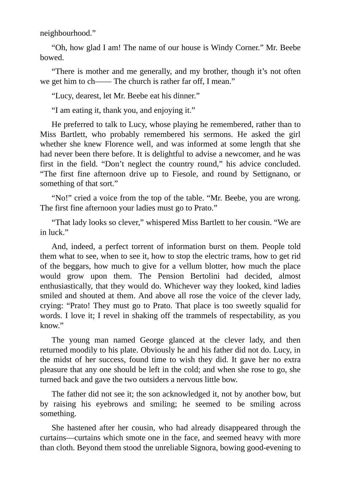neighbourhood."

"Oh, how glad I am! The name of our house is Windy Corner." Mr. Beebe bowed.

"There is mother and me generally, and my brother, though it's not often we get him to ch—— The church is rather far off, I mean."

"Lucy, dearest, let Mr. Beebe eat his dinner."

"I am eating it, thank you, and enjoying it."

He preferred to talk to Lucy, whose playing he remembered, rather than to Miss Bartlett, who probably remembered his sermons. He asked the girl whether she knew Florence well, and was informed at some length that she had never been there before. It is delightful to advise a newcomer, and he was first in the field. "Don't neglect the country round," his advice concluded. "The first fine afternoon drive up to Fiesole, and round by Settignano, or something of that sort."

"No!" cried a voice from the top of the table. "Mr. Beebe, you are wrong. The first fine afternoon your ladies must go to Prato."

"That lady looks so clever," whispered Miss Bartlett to her cousin. "We are in luck."

And, indeed, a perfect torrent of information burst on them. People told them what to see, when to see it, how to stop the electric trams, how to get rid of the beggars, how much to give for a vellum blotter, how much the place would grow upon them. The Pension Bertolini had decided, almost enthusiastically, that they would do. Whichever way they looked, kind ladies smiled and shouted at them. And above all rose the voice of the clever lady, crying: "Prato! They must go to Prato. That place is too sweetly squalid for words. I love it; I revel in shaking off the trammels of respectability, as you know."

The young man named George glanced at the clever lady, and then returned moodily to his plate. Obviously he and his father did not do. Lucy, in the midst of her success, found time to wish they did. It gave her no extra pleasure that any one should be left in the cold; and when she rose to go, she turned back and gave the two outsiders a nervous little bow.

The father did not see it; the son acknowledged it, not by another bow, but by raising his eyebrows and smiling; he seemed to be smiling across something.

She hastened after her cousin, who had already disappeared through the curtains—curtains which smote one in the face, and seemed heavy with more than cloth. Beyond them stood the unreliable Signora, bowing good-evening to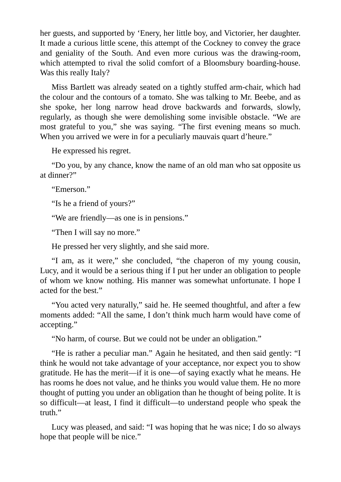her guests, and supported by 'Enery, her little boy, and Victorier, her daughter. It made a curious little scene, this attempt of the Cockney to convey the grace and geniality of the South. And even more curious was the drawing-room, which attempted to rival the solid comfort of a Bloomsbury boarding-house. Was this really Italy?

Miss Bartlett was already seated on a tightly stuffed arm-chair, which had the colour and the contours of a tomato. She was talking to Mr. Beebe, and as she spoke, her long narrow head drove backwards and forwards, slowly, regularly, as though she were demolishing some invisible obstacle. "We are most grateful to you," she was saying. "The first evening means so much. When you arrived we were in for a peculiarly mauvais quart d'heure."

He expressed his regret.

"Do you, by any chance, know the name of an old man who sat opposite us at dinner?"

"Emerson."

"Is he a friend of yours?"

"We are friendly—as one is in pensions."

"Then I will say no more."

He pressed her very slightly, and she said more.

"I am, as it were," she concluded, "the chaperon of my young cousin, Lucy, and it would be a serious thing if I put her under an obligation to people of whom we know nothing. His manner was somewhat unfortunate. I hope I acted for the best."

"You acted very naturally," said he. He seemed thoughtful, and after a few moments added: "All the same, I don't think much harm would have come of accepting."

"No harm, of course. But we could not be under an obligation."

"He is rather a peculiar man." Again he hesitated, and then said gently: "I think he would not take advantage of your acceptance, nor expect you to show gratitude. He has the merit—if it is one—of saying exactly what he means. He has rooms he does not value, and he thinks you would value them. He no more thought of putting you under an obligation than he thought of being polite. It is so difficult—at least, I find it difficult—to understand people who speak the truth."

Lucy was pleased, and said: "I was hoping that he was nice; I do so always hope that people will be nice."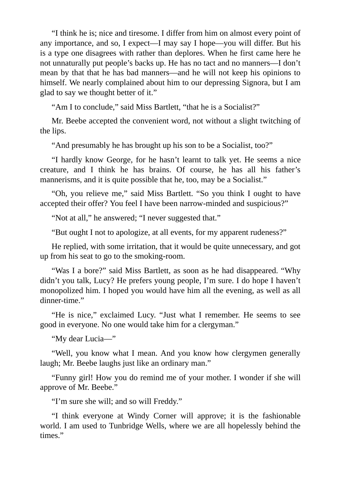"I think he is; nice and tiresome. I differ from him on almost every point of any importance, and so, I expect—I may say I hope—you will differ. But his is a type one disagrees with rather than deplores. When he first came here he not unnaturally put people's backs up. He has no tact and no manners—I don't mean by that that he has bad manners—and he will not keep his opinions to himself. We nearly complained about him to our depressing Signora, but I am glad to say we thought better of it."

"Am I to conclude," said Miss Bartlett, "that he is a Socialist?"

Mr. Beebe accepted the convenient word, not without a slight twitching of the lips.

"And presumably he has brought up his son to be a Socialist, too?"

"I hardly know George, for he hasn't learnt to talk yet. He seems a nice creature, and I think he has brains. Of course, he has all his father's mannerisms, and it is quite possible that he, too, may be a Socialist."

"Oh, you relieve me," said Miss Bartlett. "So you think I ought to have accepted their offer? You feel I have been narrow-minded and suspicious?"

"Not at all," he answered; "I never suggested that."

"But ought I not to apologize, at all events, for my apparent rudeness?"

He replied, with some irritation, that it would be quite unnecessary, and got up from his seat to go to the smoking-room.

"Was I a bore?" said Miss Bartlett, as soon as he had disappeared. "Why didn't you talk, Lucy? He prefers young people, I'm sure. I do hope I haven't monopolized him. I hoped you would have him all the evening, as well as all dinner-time."

"He is nice," exclaimed Lucy. "Just what I remember. He seems to see good in everyone. No one would take him for a clergyman."

"My dear Lucia—"

"Well, you know what I mean. And you know how clergymen generally laugh; Mr. Beebe laughs just like an ordinary man."

"Funny girl! How you do remind me of your mother. I wonder if she will approve of Mr. Beebe."

"I'm sure she will; and so will Freddy."

"I think everyone at Windy Corner will approve; it is the fashionable world. I am used to Tunbridge Wells, where we are all hopelessly behind the times."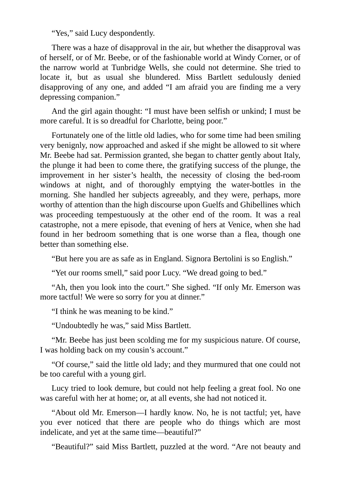"Yes," said Lucy despondently.

There was a haze of disapproval in the air, but whether the disapproval was of herself, or of Mr. Beebe, or of the fashionable world at Windy Corner, or of the narrow world at Tunbridge Wells, she could not determine. She tried to locate it, but as usual she blundered. Miss Bartlett sedulously denied disapproving of any one, and added "I am afraid you are finding me a very depressing companion."

And the girl again thought: "I must have been selfish or unkind; I must be more careful. It is so dreadful for Charlotte, being poor."

Fortunately one of the little old ladies, who for some time had been smiling very benignly, now approached and asked if she might be allowed to sit where Mr. Beebe had sat. Permission granted, she began to chatter gently about Italy, the plunge it had been to come there, the gratifying success of the plunge, the improvement in her sister's health, the necessity of closing the bed-room windows at night, and of thoroughly emptying the water-bottles in the morning. She handled her subjects agreeably, and they were, perhaps, more worthy of attention than the high discourse upon Guelfs and Ghibellines which was proceeding tempestuously at the other end of the room. It was a real catastrophe, not a mere episode, that evening of hers at Venice, when she had found in her bedroom something that is one worse than a flea, though one better than something else.

"But here you are as safe as in England. Signora Bertolini is so English."

"Yet our rooms smell," said poor Lucy. "We dread going to bed."

"Ah, then you look into the court." She sighed. "If only Mr. Emerson was more tactful! We were so sorry for you at dinner."

"I think he was meaning to be kind."

"Undoubtedly he was," said Miss Bartlett.

"Mr. Beebe has just been scolding me for my suspicious nature. Of course, I was holding back on my cousin's account."

"Of course," said the little old lady; and they murmured that one could not be too careful with a young girl.

Lucy tried to look demure, but could not help feeling a great fool. No one was careful with her at home; or, at all events, she had not noticed it.

"About old Mr. Emerson—I hardly know. No, he is not tactful; yet, have you ever noticed that there are people who do things which are most indelicate, and yet at the same time—beautiful?"

"Beautiful?" said Miss Bartlett, puzzled at the word. "Are not beauty and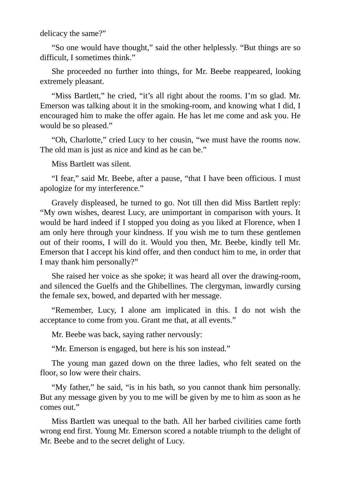delicacy the same?"

"So one would have thought," said the other helplessly. "But things are so difficult, I sometimes think."

She proceeded no further into things, for Mr. Beebe reappeared, looking extremely pleasant.

"Miss Bartlett," he cried, "it's all right about the rooms. I'm so glad. Mr. Emerson was talking about it in the smoking-room, and knowing what I did, I encouraged him to make the offer again. He has let me come and ask you. He would be so pleased."

"Oh, Charlotte," cried Lucy to her cousin, "we must have the rooms now. The old man is just as nice and kind as he can be."

Miss Bartlett was silent.

"I fear," said Mr. Beebe, after a pause, "that I have been officious. I must apologize for my interference."

Gravely displeased, he turned to go. Not till then did Miss Bartlett reply: "My own wishes, dearest Lucy, are unimportant in comparison with yours. It would be hard indeed if I stopped you doing as you liked at Florence, when I am only here through your kindness. If you wish me to turn these gentlemen out of their rooms, I will do it. Would you then, Mr. Beebe, kindly tell Mr. Emerson that I accept his kind offer, and then conduct him to me, in order that I may thank him personally?"

She raised her voice as she spoke; it was heard all over the drawing-room, and silenced the Guelfs and the Ghibellines. The clergyman, inwardly cursing the female sex, bowed, and departed with her message.

"Remember, Lucy, I alone am implicated in this. I do not wish the acceptance to come from you. Grant me that, at all events."

Mr. Beebe was back, saying rather nervously:

"Mr. Emerson is engaged, but here is his son instead."

The young man gazed down on the three ladies, who felt seated on the floor, so low were their chairs.

"My father," he said, "is in his bath, so you cannot thank him personally. But any message given by you to me will be given by me to him as soon as he comes out."

Miss Bartlett was unequal to the bath. All her barbed civilities came forth wrong end first. Young Mr. Emerson scored a notable triumph to the delight of Mr. Beebe and to the secret delight of Lucy.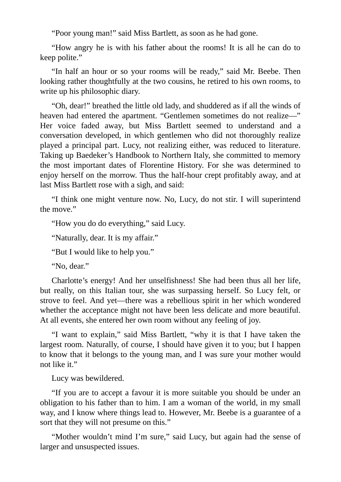"Poor young man!" said Miss Bartlett, as soon as he had gone.

"How angry he is with his father about the rooms! It is all he can do to keep polite."

"In half an hour or so your rooms will be ready," said Mr. Beebe. Then looking rather thoughtfully at the two cousins, he retired to his own rooms, to write up his philosophic diary.

"Oh, dear!" breathed the little old lady, and shuddered as if all the winds of heaven had entered the apartment. "Gentlemen sometimes do not realize—" Her voice faded away, but Miss Bartlett seemed to understand and a conversation developed, in which gentlemen who did not thoroughly realize played a principal part. Lucy, not realizing either, was reduced to literature. Taking up Baedeker's Handbook to Northern Italy, she committed to memory the most important dates of Florentine History. For she was determined to enjoy herself on the morrow. Thus the half-hour crept profitably away, and at last Miss Bartlett rose with a sigh, and said:

"I think one might venture now. No, Lucy, do not stir. I will superintend the move."

"How you do do everything," said Lucy.

"Naturally, dear. It is my affair."

"But I would like to help you."

"No, dear."

Charlotte's energy! And her unselfishness! She had been thus all her life, but really, on this Italian tour, she was surpassing herself. So Lucy felt, or strove to feel. And yet—there was a rebellious spirit in her which wondered whether the acceptance might not have been less delicate and more beautiful. At all events, she entered her own room without any feeling of joy.

"I want to explain," said Miss Bartlett, "why it is that I have taken the largest room. Naturally, of course, I should have given it to you; but I happen to know that it belongs to the young man, and I was sure your mother would not like it."

Lucy was bewildered.

"If you are to accept a favour it is more suitable you should be under an obligation to his father than to him. I am a woman of the world, in my small way, and I know where things lead to. However, Mr. Beebe is a guarantee of a sort that they will not presume on this."

"Mother wouldn't mind I'm sure," said Lucy, but again had the sense of larger and unsuspected issues.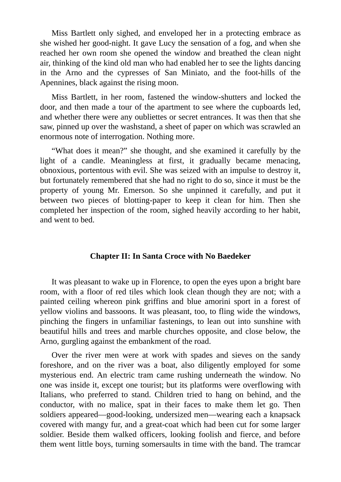Miss Bartlett only sighed, and enveloped her in a protecting embrace as she wished her good-night. It gave Lucy the sensation of a fog, and when she reached her own room she opened the window and breathed the clean night air, thinking of the kind old man who had enabled her to see the lights dancing in the Arno and the cypresses of San Miniato, and the foot-hills of the Apennines, black against the rising moon.

Miss Bartlett, in her room, fastened the window-shutters and locked the door, and then made a tour of the apartment to see where the cupboards led, and whether there were any oubliettes or secret entrances. It was then that she saw, pinned up over the washstand, a sheet of paper on which was scrawled an enormous note of interrogation. Nothing more.

"What does it mean?" she thought, and she examined it carefully by the light of a candle. Meaningless at first, it gradually became menacing, obnoxious, portentous with evil. She was seized with an impulse to destroy it, but fortunately remembered that she had no right to do so, since it must be the property of young Mr. Emerson. So she unpinned it carefully, and put it between two pieces of blotting-paper to keep it clean for him. Then she completed her inspection of the room, sighed heavily according to her habit, and went to bed.

#### **Chapter II: In Santa Croce with No Baedeker**

It was pleasant to wake up in Florence, to open the eyes upon a bright bare room, with a floor of red tiles which look clean though they are not; with a painted ceiling whereon pink griffins and blue amorini sport in a forest of yellow violins and bassoons. It was pleasant, too, to fling wide the windows, pinching the fingers in unfamiliar fastenings, to lean out into sunshine with beautiful hills and trees and marble churches opposite, and close below, the Arno, gurgling against the embankment of the road.

Over the river men were at work with spades and sieves on the sandy foreshore, and on the river was a boat, also diligently employed for some mysterious end. An electric tram came rushing underneath the window. No one was inside it, except one tourist; but its platforms were overflowing with Italians, who preferred to stand. Children tried to hang on behind, and the conductor, with no malice, spat in their faces to make them let go. Then soldiers appeared—good-looking, undersized men—wearing each a knapsack covered with mangy fur, and a great-coat which had been cut for some larger soldier. Beside them walked officers, looking foolish and fierce, and before them went little boys, turning somersaults in time with the band. The tramcar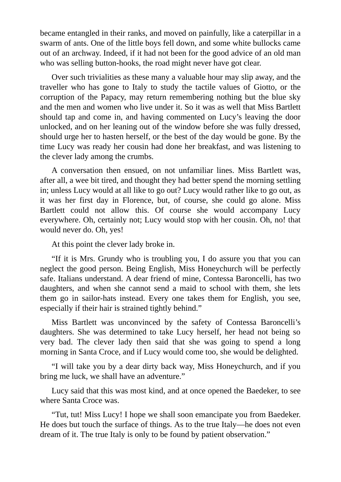became entangled in their ranks, and moved on painfully, like a caterpillar in a swarm of ants. One of the little boys fell down, and some white bullocks came out of an archway. Indeed, if it had not been for the good advice of an old man who was selling button-hooks, the road might never have got clear.

Over such trivialities as these many a valuable hour may slip away, and the traveller who has gone to Italy to study the tactile values of Giotto, or the corruption of the Papacy, may return remembering nothing but the blue sky and the men and women who live under it. So it was as well that Miss Bartlett should tap and come in, and having commented on Lucy's leaving the door unlocked, and on her leaning out of the window before she was fully dressed, should urge her to hasten herself, or the best of the day would be gone. By the time Lucy was ready her cousin had done her breakfast, and was listening to the clever lady among the crumbs.

A conversation then ensued, on not unfamiliar lines. Miss Bartlett was, after all, a wee bit tired, and thought they had better spend the morning settling in; unless Lucy would at all like to go out? Lucy would rather like to go out, as it was her first day in Florence, but, of course, she could go alone. Miss Bartlett could not allow this. Of course she would accompany Lucy everywhere. Oh, certainly not; Lucy would stop with her cousin. Oh, no! that would never do. Oh, yes!

At this point the clever lady broke in.

"If it is Mrs. Grundy who is troubling you, I do assure you that you can neglect the good person. Being English, Miss Honeychurch will be perfectly safe. Italians understand. A dear friend of mine, Contessa Baroncelli, has two daughters, and when she cannot send a maid to school with them, she lets them go in sailor-hats instead. Every one takes them for English, you see, especially if their hair is strained tightly behind."

Miss Bartlett was unconvinced by the safety of Contessa Baroncelli's daughters. She was determined to take Lucy herself, her head not being so very bad. The clever lady then said that she was going to spend a long morning in Santa Croce, and if Lucy would come too, she would be delighted.

"I will take you by a dear dirty back way, Miss Honeychurch, and if you bring me luck, we shall have an adventure."

Lucy said that this was most kind, and at once opened the Baedeker, to see where Santa Croce was.

"Tut, tut! Miss Lucy! I hope we shall soon emancipate you from Baedeker. He does but touch the surface of things. As to the true Italy—he does not even dream of it. The true Italy is only to be found by patient observation."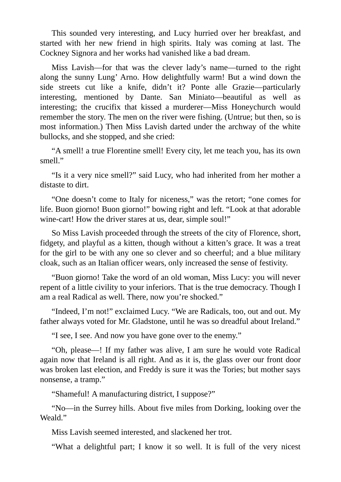This sounded very interesting, and Lucy hurried over her breakfast, and started with her new friend in high spirits. Italy was coming at last. The Cockney Signora and her works had vanished like a bad dream.

Miss Lavish—for that was the clever lady's name—turned to the right along the sunny Lung' Arno. How delightfully warm! But a wind down the side streets cut like a knife, didn't it? Ponte alle Grazie—particularly interesting, mentioned by Dante. San Miniato—beautiful as well as interesting; the crucifix that kissed a murderer—Miss Honeychurch would remember the story. The men on the river were fishing. (Untrue; but then, so is most information.) Then Miss Lavish darted under the archway of the white bullocks, and she stopped, and she cried:

"A smell! a true Florentine smell! Every city, let me teach you, has its own smell."

"Is it a very nice smell?" said Lucy, who had inherited from her mother a distaste to dirt.

"One doesn't come to Italy for niceness," was the retort; "one comes for life. Buon giorno! Buon giorno!" bowing right and left. "Look at that adorable wine-cart! How the driver stares at us, dear, simple soul!"

So Miss Lavish proceeded through the streets of the city of Florence, short, fidgety, and playful as a kitten, though without a kitten's grace. It was a treat for the girl to be with any one so clever and so cheerful; and a blue military cloak, such as an Italian officer wears, only increased the sense of festivity.

"Buon giorno! Take the word of an old woman, Miss Lucy: you will never repent of a little civility to your inferiors. That is the true democracy. Though I am a real Radical as well. There, now you're shocked."

"Indeed, I'm not!" exclaimed Lucy. "We are Radicals, too, out and out. My father always voted for Mr. Gladstone, until he was so dreadful about Ireland."

"I see, I see. And now you have gone over to the enemy."

"Oh, please—! If my father was alive, I am sure he would vote Radical again now that Ireland is all right. And as it is, the glass over our front door was broken last election, and Freddy is sure it was the Tories; but mother says nonsense, a tramp."

"Shameful! A manufacturing district, I suppose?"

"No—in the Surrey hills. About five miles from Dorking, looking over the Weald."

Miss Lavish seemed interested, and slackened her trot.

"What a delightful part; I know it so well. It is full of the very nicest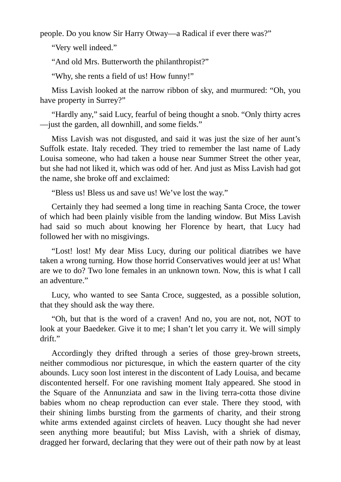people. Do you know Sir Harry Otway—a Radical if ever there was?"

"Very well indeed."

"And old Mrs. Butterworth the philanthropist?"

"Why, she rents a field of us! How funny!"

Miss Lavish looked at the narrow ribbon of sky, and murmured: "Oh, you have property in Surrey?"

"Hardly any," said Lucy, fearful of being thought a snob. "Only thirty acres —just the garden, all downhill, and some fields."

Miss Lavish was not disgusted, and said it was just the size of her aunt's Suffolk estate. Italy receded. They tried to remember the last name of Lady Louisa someone, who had taken a house near Summer Street the other year, but she had not liked it, which was odd of her. And just as Miss Lavish had got the name, she broke off and exclaimed:

"Bless us! Bless us and save us! We've lost the way."

Certainly they had seemed a long time in reaching Santa Croce, the tower of which had been plainly visible from the landing window. But Miss Lavish had said so much about knowing her Florence by heart, that Lucy had followed her with no misgivings.

"Lost! lost! My dear Miss Lucy, during our political diatribes we have taken a wrong turning. How those horrid Conservatives would jeer at us! What are we to do? Two lone females in an unknown town. Now, this is what I call an adventure."

Lucy, who wanted to see Santa Croce, suggested, as a possible solution, that they should ask the way there.

"Oh, but that is the word of a craven! And no, you are not, not, NOT to look at your Baedeker. Give it to me; I shan't let you carry it. We will simply drift."

Accordingly they drifted through a series of those grey-brown streets, neither commodious nor picturesque, in which the eastern quarter of the city abounds. Lucy soon lost interest in the discontent of Lady Louisa, and became discontented herself. For one ravishing moment Italy appeared. She stood in the Square of the Annunziata and saw in the living terra-cotta those divine babies whom no cheap reproduction can ever stale. There they stood, with their shining limbs bursting from the garments of charity, and their strong white arms extended against circlets of heaven. Lucy thought she had never seen anything more beautiful; but Miss Lavish, with a shriek of dismay, dragged her forward, declaring that they were out of their path now by at least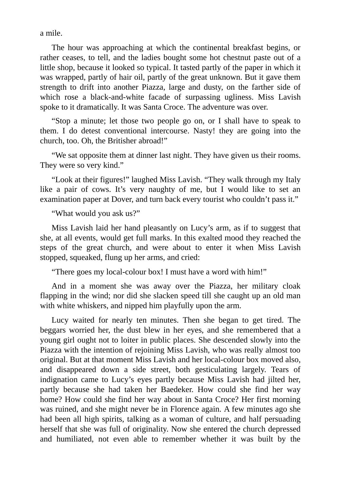a mile.

The hour was approaching at which the continental breakfast begins, or rather ceases, to tell, and the ladies bought some hot chestnut paste out of a little shop, because it looked so typical. It tasted partly of the paper in which it was wrapped, partly of hair oil, partly of the great unknown. But it gave them strength to drift into another Piazza, large and dusty, on the farther side of which rose a black-and-white facade of surpassing ugliness. Miss Lavish spoke to it dramatically. It was Santa Croce. The adventure was over.

"Stop a minute; let those two people go on, or I shall have to speak to them. I do detest conventional intercourse. Nasty! they are going into the church, too. Oh, the Britisher abroad!"

"We sat opposite them at dinner last night. They have given us their rooms. They were so very kind."

"Look at their figures!" laughed Miss Lavish. "They walk through my Italy like a pair of cows. It's very naughty of me, but I would like to set an examination paper at Dover, and turn back every tourist who couldn't pass it."

### "What would you ask us?"

Miss Lavish laid her hand pleasantly on Lucy's arm, as if to suggest that she, at all events, would get full marks. In this exalted mood they reached the steps of the great church, and were about to enter it when Miss Lavish stopped, squeaked, flung up her arms, and cried:

"There goes my local-colour box! I must have a word with him!"

And in a moment she was away over the Piazza, her military cloak flapping in the wind; nor did she slacken speed till she caught up an old man with white whiskers, and nipped him playfully upon the arm.

Lucy waited for nearly ten minutes. Then she began to get tired. The beggars worried her, the dust blew in her eyes, and she remembered that a young girl ought not to loiter in public places. She descended slowly into the Piazza with the intention of rejoining Miss Lavish, who was really almost too original. But at that moment Miss Lavish and her local-colour box moved also, and disappeared down a side street, both gesticulating largely. Tears of indignation came to Lucy's eyes partly because Miss Lavish had jilted her, partly because she had taken her Baedeker. How could she find her way home? How could she find her way about in Santa Croce? Her first morning was ruined, and she might never be in Florence again. A few minutes ago she had been all high spirits, talking as a woman of culture, and half persuading herself that she was full of originality. Now she entered the church depressed and humiliated, not even able to remember whether it was built by the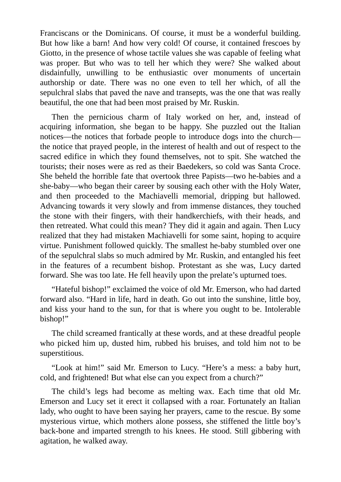Franciscans or the Dominicans. Of course, it must be a wonderful building. But how like a barn! And how very cold! Of course, it contained frescoes by Giotto, in the presence of whose tactile values she was capable of feeling what was proper. But who was to tell her which they were? She walked about disdainfully, unwilling to be enthusiastic over monuments of uncertain authorship or date. There was no one even to tell her which, of all the sepulchral slabs that paved the nave and transepts, was the one that was really beautiful, the one that had been most praised by Mr. Ruskin.

Then the pernicious charm of Italy worked on her, and, instead of acquiring information, she began to be happy. She puzzled out the Italian notices—the notices that forbade people to introduce dogs into the church the notice that prayed people, in the interest of health and out of respect to the sacred edifice in which they found themselves, not to spit. She watched the tourists; their noses were as red as their Baedekers, so cold was Santa Croce. She beheld the horrible fate that overtook three Papists—two he-babies and a she-baby—who began their career by sousing each other with the Holy Water, and then proceeded to the Machiavelli memorial, dripping but hallowed. Advancing towards it very slowly and from immense distances, they touched the stone with their fingers, with their handkerchiefs, with their heads, and then retreated. What could this mean? They did it again and again. Then Lucy realized that they had mistaken Machiavelli for some saint, hoping to acquire virtue. Punishment followed quickly. The smallest he-baby stumbled over one of the sepulchral slabs so much admired by Mr. Ruskin, and entangled his feet in the features of a recumbent bishop. Protestant as she was, Lucy darted forward. She was too late. He fell heavily upon the prelate's upturned toes.

"Hateful bishop!" exclaimed the voice of old Mr. Emerson, who had darted forward also. "Hard in life, hard in death. Go out into the sunshine, little boy, and kiss your hand to the sun, for that is where you ought to be. Intolerable bishop!"

The child screamed frantically at these words, and at these dreadful people who picked him up, dusted him, rubbed his bruises, and told him not to be superstitious.

"Look at him!" said Mr. Emerson to Lucy. "Here's a mess: a baby hurt, cold, and frightened! But what else can you expect from a church?"

The child's legs had become as melting wax. Each time that old Mr. Emerson and Lucy set it erect it collapsed with a roar. Fortunately an Italian lady, who ought to have been saying her prayers, came to the rescue. By some mysterious virtue, which mothers alone possess, she stiffened the little boy's back-bone and imparted strength to his knees. He stood. Still gibbering with agitation, he walked away.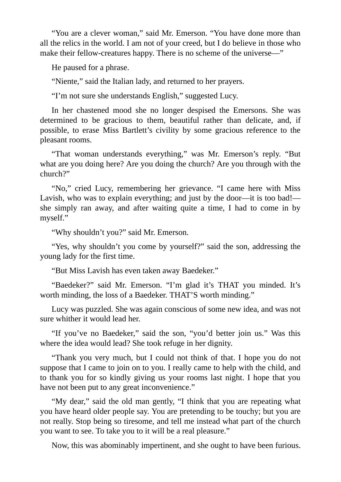"You are a clever woman," said Mr. Emerson. "You have done more than all the relics in the world. I am not of your creed, but I do believe in those who make their fellow-creatures happy. There is no scheme of the universe—"

He paused for a phrase.

"Niente," said the Italian lady, and returned to her prayers.

"I'm not sure she understands English," suggested Lucy.

In her chastened mood she no longer despised the Emersons. She was determined to be gracious to them, beautiful rather than delicate, and, if possible, to erase Miss Bartlett's civility by some gracious reference to the pleasant rooms.

"That woman understands everything," was Mr. Emerson's reply. "But what are you doing here? Are you doing the church? Are you through with the church?"

"No," cried Lucy, remembering her grievance. "I came here with Miss Lavish, who was to explain everything; and just by the door—it is too bad! she simply ran away, and after waiting quite a time, I had to come in by myself."

"Why shouldn't you?" said Mr. Emerson.

"Yes, why shouldn't you come by yourself?" said the son, addressing the young lady for the first time.

"But Miss Lavish has even taken away Baedeker."

"Baedeker?" said Mr. Emerson. "I'm glad it's THAT you minded. It's worth minding, the loss of a Baedeker. THAT'S worth minding."

Lucy was puzzled. She was again conscious of some new idea, and was not sure whither it would lead her.

"If you've no Baedeker," said the son, "you'd better join us." Was this where the idea would lead? She took refuge in her dignity.

"Thank you very much, but I could not think of that. I hope you do not suppose that I came to join on to you. I really came to help with the child, and to thank you for so kindly giving us your rooms last night. I hope that you have not been put to any great inconvenience."

"My dear," said the old man gently, "I think that you are repeating what you have heard older people say. You are pretending to be touchy; but you are not really. Stop being so tiresome, and tell me instead what part of the church you want to see. To take you to it will be a real pleasure."

Now, this was abominably impertinent, and she ought to have been furious.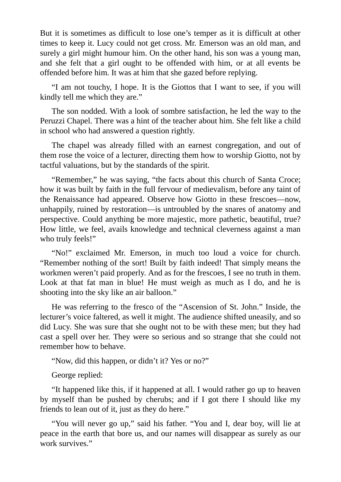But it is sometimes as difficult to lose one's temper as it is difficult at other times to keep it. Lucy could not get cross. Mr. Emerson was an old man, and surely a girl might humour him. On the other hand, his son was a young man, and she felt that a girl ought to be offended with him, or at all events be offended before him. It was at him that she gazed before replying.

"I am not touchy, I hope. It is the Giottos that I want to see, if you will kindly tell me which they are."

The son nodded. With a look of sombre satisfaction, he led the way to the Peruzzi Chapel. There was a hint of the teacher about him. She felt like a child in school who had answered a question rightly.

The chapel was already filled with an earnest congregation, and out of them rose the voice of a lecturer, directing them how to worship Giotto, not by tactful valuations, but by the standards of the spirit.

"Remember," he was saying, "the facts about this church of Santa Croce; how it was built by faith in the full fervour of medievalism, before any taint of the Renaissance had appeared. Observe how Giotto in these frescoes—now, unhappily, ruined by restoration—is untroubled by the snares of anatomy and perspective. Could anything be more majestic, more pathetic, beautiful, true? How little, we feel, avails knowledge and technical cleverness against a man who truly feels!"

"No!" exclaimed Mr. Emerson, in much too loud a voice for church. "Remember nothing of the sort! Built by faith indeed! That simply means the workmen weren't paid properly. And as for the frescoes, I see no truth in them. Look at that fat man in blue! He must weigh as much as I do, and he is shooting into the sky like an air balloon."

He was referring to the fresco of the "Ascension of St. John." Inside, the lecturer's voice faltered, as well it might. The audience shifted uneasily, and so did Lucy. She was sure that she ought not to be with these men; but they had cast a spell over her. They were so serious and so strange that she could not remember how to behave.

"Now, did this happen, or didn't it? Yes or no?"

George replied:

"It happened like this, if it happened at all. I would rather go up to heaven by myself than be pushed by cherubs; and if I got there I should like my friends to lean out of it, just as they do here."

"You will never go up," said his father. "You and I, dear boy, will lie at peace in the earth that bore us, and our names will disappear as surely as our work survives."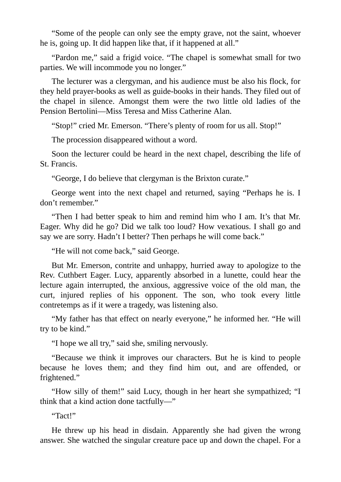"Some of the people can only see the empty grave, not the saint, whoever he is, going up. It did happen like that, if it happened at all."

"Pardon me," said a frigid voice. "The chapel is somewhat small for two parties. We will incommode you no longer."

The lecturer was a clergyman, and his audience must be also his flock, for they held prayer-books as well as guide-books in their hands. They filed out of the chapel in silence. Amongst them were the two little old ladies of the Pension Bertolini—Miss Teresa and Miss Catherine Alan.

"Stop!" cried Mr. Emerson. "There's plenty of room for us all. Stop!"

The procession disappeared without a word.

Soon the lecturer could be heard in the next chapel, describing the life of St. Francis.

"George, I do believe that clergyman is the Brixton curate."

George went into the next chapel and returned, saying "Perhaps he is. I don't remember."

"Then I had better speak to him and remind him who I am. It's that Mr. Eager. Why did he go? Did we talk too loud? How vexatious. I shall go and say we are sorry. Hadn't I better? Then perhaps he will come back."

"He will not come back," said George.

But Mr. Emerson, contrite and unhappy, hurried away to apologize to the Rev. Cuthbert Eager. Lucy, apparently absorbed in a lunette, could hear the lecture again interrupted, the anxious, aggressive voice of the old man, the curt, injured replies of his opponent. The son, who took every little contretemps as if it were a tragedy, was listening also.

"My father has that effect on nearly everyone," he informed her. "He will try to be kind."

"I hope we all try," said she, smiling nervously.

"Because we think it improves our characters. But he is kind to people because he loves them; and they find him out, and are offended, or frightened."

"How silly of them!" said Lucy, though in her heart she sympathized; "I think that a kind action done tactfully—"

"Tact!"

He threw up his head in disdain. Apparently she had given the wrong answer. She watched the singular creature pace up and down the chapel. For a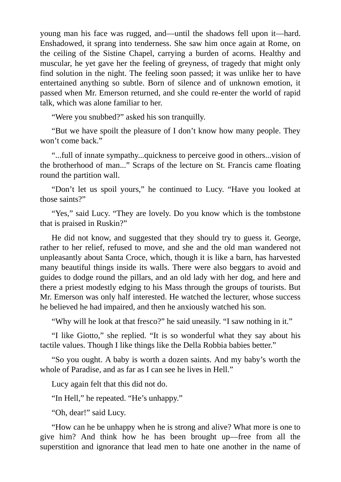young man his face was rugged, and—until the shadows fell upon it—hard. Enshadowed, it sprang into tenderness. She saw him once again at Rome, on the ceiling of the Sistine Chapel, carrying a burden of acorns. Healthy and muscular, he yet gave her the feeling of greyness, of tragedy that might only find solution in the night. The feeling soon passed; it was unlike her to have entertained anything so subtle. Born of silence and of unknown emotion, it passed when Mr. Emerson returned, and she could re-enter the world of rapid talk, which was alone familiar to her.

"Were you snubbed?" asked his son tranquilly.

"But we have spoilt the pleasure of I don't know how many people. They won't come back."

"...full of innate sympathy...quickness to perceive good in others...vision of the brotherhood of man..." Scraps of the lecture on St. Francis came floating round the partition wall.

"Don't let us spoil yours," he continued to Lucy. "Have you looked at those saints?"

"Yes," said Lucy. "They are lovely. Do you know which is the tombstone that is praised in Ruskin?"

He did not know, and suggested that they should try to guess it. George, rather to her relief, refused to move, and she and the old man wandered not unpleasantly about Santa Croce, which, though it is like a barn, has harvested many beautiful things inside its walls. There were also beggars to avoid and guides to dodge round the pillars, and an old lady with her dog, and here and there a priest modestly edging to his Mass through the groups of tourists. But Mr. Emerson was only half interested. He watched the lecturer, whose success he believed he had impaired, and then he anxiously watched his son.

"Why will he look at that fresco?" he said uneasily. "I saw nothing in it."

"I like Giotto," she replied. "It is so wonderful what they say about his tactile values. Though I like things like the Della Robbia babies better."

"So you ought. A baby is worth a dozen saints. And my baby's worth the whole of Paradise, and as far as I can see he lives in Hell."

Lucy again felt that this did not do.

"In Hell," he repeated. "He's unhappy."

"Oh, dear!" said Lucy.

"How can he be unhappy when he is strong and alive? What more is one to give him? And think how he has been brought up—free from all the superstition and ignorance that lead men to hate one another in the name of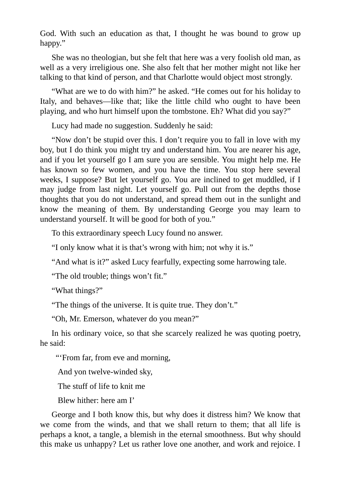God. With such an education as that, I thought he was bound to grow up happy."

She was no theologian, but she felt that here was a very foolish old man, as well as a very irreligious one. She also felt that her mother might not like her talking to that kind of person, and that Charlotte would object most strongly.

"What are we to do with him?" he asked. "He comes out for his holiday to Italy, and behaves—like that; like the little child who ought to have been playing, and who hurt himself upon the tombstone. Eh? What did you say?"

Lucy had made no suggestion. Suddenly he said:

"Now don't be stupid over this. I don't require you to fall in love with my boy, but I do think you might try and understand him. You are nearer his age, and if you let yourself go I am sure you are sensible. You might help me. He has known so few women, and you have the time. You stop here several weeks, I suppose? But let yourself go. You are inclined to get muddled, if I may judge from last night. Let yourself go. Pull out from the depths those thoughts that you do not understand, and spread them out in the sunlight and know the meaning of them. By understanding George you may learn to understand yourself. It will be good for both of you."

To this extraordinary speech Lucy found no answer.

"I only know what it is that's wrong with him; not why it is."

"And what is it?" asked Lucy fearfully, expecting some harrowing tale.

"The old trouble; things won't fit."

"What things?"

"The things of the universe. It is quite true. They don't."

"Oh, Mr. Emerson, whatever do you mean?"

In his ordinary voice, so that she scarcely realized he was quoting poetry, he said:

"'From far, from eve and morning,

And yon twelve-winded sky,

The stuff of life to knit me

Blew hither: here am I'

George and I both know this, but why does it distress him? We know that we come from the winds, and that we shall return to them; that all life is perhaps a knot, a tangle, a blemish in the eternal smoothness. But why should this make us unhappy? Let us rather love one another, and work and rejoice. I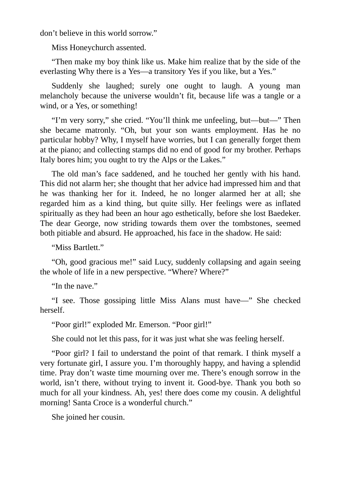don't believe in this world sorrow."

Miss Honeychurch assented.

"Then make my boy think like us. Make him realize that by the side of the everlasting Why there is a Yes—a transitory Yes if you like, but a Yes."

Suddenly she laughed; surely one ought to laugh. A young man melancholy because the universe wouldn't fit, because life was a tangle or a wind, or a Yes, or something!

"I'm very sorry," she cried. "You'll think me unfeeling, but—but—" Then she became matronly. "Oh, but your son wants employment. Has he no particular hobby? Why, I myself have worries, but I can generally forget them at the piano; and collecting stamps did no end of good for my brother. Perhaps Italy bores him; you ought to try the Alps or the Lakes."

The old man's face saddened, and he touched her gently with his hand. This did not alarm her; she thought that her advice had impressed him and that he was thanking her for it. Indeed, he no longer alarmed her at all; she regarded him as a kind thing, but quite silly. Her feelings were as inflated spiritually as they had been an hour ago esthetically, before she lost Baedeker. The dear George, now striding towards them over the tombstones, seemed both pitiable and absurd. He approached, his face in the shadow. He said:

"Miss Bartlett."

"Oh, good gracious me!" said Lucy, suddenly collapsing and again seeing the whole of life in a new perspective. "Where? Where?"

"In the nave."

"I see. Those gossiping little Miss Alans must have—" She checked herself.

"Poor girl!" exploded Mr. Emerson. "Poor girl!"

She could not let this pass, for it was just what she was feeling herself.

"Poor girl? I fail to understand the point of that remark. I think myself a very fortunate girl, I assure you. I'm thoroughly happy, and having a splendid time. Pray don't waste time mourning over me. There's enough sorrow in the world, isn't there, without trying to invent it. Good-bye. Thank you both so much for all your kindness. Ah, yes! there does come my cousin. A delightful morning! Santa Croce is a wonderful church."

She joined her cousin.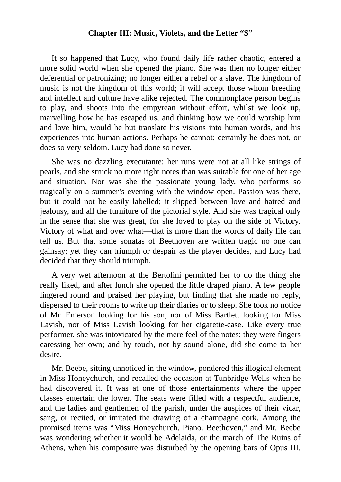#### **Chapter III: Music, Violets, and the Letter "S"**

It so happened that Lucy, who found daily life rather chaotic, entered a more solid world when she opened the piano. She was then no longer either deferential or patronizing; no longer either a rebel or a slave. The kingdom of music is not the kingdom of this world; it will accept those whom breeding and intellect and culture have alike rejected. The commonplace person begins to play, and shoots into the empyrean without effort, whilst we look up, marvelling how he has escaped us, and thinking how we could worship him and love him, would he but translate his visions into human words, and his experiences into human actions. Perhaps he cannot; certainly he does not, or does so very seldom. Lucy had done so never.

She was no dazzling executante; her runs were not at all like strings of pearls, and she struck no more right notes than was suitable for one of her age and situation. Nor was she the passionate young lady, who performs so tragically on a summer's evening with the window open. Passion was there, but it could not be easily labelled; it slipped between love and hatred and jealousy, and all the furniture of the pictorial style. And she was tragical only in the sense that she was great, for she loved to play on the side of Victory. Victory of what and over what—that is more than the words of daily life can tell us. But that some sonatas of Beethoven are written tragic no one can gainsay; yet they can triumph or despair as the player decides, and Lucy had decided that they should triumph.

A very wet afternoon at the Bertolini permitted her to do the thing she really liked, and after lunch she opened the little draped piano. A few people lingered round and praised her playing, but finding that she made no reply, dispersed to their rooms to write up their diaries or to sleep. She took no notice of Mr. Emerson looking for his son, nor of Miss Bartlett looking for Miss Lavish, nor of Miss Lavish looking for her cigarette-case. Like every true performer, she was intoxicated by the mere feel of the notes: they were fingers caressing her own; and by touch, not by sound alone, did she come to her desire.

Mr. Beebe, sitting unnoticed in the window, pondered this illogical element in Miss Honeychurch, and recalled the occasion at Tunbridge Wells when he had discovered it. It was at one of those entertainments where the upper classes entertain the lower. The seats were filled with a respectful audience, and the ladies and gentlemen of the parish, under the auspices of their vicar, sang, or recited, or imitated the drawing of a champagne cork. Among the promised items was "Miss Honeychurch. Piano. Beethoven," and Mr. Beebe was wondering whether it would be Adelaida, or the march of The Ruins of Athens, when his composure was disturbed by the opening bars of Opus III.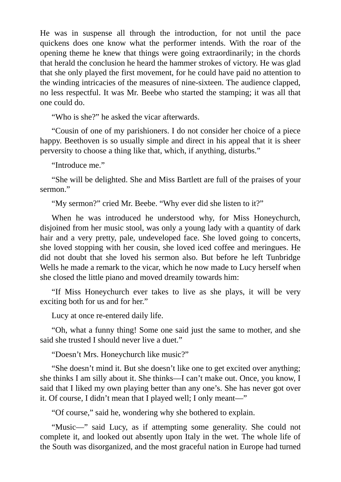He was in suspense all through the introduction, for not until the pace quickens does one know what the performer intends. With the roar of the opening theme he knew that things were going extraordinarily; in the chords that herald the conclusion he heard the hammer strokes of victory. He was glad that she only played the first movement, for he could have paid no attention to the winding intricacies of the measures of nine-sixteen. The audience clapped, no less respectful. It was Mr. Beebe who started the stamping; it was all that one could do.

"Who is she?" he asked the vicar afterwards.

"Cousin of one of my parishioners. I do not consider her choice of a piece happy. Beethoven is so usually simple and direct in his appeal that it is sheer perversity to choose a thing like that, which, if anything, disturbs."

"Introduce me."

"She will be delighted. She and Miss Bartlett are full of the praises of your sermon."

"My sermon?" cried Mr. Beebe. "Why ever did she listen to it?"

When he was introduced he understood why, for Miss Honeychurch, disjoined from her music stool, was only a young lady with a quantity of dark hair and a very pretty, pale, undeveloped face. She loved going to concerts, she loved stopping with her cousin, she loved iced coffee and meringues. He did not doubt that she loved his sermon also. But before he left Tunbridge Wells he made a remark to the vicar, which he now made to Lucy herself when she closed the little piano and moved dreamily towards him:

"If Miss Honeychurch ever takes to live as she plays, it will be very exciting both for us and for her."

Lucy at once re-entered daily life.

"Oh, what a funny thing! Some one said just the same to mother, and she said she trusted I should never live a duet."

"Doesn't Mrs. Honeychurch like music?"

"She doesn't mind it. But she doesn't like one to get excited over anything; she thinks I am silly about it. She thinks—I can't make out. Once, you know, I said that I liked my own playing better than any one's. She has never got over it. Of course, I didn't mean that I played well; I only meant—"

"Of course," said he, wondering why she bothered to explain.

"Music—" said Lucy, as if attempting some generality. She could not complete it, and looked out absently upon Italy in the wet. The whole life of the South was disorganized, and the most graceful nation in Europe had turned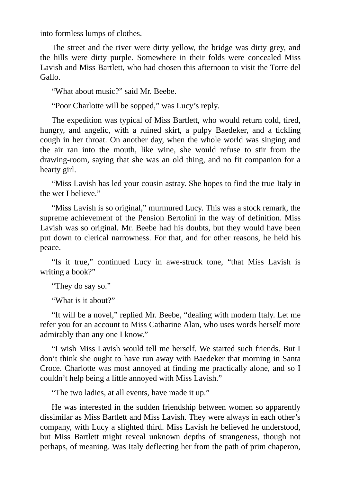into formless lumps of clothes.

The street and the river were dirty yellow, the bridge was dirty grey, and the hills were dirty purple. Somewhere in their folds were concealed Miss Lavish and Miss Bartlett, who had chosen this afternoon to visit the Torre del Gallo.

"What about music?" said Mr. Beebe.

"Poor Charlotte will be sopped," was Lucy's reply.

The expedition was typical of Miss Bartlett, who would return cold, tired, hungry, and angelic, with a ruined skirt, a pulpy Baedeker, and a tickling cough in her throat. On another day, when the whole world was singing and the air ran into the mouth, like wine, she would refuse to stir from the drawing-room, saying that she was an old thing, and no fit companion for a hearty girl.

"Miss Lavish has led your cousin astray. She hopes to find the true Italy in the wet I believe."

"Miss Lavish is so original," murmured Lucy. This was a stock remark, the supreme achievement of the Pension Bertolini in the way of definition. Miss Lavish was so original. Mr. Beebe had his doubts, but they would have been put down to clerical narrowness. For that, and for other reasons, he held his peace.

"Is it true," continued Lucy in awe-struck tone, "that Miss Lavish is writing a book?"

"They do say so."

"What is it about?"

"It will be a novel," replied Mr. Beebe, "dealing with modern Italy. Let me refer you for an account to Miss Catharine Alan, who uses words herself more admirably than any one I know."

"I wish Miss Lavish would tell me herself. We started such friends. But I don't think she ought to have run away with Baedeker that morning in Santa Croce. Charlotte was most annoyed at finding me practically alone, and so I couldn't help being a little annoyed with Miss Lavish."

"The two ladies, at all events, have made it up."

He was interested in the sudden friendship between women so apparently dissimilar as Miss Bartlett and Miss Lavish. They were always in each other's company, with Lucy a slighted third. Miss Lavish he believed he understood, but Miss Bartlett might reveal unknown depths of strangeness, though not perhaps, of meaning. Was Italy deflecting her from the path of prim chaperon,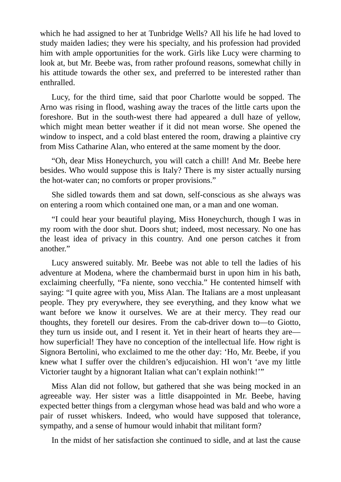which he had assigned to her at Tunbridge Wells? All his life he had loved to study maiden ladies; they were his specialty, and his profession had provided him with ample opportunities for the work. Girls like Lucy were charming to look at, but Mr. Beebe was, from rather profound reasons, somewhat chilly in his attitude towards the other sex, and preferred to be interested rather than enthralled.

Lucy, for the third time, said that poor Charlotte would be sopped. The Arno was rising in flood, washing away the traces of the little carts upon the foreshore. But in the south-west there had appeared a dull haze of yellow, which might mean better weather if it did not mean worse. She opened the window to inspect, and a cold blast entered the room, drawing a plaintive cry from Miss Catharine Alan, who entered at the same moment by the door.

"Oh, dear Miss Honeychurch, you will catch a chill! And Mr. Beebe here besides. Who would suppose this is Italy? There is my sister actually nursing the hot-water can; no comforts or proper provisions."

She sidled towards them and sat down, self-conscious as she always was on entering a room which contained one man, or a man and one woman.

"I could hear your beautiful playing, Miss Honeychurch, though I was in my room with the door shut. Doors shut; indeed, most necessary. No one has the least idea of privacy in this country. And one person catches it from another."

Lucy answered suitably. Mr. Beebe was not able to tell the ladies of his adventure at Modena, where the chambermaid burst in upon him in his bath, exclaiming cheerfully, "Fa niente, sono vecchia." He contented himself with saying: "I quite agree with you, Miss Alan. The Italians are a most unpleasant people. They pry everywhere, they see everything, and they know what we want before we know it ourselves. We are at their mercy. They read our thoughts, they foretell our desires. From the cab-driver down to—to Giotto, they turn us inside out, and I resent it. Yet in their heart of hearts they are how superficial! They have no conception of the intellectual life. How right is Signora Bertolini, who exclaimed to me the other day: 'Ho, Mr. Beebe, if you knew what I suffer over the children's edjucaishion. HI won't 'ave my little Victorier taught by a hignorant Italian what can't explain nothink!'"

Miss Alan did not follow, but gathered that she was being mocked in an agreeable way. Her sister was a little disappointed in Mr. Beebe, having expected better things from a clergyman whose head was bald and who wore a pair of russet whiskers. Indeed, who would have supposed that tolerance, sympathy, and a sense of humour would inhabit that militant form?

In the midst of her satisfaction she continued to sidle, and at last the cause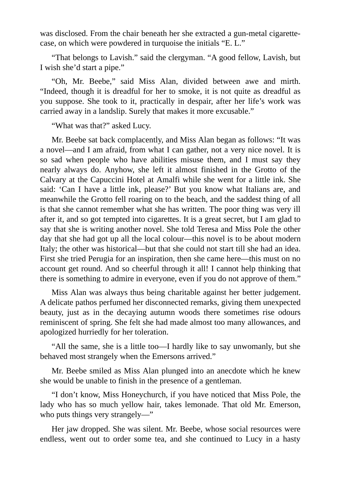was disclosed. From the chair beneath her she extracted a gun-metal cigarettecase, on which were powdered in turquoise the initials "E. L."

"That belongs to Lavish." said the clergyman. "A good fellow, Lavish, but I wish she'd start a pipe."

"Oh, Mr. Beebe," said Miss Alan, divided between awe and mirth. "Indeed, though it is dreadful for her to smoke, it is not quite as dreadful as you suppose. She took to it, practically in despair, after her life's work was carried away in a landslip. Surely that makes it more excusable."

"What was that?" asked Lucy.

Mr. Beebe sat back complacently, and Miss Alan began as follows: "It was a novel—and I am afraid, from what I can gather, not a very nice novel. It is so sad when people who have abilities misuse them, and I must say they nearly always do. Anyhow, she left it almost finished in the Grotto of the Calvary at the Capuccini Hotel at Amalfi while she went for a little ink. She said: 'Can I have a little ink, please?' But you know what Italians are, and meanwhile the Grotto fell roaring on to the beach, and the saddest thing of all is that she cannot remember what she has written. The poor thing was very ill after it, and so got tempted into cigarettes. It is a great secret, but I am glad to say that she is writing another novel. She told Teresa and Miss Pole the other day that she had got up all the local colour—this novel is to be about modern Italy; the other was historical—but that she could not start till she had an idea. First she tried Perugia for an inspiration, then she came here—this must on no account get round. And so cheerful through it all! I cannot help thinking that there is something to admire in everyone, even if you do not approve of them."

Miss Alan was always thus being charitable against her better judgement. A delicate pathos perfumed her disconnected remarks, giving them unexpected beauty, just as in the decaying autumn woods there sometimes rise odours reminiscent of spring. She felt she had made almost too many allowances, and apologized hurriedly for her toleration.

"All the same, she is a little too—I hardly like to say unwomanly, but she behaved most strangely when the Emersons arrived."

Mr. Beebe smiled as Miss Alan plunged into an anecdote which he knew she would be unable to finish in the presence of a gentleman.

"I don't know, Miss Honeychurch, if you have noticed that Miss Pole, the lady who has so much yellow hair, takes lemonade. That old Mr. Emerson, who puts things very strangely—"

Her jaw dropped. She was silent. Mr. Beebe, whose social resources were endless, went out to order some tea, and she continued to Lucy in a hasty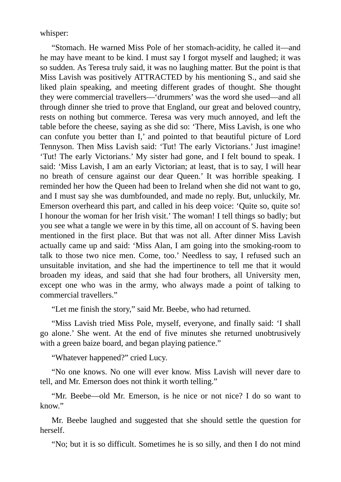whisper:

"Stomach. He warned Miss Pole of her stomach-acidity, he called it—and he may have meant to be kind. I must say I forgot myself and laughed; it was so sudden. As Teresa truly said, it was no laughing matter. But the point is that Miss Lavish was positively ATTRACTED by his mentioning S., and said she liked plain speaking, and meeting different grades of thought. She thought they were commercial travellers—'drummers' was the word she used—and all through dinner she tried to prove that England, our great and beloved country, rests on nothing but commerce. Teresa was very much annoyed, and left the table before the cheese, saying as she did so: 'There, Miss Lavish, is one who can confute you better than I,' and pointed to that beautiful picture of Lord Tennyson. Then Miss Lavish said: 'Tut! The early Victorians.' Just imagine! 'Tut! The early Victorians.' My sister had gone, and I felt bound to speak. I said: 'Miss Lavish, I am an early Victorian; at least, that is to say, I will hear no breath of censure against our dear Queen.' It was horrible speaking. I reminded her how the Queen had been to Ireland when she did not want to go, and I must say she was dumbfounded, and made no reply. But, unluckily, Mr. Emerson overheard this part, and called in his deep voice: 'Quite so, quite so! I honour the woman for her Irish visit.' The woman! I tell things so badly; but you see what a tangle we were in by this time, all on account of S. having been mentioned in the first place. But that was not all. After dinner Miss Lavish actually came up and said: 'Miss Alan, I am going into the smoking-room to talk to those two nice men. Come, too.' Needless to say, I refused such an unsuitable invitation, and she had the impertinence to tell me that it would broaden my ideas, and said that she had four brothers, all University men, except one who was in the army, who always made a point of talking to commercial travellers."

"Let me finish the story," said Mr. Beebe, who had returned.

"Miss Lavish tried Miss Pole, myself, everyone, and finally said: 'I shall go alone.' She went. At the end of five minutes she returned unobtrusively with a green baize board, and began playing patience."

"Whatever happened?" cried Lucy.

"No one knows. No one will ever know. Miss Lavish will never dare to tell, and Mr. Emerson does not think it worth telling."

"Mr. Beebe—old Mr. Emerson, is he nice or not nice? I do so want to know."

Mr. Beebe laughed and suggested that she should settle the question for herself.

"No; but it is so difficult. Sometimes he is so silly, and then I do not mind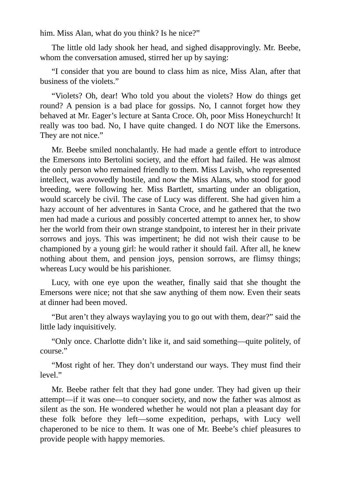him. Miss Alan, what do you think? Is he nice?"

The little old lady shook her head, and sighed disapprovingly. Mr. Beebe, whom the conversation amused, stirred her up by saying:

"I consider that you are bound to class him as nice, Miss Alan, after that business of the violets."

"Violets? Oh, dear! Who told you about the violets? How do things get round? A pension is a bad place for gossips. No, I cannot forget how they behaved at Mr. Eager's lecture at Santa Croce. Oh, poor Miss Honeychurch! It really was too bad. No, I have quite changed. I do NOT like the Emersons. They are not nice."

Mr. Beebe smiled nonchalantly. He had made a gentle effort to introduce the Emersons into Bertolini society, and the effort had failed. He was almost the only person who remained friendly to them. Miss Lavish, who represented intellect, was avowedly hostile, and now the Miss Alans, who stood for good breeding, were following her. Miss Bartlett, smarting under an obligation, would scarcely be civil. The case of Lucy was different. She had given him a hazy account of her adventures in Santa Croce, and he gathered that the two men had made a curious and possibly concerted attempt to annex her, to show her the world from their own strange standpoint, to interest her in their private sorrows and joys. This was impertinent; he did not wish their cause to be championed by a young girl: he would rather it should fail. After all, he knew nothing about them, and pension joys, pension sorrows, are flimsy things; whereas Lucy would be his parishioner.

Lucy, with one eye upon the weather, finally said that she thought the Emersons were nice; not that she saw anything of them now. Even their seats at dinner had been moved.

"But aren't they always waylaying you to go out with them, dear?" said the little lady inquisitively.

"Only once. Charlotte didn't like it, and said something—quite politely, of course."

"Most right of her. They don't understand our ways. They must find their level."

Mr. Beebe rather felt that they had gone under. They had given up their attempt—if it was one—to conquer society, and now the father was almost as silent as the son. He wondered whether he would not plan a pleasant day for these folk before they left—some expedition, perhaps, with Lucy well chaperoned to be nice to them. It was one of Mr. Beebe's chief pleasures to provide people with happy memories.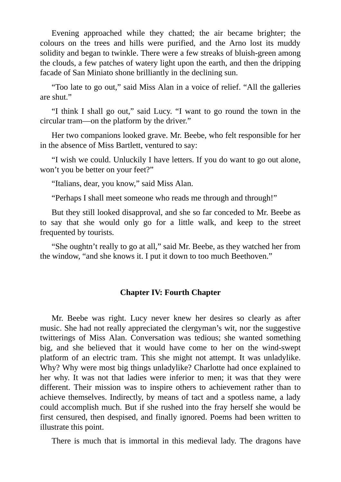Evening approached while they chatted; the air became brighter; the colours on the trees and hills were purified, and the Arno lost its muddy solidity and began to twinkle. There were a few streaks of bluish-green among the clouds, a few patches of watery light upon the earth, and then the dripping facade of San Miniato shone brilliantly in the declining sun.

"Too late to go out," said Miss Alan in a voice of relief. "All the galleries are shut."

"I think I shall go out," said Lucy. "I want to go round the town in the circular tram—on the platform by the driver."

Her two companions looked grave. Mr. Beebe, who felt responsible for her in the absence of Miss Bartlett, ventured to say:

"I wish we could. Unluckily I have letters. If you do want to go out alone, won't you be better on your feet?"

"Italians, dear, you know," said Miss Alan.

"Perhaps I shall meet someone who reads me through and through!"

But they still looked disapproval, and she so far conceded to Mr. Beebe as to say that she would only go for a little walk, and keep to the street frequented by tourists.

"She oughtn't really to go at all," said Mr. Beebe, as they watched her from the window, "and she knows it. I put it down to too much Beethoven."

## **Chapter IV: Fourth Chapter**

Mr. Beebe was right. Lucy never knew her desires so clearly as after music. She had not really appreciated the clergyman's wit, nor the suggestive twitterings of Miss Alan. Conversation was tedious; she wanted something big, and she believed that it would have come to her on the wind-swept platform of an electric tram. This she might not attempt. It was unladylike. Why? Why were most big things unladylike? Charlotte had once explained to her why. It was not that ladies were inferior to men; it was that they were different. Their mission was to inspire others to achievement rather than to achieve themselves. Indirectly, by means of tact and a spotless name, a lady could accomplish much. But if she rushed into the fray herself she would be first censured, then despised, and finally ignored. Poems had been written to illustrate this point.

There is much that is immortal in this medieval lady. The dragons have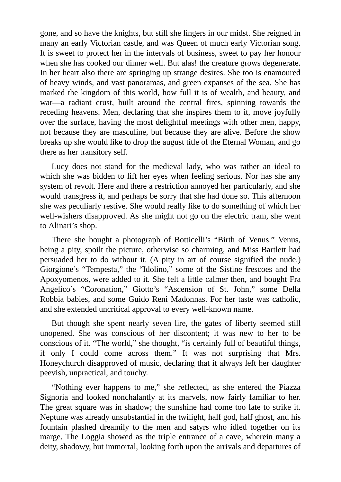gone, and so have the knights, but still she lingers in our midst. She reigned in many an early Victorian castle, and was Queen of much early Victorian song. It is sweet to protect her in the intervals of business, sweet to pay her honour when she has cooked our dinner well. But alas! the creature grows degenerate. In her heart also there are springing up strange desires. She too is enamoured of heavy winds, and vast panoramas, and green expanses of the sea. She has marked the kingdom of this world, how full it is of wealth, and beauty, and war—a radiant crust, built around the central fires, spinning towards the receding heavens. Men, declaring that she inspires them to it, move joyfully over the surface, having the most delightful meetings with other men, happy, not because they are masculine, but because they are alive. Before the show breaks up she would like to drop the august title of the Eternal Woman, and go there as her transitory self.

Lucy does not stand for the medieval lady, who was rather an ideal to which she was bidden to lift her eyes when feeling serious. Nor has she any system of revolt. Here and there a restriction annoyed her particularly, and she would transgress it, and perhaps be sorry that she had done so. This afternoon she was peculiarly restive. She would really like to do something of which her well-wishers disapproved. As she might not go on the electric tram, she went to Alinari's shop.

There she bought a photograph of Botticelli's "Birth of Venus." Venus, being a pity, spoilt the picture, otherwise so charming, and Miss Bartlett had persuaded her to do without it. (A pity in art of course signified the nude.) Giorgione's "Tempesta," the "Idolino," some of the Sistine frescoes and the Apoxyomenos, were added to it. She felt a little calmer then, and bought Fra Angelico's "Coronation," Giotto's "Ascension of St. John," some Della Robbia babies, and some Guido Reni Madonnas. For her taste was catholic, and she extended uncritical approval to every well-known name.

But though she spent nearly seven lire, the gates of liberty seemed still unopened. She was conscious of her discontent; it was new to her to be conscious of it. "The world," she thought, "is certainly full of beautiful things, if only I could come across them." It was not surprising that Mrs. Honeychurch disapproved of music, declaring that it always left her daughter peevish, unpractical, and touchy.

"Nothing ever happens to me," she reflected, as she entered the Piazza Signoria and looked nonchalantly at its marvels, now fairly familiar to her. The great square was in shadow; the sunshine had come too late to strike it. Neptune was already unsubstantial in the twilight, half god, half ghost, and his fountain plashed dreamily to the men and satyrs who idled together on its marge. The Loggia showed as the triple entrance of a cave, wherein many a deity, shadowy, but immortal, looking forth upon the arrivals and departures of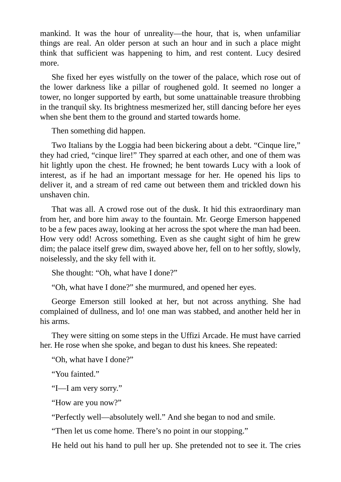mankind. It was the hour of unreality—the hour, that is, when unfamiliar things are real. An older person at such an hour and in such a place might think that sufficient was happening to him, and rest content. Lucy desired more.

She fixed her eyes wistfully on the tower of the palace, which rose out of the lower darkness like a pillar of roughened gold. It seemed no longer a tower, no longer supported by earth, but some unattainable treasure throbbing in the tranquil sky. Its brightness mesmerized her, still dancing before her eyes when she bent them to the ground and started towards home.

Then something did happen.

Two Italians by the Loggia had been bickering about a debt. "Cinque lire," they had cried, "cinque lire!" They sparred at each other, and one of them was hit lightly upon the chest. He frowned; he bent towards Lucy with a look of interest, as if he had an important message for her. He opened his lips to deliver it, and a stream of red came out between them and trickled down his unshaven chin.

That was all. A crowd rose out of the dusk. It hid this extraordinary man from her, and bore him away to the fountain. Mr. George Emerson happened to be a few paces away, looking at her across the spot where the man had been. How very odd! Across something. Even as she caught sight of him he grew dim; the palace itself grew dim, swayed above her, fell on to her softly, slowly, noiselessly, and the sky fell with it.

She thought: "Oh, what have I done?"

"Oh, what have I done?" she murmured, and opened her eyes.

George Emerson still looked at her, but not across anything. She had complained of dullness, and lo! one man was stabbed, and another held her in his arms.

They were sitting on some steps in the Uffizi Arcade. He must have carried her. He rose when she spoke, and began to dust his knees. She repeated:

"Oh, what have I done?"

"You fainted."

"I—I am very sorry."

"How are you now?"

"Perfectly well—absolutely well." And she began to nod and smile.

"Then let us come home. There's no point in our stopping."

He held out his hand to pull her up. She pretended not to see it. The cries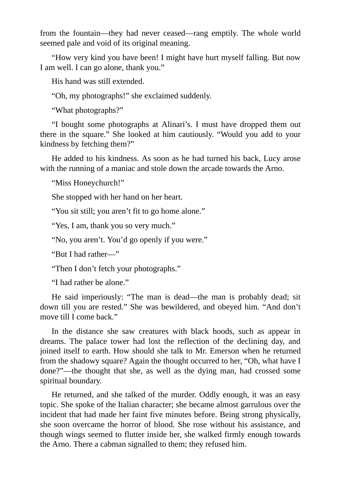from the fountain—they had never ceased—rang emptily. The whole world seemed pale and void of its original meaning.

"How very kind you have been! I might have hurt myself falling. But now I am well. I can go alone, thank you."

His hand was still extended.

"Oh, my photographs!" she exclaimed suddenly.

"What photographs?"

"I bought some photographs at Alinari's. I must have dropped them out there in the square." She looked at him cautiously. "Would you add to your kindness by fetching them?"

He added to his kindness. As soon as he had turned his back, Lucy arose with the running of a maniac and stole down the arcade towards the Arno.

"Miss Honeychurch!"

She stopped with her hand on her heart.

"You sit still; you aren't fit to go home alone."

"Yes, I am, thank you so very much."

"No, you aren't. You'd go openly if you were."

"But I had rather—"

"Then I don't fetch your photographs."

"I had rather be alone."

He said imperiously: "The man is dead—the man is probably dead; sit down till you are rested." She was bewildered, and obeyed him. "And don't move till I come back."

In the distance she saw creatures with black hoods, such as appear in dreams. The palace tower had lost the reflection of the declining day, and joined itself to earth. How should she talk to Mr. Emerson when he returned from the shadowy square? Again the thought occurred to her, "Oh, what have I done?"—the thought that she, as well as the dying man, had crossed some spiritual boundary.

He returned, and she talked of the murder. Oddly enough, it was an easy topic. She spoke of the Italian character; she became almost garrulous over the incident that had made her faint five minutes before. Being strong physically, she soon overcame the horror of blood. She rose without his assistance, and though wings seemed to flutter inside her, she walked firmly enough towards the Arno. There a cabman signalled to them; they refused him.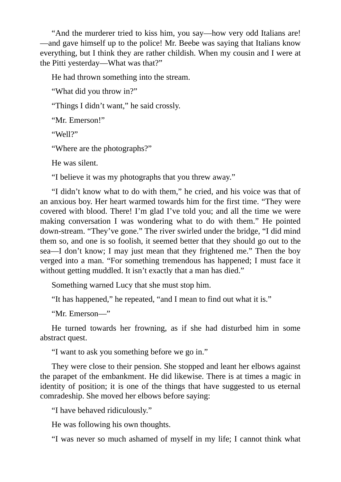"And the murderer tried to kiss him, you say—how very odd Italians are! —and gave himself up to the police! Mr. Beebe was saying that Italians know everything, but I think they are rather childish. When my cousin and I were at the Pitti yesterday—What was that?"

He had thrown something into the stream.

"What did you throw in?"

"Things I didn't want," he said crossly.

"Mr. Emerson!"

"Well?"

"Where are the photographs?"

He was silent.

"I believe it was my photographs that you threw away."

"I didn't know what to do with them," he cried, and his voice was that of an anxious boy. Her heart warmed towards him for the first time. "They were covered with blood. There! I'm glad I've told you; and all the time we were making conversation I was wondering what to do with them." He pointed down-stream. "They've gone." The river swirled under the bridge, "I did mind them so, and one is so foolish, it seemed better that they should go out to the sea—I don't know; I may just mean that they frightened me." Then the boy verged into a man. "For something tremendous has happened; I must face it without getting muddled. It isn't exactly that a man has died."

Something warned Lucy that she must stop him.

"It has happened," he repeated, "and I mean to find out what it is."

"Mr. Emerson—"

He turned towards her frowning, as if she had disturbed him in some abstract quest.

"I want to ask you something before we go in."

They were close to their pension. She stopped and leant her elbows against the parapet of the embankment. He did likewise. There is at times a magic in identity of position; it is one of the things that have suggested to us eternal comradeship. She moved her elbows before saying:

"I have behaved ridiculously."

He was following his own thoughts.

"I was never so much ashamed of myself in my life; I cannot think what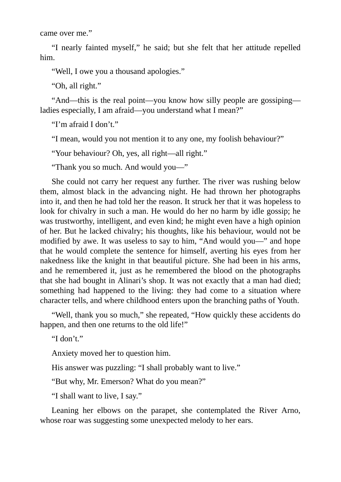came over me."

"I nearly fainted myself," he said; but she felt that her attitude repelled him.

"Well, I owe you a thousand apologies."

"Oh, all right."

"And—this is the real point—you know how silly people are gossiping ladies especially, I am afraid—you understand what I mean?"

"I'm afraid I don't."

"I mean, would you not mention it to any one, my foolish behaviour?"

"Your behaviour? Oh, yes, all right—all right."

"Thank you so much. And would you—"

She could not carry her request any further. The river was rushing below them, almost black in the advancing night. He had thrown her photographs into it, and then he had told her the reason. It struck her that it was hopeless to look for chivalry in such a man. He would do her no harm by idle gossip; he was trustworthy, intelligent, and even kind; he might even have a high opinion of her. But he lacked chivalry; his thoughts, like his behaviour, would not be modified by awe. It was useless to say to him, "And would you—" and hope that he would complete the sentence for himself, averting his eyes from her nakedness like the knight in that beautiful picture. She had been in his arms, and he remembered it, just as he remembered the blood on the photographs that she had bought in Alinari's shop. It was not exactly that a man had died; something had happened to the living: they had come to a situation where character tells, and where childhood enters upon the branching paths of Youth.

"Well, thank you so much," she repeated, "How quickly these accidents do happen, and then one returns to the old life!"

"I don't."

Anxiety moved her to question him.

His answer was puzzling: "I shall probably want to live."

"But why, Mr. Emerson? What do you mean?"

"I shall want to live, I say."

Leaning her elbows on the parapet, she contemplated the River Arno, whose roar was suggesting some unexpected melody to her ears.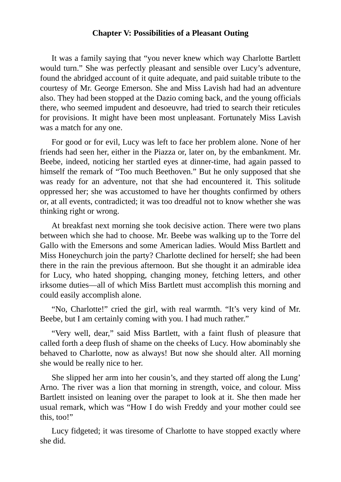#### **Chapter V: Possibilities of a Pleasant Outing**

It was a family saying that "you never knew which way Charlotte Bartlett would turn." She was perfectly pleasant and sensible over Lucy's adventure, found the abridged account of it quite adequate, and paid suitable tribute to the courtesy of Mr. George Emerson. She and Miss Lavish had had an adventure also. They had been stopped at the Dazio coming back, and the young officials there, who seemed impudent and desoeuvre, had tried to search their reticules for provisions. It might have been most unpleasant. Fortunately Miss Lavish was a match for any one.

For good or for evil, Lucy was left to face her problem alone. None of her friends had seen her, either in the Piazza or, later on, by the embankment. Mr. Beebe, indeed, noticing her startled eyes at dinner-time, had again passed to himself the remark of "Too much Beethoven." But he only supposed that she was ready for an adventure, not that she had encountered it. This solitude oppressed her; she was accustomed to have her thoughts confirmed by others or, at all events, contradicted; it was too dreadful not to know whether she was thinking right or wrong.

At breakfast next morning she took decisive action. There were two plans between which she had to choose. Mr. Beebe was walking up to the Torre del Gallo with the Emersons and some American ladies. Would Miss Bartlett and Miss Honeychurch join the party? Charlotte declined for herself; she had been there in the rain the previous afternoon. But she thought it an admirable idea for Lucy, who hated shopping, changing money, fetching letters, and other irksome duties—all of which Miss Bartlett must accomplish this morning and could easily accomplish alone.

"No, Charlotte!" cried the girl, with real warmth. "It's very kind of Mr. Beebe, but I am certainly coming with you. I had much rather."

"Very well, dear," said Miss Bartlett, with a faint flush of pleasure that called forth a deep flush of shame on the cheeks of Lucy. How abominably she behaved to Charlotte, now as always! But now she should alter. All morning she would be really nice to her.

She slipped her arm into her cousin's, and they started off along the Lung' Arno. The river was a lion that morning in strength, voice, and colour. Miss Bartlett insisted on leaning over the parapet to look at it. She then made her usual remark, which was "How I do wish Freddy and your mother could see this, too!"

Lucy fidgeted; it was tiresome of Charlotte to have stopped exactly where she did.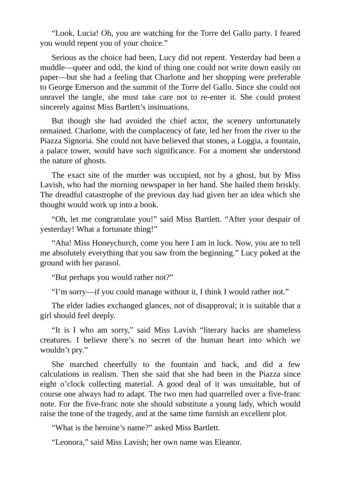"Look, Lucia! Oh, you are watching for the Torre del Gallo party. I feared you would repent you of your choice."

Serious as the choice had been, Lucy did not repent. Yesterday had been a muddle—queer and odd, the kind of thing one could not write down easily on paper—but she had a feeling that Charlotte and her shopping were preferable to George Emerson and the summit of the Torre del Gallo. Since she could not unravel the tangle, she must take care not to re-enter it. She could protest sincerely against Miss Bartlett's insinuations.

But though she had avoided the chief actor, the scenery unfortunately remained. Charlotte, with the complacency of fate, led her from the river to the Piazza Signoria. She could not have believed that stones, a Loggia, a fountain, a palace tower, would have such significance. For a moment she understood the nature of ghosts.

The exact site of the murder was occupied, not by a ghost, but by Miss Lavish, who had the morning newspaper in her hand. She hailed them briskly. The dreadful catastrophe of the previous day had given her an idea which she thought would work up into a book.

"Oh, let me congratulate you!" said Miss Bartlett. "After your despair of yesterday! What a fortunate thing!"

"Aha! Miss Honeychurch, come you here I am in luck. Now, you are to tell me absolutely everything that you saw from the beginning." Lucy poked at the ground with her parasol.

"But perhaps you would rather not?"

"I'm sorry—if you could manage without it, I think I would rather not."

The elder ladies exchanged glances, not of disapproval; it is suitable that a girl should feel deeply.

"It is I who am sorry," said Miss Lavish "literary hacks are shameless creatures. I believe there's no secret of the human heart into which we wouldn't pry."

She marched cheerfully to the fountain and back, and did a few calculations in realism. Then she said that she had been in the Piazza since eight o'clock collecting material. A good deal of it was unsuitable, but of course one always had to adapt. The two men had quarrelled over a five-franc note. For the five-franc note she should substitute a young lady, which would raise the tone of the tragedy, and at the same time furnish an excellent plot.

"What is the heroine's name?" asked Miss Bartlett.

"Leonora," said Miss Lavish; her own name was Eleanor.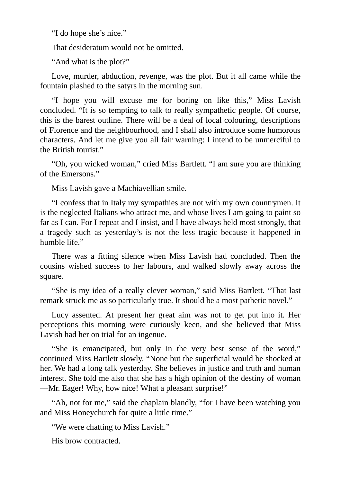"I do hope she's nice."

That desideratum would not be omitted.

"And what is the plot?"

Love, murder, abduction, revenge, was the plot. But it all came while the fountain plashed to the satyrs in the morning sun.

"I hope you will excuse me for boring on like this," Miss Lavish concluded. "It is so tempting to talk to really sympathetic people. Of course, this is the barest outline. There will be a deal of local colouring, descriptions of Florence and the neighbourhood, and I shall also introduce some humorous characters. And let me give you all fair warning: I intend to be unmerciful to the British tourist."

"Oh, you wicked woman," cried Miss Bartlett. "I am sure you are thinking of the Emersons."

Miss Lavish gave a Machiavellian smile.

"I confess that in Italy my sympathies are not with my own countrymen. It is the neglected Italians who attract me, and whose lives I am going to paint so far as I can. For I repeat and I insist, and I have always held most strongly, that a tragedy such as yesterday's is not the less tragic because it happened in humble life."

There was a fitting silence when Miss Lavish had concluded. Then the cousins wished success to her labours, and walked slowly away across the square.

"She is my idea of a really clever woman," said Miss Bartlett. "That last remark struck me as so particularly true. It should be a most pathetic novel."

Lucy assented. At present her great aim was not to get put into it. Her perceptions this morning were curiously keen, and she believed that Miss Lavish had her on trial for an ingenue.

"She is emancipated, but only in the very best sense of the word," continued Miss Bartlett slowly. "None but the superficial would be shocked at her. We had a long talk yesterday. She believes in justice and truth and human interest. She told me also that she has a high opinion of the destiny of woman —Mr. Eager! Why, how nice! What a pleasant surprise!"

"Ah, not for me," said the chaplain blandly, "for I have been watching you and Miss Honeychurch for quite a little time."

"We were chatting to Miss Lavish."

His brow contracted.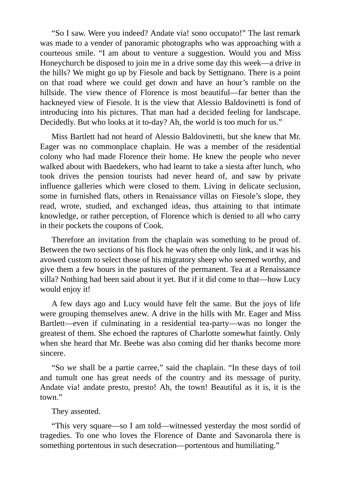"So I saw. Were you indeed? Andate via! sono occupato!" The last remark was made to a vender of panoramic photographs who was approaching with a courteous smile. "I am about to venture a suggestion. Would you and Miss Honeychurch be disposed to join me in a drive some day this week—a drive in the hills? We might go up by Fiesole and back by Settignano. There is a point on that road where we could get down and have an hour's ramble on the hillside. The view thence of Florence is most beautiful—far better than the hackneyed view of Fiesole. It is the view that Alessio Baldovinetti is fond of introducing into his pictures. That man had a decided feeling for landscape. Decidedly. But who looks at it to-day? Ah, the world is too much for us."

Miss Bartlett had not heard of Alessio Baldovinetti, but she knew that Mr. Eager was no commonplace chaplain. He was a member of the residential colony who had made Florence their home. He knew the people who never walked about with Baedekers, who had learnt to take a siesta after lunch, who took drives the pension tourists had never heard of, and saw by private influence galleries which were closed to them. Living in delicate seclusion, some in furnished flats, others in Renaissance villas on Fiesole's slope, they read, wrote, studied, and exchanged ideas, thus attaining to that intimate knowledge, or rather perception, of Florence which is denied to all who carry in their pockets the coupons of Cook.

Therefore an invitation from the chaplain was something to be proud of. Between the two sections of his flock he was often the only link, and it was his avowed custom to select those of his migratory sheep who seemed worthy, and give them a few hours in the pastures of the permanent. Tea at a Renaissance villa? Nothing had been said about it yet. But if it did come to that—how Lucy would enjoy it!

A few days ago and Lucy would have felt the same. But the joys of life were grouping themselves anew. A drive in the hills with Mr. Eager and Miss Bartlett—even if culminating in a residential tea-party—was no longer the greatest of them. She echoed the raptures of Charlotte somewhat faintly. Only when she heard that Mr. Beebe was also coming did her thanks become more sincere.

"So we shall be a partie carree," said the chaplain. "In these days of toil and tumult one has great needs of the country and its message of purity. Andate via! andate presto, presto! Ah, the town! Beautiful as it is, it is the town."

### They assented.

"This very square—so I am told—witnessed yesterday the most sordid of tragedies. To one who loves the Florence of Dante and Savonarola there is something portentous in such desecration—portentous and humiliating."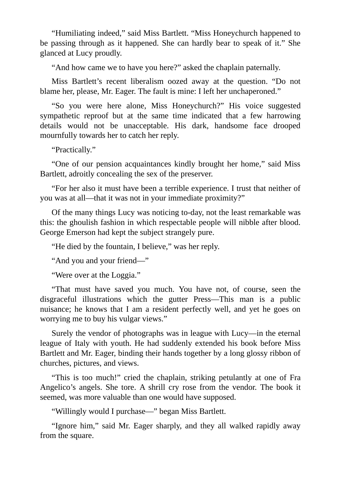"Humiliating indeed," said Miss Bartlett. "Miss Honeychurch happened to be passing through as it happened. She can hardly bear to speak of it." She glanced at Lucy proudly.

"And how came we to have you here?" asked the chaplain paternally.

Miss Bartlett's recent liberalism oozed away at the question. "Do not blame her, please, Mr. Eager. The fault is mine: I left her unchaperoned."

"So you were here alone, Miss Honeychurch?" His voice suggested sympathetic reproof but at the same time indicated that a few harrowing details would not be unacceptable. His dark, handsome face drooped mournfully towards her to catch her reply.

"Practically."

"One of our pension acquaintances kindly brought her home," said Miss Bartlett, adroitly concealing the sex of the preserver.

"For her also it must have been a terrible experience. I trust that neither of you was at all—that it was not in your immediate proximity?"

Of the many things Lucy was noticing to-day, not the least remarkable was this: the ghoulish fashion in which respectable people will nibble after blood. George Emerson had kept the subject strangely pure.

"He died by the fountain, I believe," was her reply.

"And you and your friend—"

"Were over at the Loggia."

"That must have saved you much. You have not, of course, seen the disgraceful illustrations which the gutter Press—This man is a public nuisance; he knows that I am a resident perfectly well, and yet he goes on worrying me to buy his vulgar views."

Surely the vendor of photographs was in league with Lucy—in the eternal league of Italy with youth. He had suddenly extended his book before Miss Bartlett and Mr. Eager, binding their hands together by a long glossy ribbon of churches, pictures, and views.

"This is too much!" cried the chaplain, striking petulantly at one of Fra Angelico's angels. She tore. A shrill cry rose from the vendor. The book it seemed, was more valuable than one would have supposed.

"Willingly would I purchase—" began Miss Bartlett.

"Ignore him," said Mr. Eager sharply, and they all walked rapidly away from the square.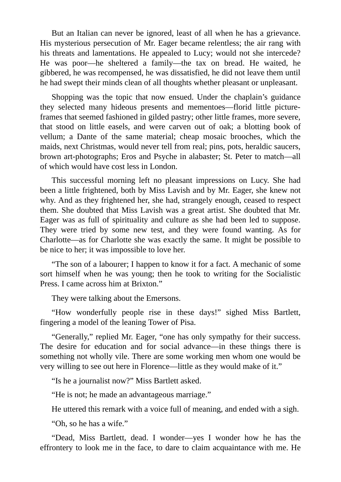But an Italian can never be ignored, least of all when he has a grievance. His mysterious persecution of Mr. Eager became relentless; the air rang with his threats and lamentations. He appealed to Lucy; would not she intercede? He was poor—he sheltered a family—the tax on bread. He waited, he gibbered, he was recompensed, he was dissatisfied, he did not leave them until he had swept their minds clean of all thoughts whether pleasant or unpleasant.

Shopping was the topic that now ensued. Under the chaplain's guidance they selected many hideous presents and mementoes—florid little pictureframes that seemed fashioned in gilded pastry; other little frames, more severe, that stood on little easels, and were carven out of oak; a blotting book of vellum; a Dante of the same material; cheap mosaic brooches, which the maids, next Christmas, would never tell from real; pins, pots, heraldic saucers, brown art-photographs; Eros and Psyche in alabaster; St. Peter to match—all of which would have cost less in London.

This successful morning left no pleasant impressions on Lucy. She had been a little frightened, both by Miss Lavish and by Mr. Eager, she knew not why. And as they frightened her, she had, strangely enough, ceased to respect them. She doubted that Miss Lavish was a great artist. She doubted that Mr. Eager was as full of spirituality and culture as she had been led to suppose. They were tried by some new test, and they were found wanting. As for Charlotte—as for Charlotte she was exactly the same. It might be possible to be nice to her; it was impossible to love her.

"The son of a labourer; I happen to know it for a fact. A mechanic of some sort himself when he was young; then he took to writing for the Socialistic Press. I came across him at Brixton."

They were talking about the Emersons.

"How wonderfully people rise in these days!" sighed Miss Bartlett, fingering a model of the leaning Tower of Pisa.

"Generally," replied Mr. Eager, "one has only sympathy for their success. The desire for education and for social advance—in these things there is something not wholly vile. There are some working men whom one would be very willing to see out here in Florence—little as they would make of it."

"Is he a journalist now?" Miss Bartlett asked.

"He is not; he made an advantageous marriage."

He uttered this remark with a voice full of meaning, and ended with a sigh.

"Oh, so he has a wife."

"Dead, Miss Bartlett, dead. I wonder—yes I wonder how he has the effrontery to look me in the face, to dare to claim acquaintance with me. He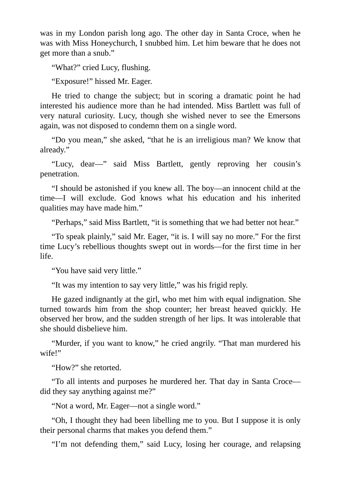was in my London parish long ago. The other day in Santa Croce, when he was with Miss Honeychurch, I snubbed him. Let him beware that he does not get more than a snub."

"What?" cried Lucy, flushing.

"Exposure!" hissed Mr. Eager.

He tried to change the subject; but in scoring a dramatic point he had interested his audience more than he had intended. Miss Bartlett was full of very natural curiosity. Lucy, though she wished never to see the Emersons again, was not disposed to condemn them on a single word.

"Do you mean," she asked, "that he is an irreligious man? We know that already."

"Lucy, dear—" said Miss Bartlett, gently reproving her cousin's penetration.

"I should be astonished if you knew all. The boy—an innocent child at the time—I will exclude. God knows what his education and his inherited qualities may have made him."

"Perhaps," said Miss Bartlett, "it is something that we had better not hear."

"To speak plainly," said Mr. Eager, "it is. I will say no more." For the first time Lucy's rebellious thoughts swept out in words—for the first time in her life.

"You have said very little."

"It was my intention to say very little," was his frigid reply.

He gazed indignantly at the girl, who met him with equal indignation. She turned towards him from the shop counter; her breast heaved quickly. He observed her brow, and the sudden strength of her lips. It was intolerable that she should disbelieve him.

"Murder, if you want to know," he cried angrily. "That man murdered his wife!"

"How?" she retorted.

"To all intents and purposes he murdered her. That day in Santa Croce did they say anything against me?"

"Not a word, Mr. Eager—not a single word."

"Oh, I thought they had been libelling me to you. But I suppose it is only their personal charms that makes you defend them."

"I'm not defending them," said Lucy, losing her courage, and relapsing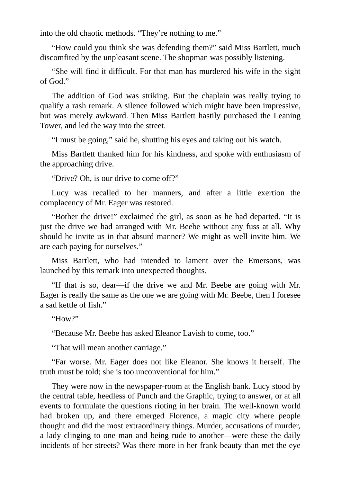into the old chaotic methods. "They're nothing to me."

"How could you think she was defending them?" said Miss Bartlett, much discomfited by the unpleasant scene. The shopman was possibly listening.

"She will find it difficult. For that man has murdered his wife in the sight of God."

The addition of God was striking. But the chaplain was really trying to qualify a rash remark. A silence followed which might have been impressive, but was merely awkward. Then Miss Bartlett hastily purchased the Leaning Tower, and led the way into the street.

"I must be going," said he, shutting his eyes and taking out his watch.

Miss Bartlett thanked him for his kindness, and spoke with enthusiasm of the approaching drive.

"Drive? Oh, is our drive to come off?"

Lucy was recalled to her manners, and after a little exertion the complacency of Mr. Eager was restored.

"Bother the drive!" exclaimed the girl, as soon as he had departed. "It is just the drive we had arranged with Mr. Beebe without any fuss at all. Why should he invite us in that absurd manner? We might as well invite him. We are each paying for ourselves."

Miss Bartlett, who had intended to lament over the Emersons, was launched by this remark into unexpected thoughts.

"If that is so, dear—if the drive we and Mr. Beebe are going with Mr. Eager is really the same as the one we are going with Mr. Beebe, then I foresee a sad kettle of fish."

"How?"

"Because Mr. Beebe has asked Eleanor Lavish to come, too."

"That will mean another carriage."

"Far worse. Mr. Eager does not like Eleanor. She knows it herself. The truth must be told; she is too unconventional for him."

They were now in the newspaper-room at the English bank. Lucy stood by the central table, heedless of Punch and the Graphic, trying to answer, or at all events to formulate the questions rioting in her brain. The well-known world had broken up, and there emerged Florence, a magic city where people thought and did the most extraordinary things. Murder, accusations of murder, a lady clinging to one man and being rude to another—were these the daily incidents of her streets? Was there more in her frank beauty than met the eye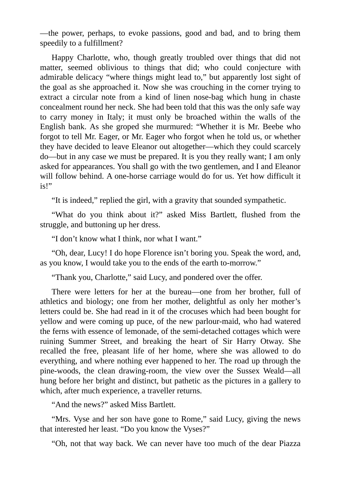—the power, perhaps, to evoke passions, good and bad, and to bring them speedily to a fulfillment?

Happy Charlotte, who, though greatly troubled over things that did not matter, seemed oblivious to things that did; who could conjecture with admirable delicacy "where things might lead to," but apparently lost sight of the goal as she approached it. Now she was crouching in the corner trying to extract a circular note from a kind of linen nose-bag which hung in chaste concealment round her neck. She had been told that this was the only safe way to carry money in Italy; it must only be broached within the walls of the English bank. As she groped she murmured: "Whether it is Mr. Beebe who forgot to tell Mr. Eager, or Mr. Eager who forgot when he told us, or whether they have decided to leave Eleanor out altogether—which they could scarcely do—but in any case we must be prepared. It is you they really want; I am only asked for appearances. You shall go with the two gentlemen, and I and Eleanor will follow behind. A one-horse carriage would do for us. Yet how difficult it is!"

"It is indeed," replied the girl, with a gravity that sounded sympathetic.

"What do you think about it?" asked Miss Bartlett, flushed from the struggle, and buttoning up her dress.

"I don't know what I think, nor what I want."

"Oh, dear, Lucy! I do hope Florence isn't boring you. Speak the word, and, as you know, I would take you to the ends of the earth to-morrow."

"Thank you, Charlotte," said Lucy, and pondered over the offer.

There were letters for her at the bureau—one from her brother, full of athletics and biology; one from her mother, delightful as only her mother's letters could be. She had read in it of the crocuses which had been bought for yellow and were coming up puce, of the new parlour-maid, who had watered the ferns with essence of lemonade, of the semi-detached cottages which were ruining Summer Street, and breaking the heart of Sir Harry Otway. She recalled the free, pleasant life of her home, where she was allowed to do everything, and where nothing ever happened to her. The road up through the pine-woods, the clean drawing-room, the view over the Sussex Weald—all hung before her bright and distinct, but pathetic as the pictures in a gallery to which, after much experience, a traveller returns.

"And the news?" asked Miss Bartlett.

"Mrs. Vyse and her son have gone to Rome," said Lucy, giving the news that interested her least. "Do you know the Vyses?"

"Oh, not that way back. We can never have too much of the dear Piazza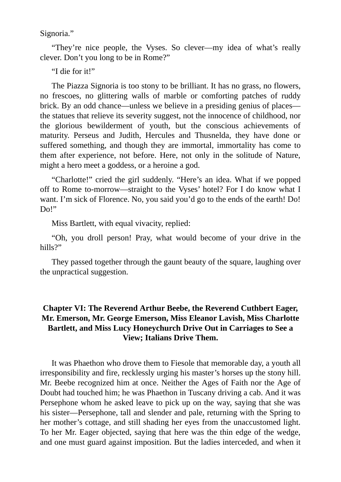Signoria."

"They're nice people, the Vyses. So clever—my idea of what's really clever. Don't you long to be in Rome?"

"I die for it!"

The Piazza Signoria is too stony to be brilliant. It has no grass, no flowers, no frescoes, no glittering walls of marble or comforting patches of ruddy brick. By an odd chance—unless we believe in a presiding genius of places the statues that relieve its severity suggest, not the innocence of childhood, nor the glorious bewilderment of youth, but the conscious achievements of maturity. Perseus and Judith, Hercules and Thusnelda, they have done or suffered something, and though they are immortal, immortality has come to them after experience, not before. Here, not only in the solitude of Nature, might a hero meet a goddess, or a heroine a god.

"Charlotte!" cried the girl suddenly. "Here's an idea. What if we popped off to Rome to-morrow—straight to the Vyses' hotel? For I do know what I want. I'm sick of Florence. No, you said you'd go to the ends of the earth! Do! Do!"

Miss Bartlett, with equal vivacity, replied:

"Oh, you droll person! Pray, what would become of your drive in the hills?"

They passed together through the gaunt beauty of the square, laughing over the unpractical suggestion.

# **Chapter VI: The Reverend Arthur Beebe, the Reverend Cuthbert Eager, Mr. Emerson, Mr. George Emerson, Miss Eleanor Lavish, Miss Charlotte Bartlett, and Miss Lucy Honeychurch Drive Out in Carriages to See a View; Italians Drive Them.**

It was Phaethon who drove them to Fiesole that memorable day, a youth all irresponsibility and fire, recklessly urging his master's horses up the stony hill. Mr. Beebe recognized him at once. Neither the Ages of Faith nor the Age of Doubt had touched him; he was Phaethon in Tuscany driving a cab. And it was Persephone whom he asked leave to pick up on the way, saying that she was his sister—Persephone, tall and slender and pale, returning with the Spring to her mother's cottage, and still shading her eyes from the unaccustomed light. To her Mr. Eager objected, saying that here was the thin edge of the wedge, and one must guard against imposition. But the ladies interceded, and when it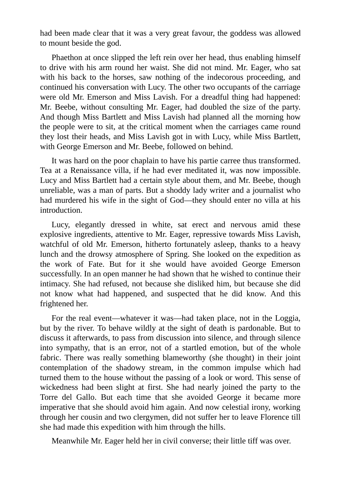had been made clear that it was a very great favour, the goddess was allowed to mount beside the god.

Phaethon at once slipped the left rein over her head, thus enabling himself to drive with his arm round her waist. She did not mind. Mr. Eager, who sat with his back to the horses, saw nothing of the indecorous proceeding, and continued his conversation with Lucy. The other two occupants of the carriage were old Mr. Emerson and Miss Lavish. For a dreadful thing had happened: Mr. Beebe, without consulting Mr. Eager, had doubled the size of the party. And though Miss Bartlett and Miss Lavish had planned all the morning how the people were to sit, at the critical moment when the carriages came round they lost their heads, and Miss Lavish got in with Lucy, while Miss Bartlett, with George Emerson and Mr. Beebe, followed on behind.

It was hard on the poor chaplain to have his partie carree thus transformed. Tea at a Renaissance villa, if he had ever meditated it, was now impossible. Lucy and Miss Bartlett had a certain style about them, and Mr. Beebe, though unreliable, was a man of parts. But a shoddy lady writer and a journalist who had murdered his wife in the sight of God—they should enter no villa at his introduction.

Lucy, elegantly dressed in white, sat erect and nervous amid these explosive ingredients, attentive to Mr. Eager, repressive towards Miss Lavish, watchful of old Mr. Emerson, hitherto fortunately asleep, thanks to a heavy lunch and the drowsy atmosphere of Spring. She looked on the expedition as the work of Fate. But for it she would have avoided George Emerson successfully. In an open manner he had shown that he wished to continue their intimacy. She had refused, not because she disliked him, but because she did not know what had happened, and suspected that he did know. And this frightened her.

For the real event—whatever it was—had taken place, not in the Loggia, but by the river. To behave wildly at the sight of death is pardonable. But to discuss it afterwards, to pass from discussion into silence, and through silence into sympathy, that is an error, not of a startled emotion, but of the whole fabric. There was really something blameworthy (she thought) in their joint contemplation of the shadowy stream, in the common impulse which had turned them to the house without the passing of a look or word. This sense of wickedness had been slight at first. She had nearly joined the party to the Torre del Gallo. But each time that she avoided George it became more imperative that she should avoid him again. And now celestial irony, working through her cousin and two clergymen, did not suffer her to leave Florence till she had made this expedition with him through the hills.

Meanwhile Mr. Eager held her in civil converse; their little tiff was over.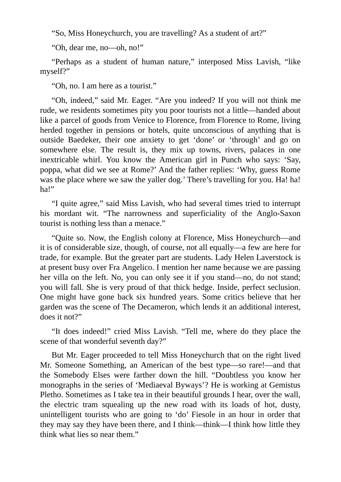"So, Miss Honeychurch, you are travelling? As a student of art?"

"Oh, dear me, no—oh, no!"

"Perhaps as a student of human nature," interposed Miss Lavish, "like myself?"

"Oh, no. I am here as a tourist."

"Oh, indeed," said Mr. Eager. "Are you indeed? If you will not think me rude, we residents sometimes pity you poor tourists not a little—handed about like a parcel of goods from Venice to Florence, from Florence to Rome, living herded together in pensions or hotels, quite unconscious of anything that is outside Baedeker, their one anxiety to get 'done' or 'through' and go on somewhere else. The result is, they mix up towns, rivers, palaces in one inextricable whirl. You know the American girl in Punch who says: 'Say, poppa, what did we see at Rome?' And the father replies: 'Why, guess Rome was the place where we saw the yaller dog.' There's travelling for you. Ha! ha! ha!"

"I quite agree," said Miss Lavish, who had several times tried to interrupt his mordant wit. "The narrowness and superficiality of the Anglo-Saxon tourist is nothing less than a menace."

"Quite so. Now, the English colony at Florence, Miss Honeychurch—and it is of considerable size, though, of course, not all equally—a few are here for trade, for example. But the greater part are students. Lady Helen Laverstock is at present busy over Fra Angelico. I mention her name because we are passing her villa on the left. No, you can only see it if you stand—no, do not stand; you will fall. She is very proud of that thick hedge. Inside, perfect seclusion. One might have gone back six hundred years. Some critics believe that her garden was the scene of The Decameron, which lends it an additional interest, does it not?"

"It does indeed!" cried Miss Lavish. "Tell me, where do they place the scene of that wonderful seventh day?"

But Mr. Eager proceeded to tell Miss Honeychurch that on the right lived Mr. Someone Something, an American of the best type—so rare!—and that the Somebody Elses were farther down the hill. "Doubtless you know her monographs in the series of 'Mediaeval Byways'? He is working at Gemistus Pletho. Sometimes as I take tea in their beautiful grounds I hear, over the wall, the electric tram squealing up the new road with its loads of hot, dusty, unintelligent tourists who are going to 'do' Fiesole in an hour in order that they may say they have been there, and I think—think—I think how little they think what lies so near them."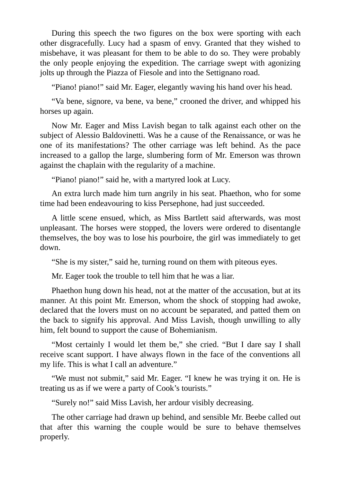During this speech the two figures on the box were sporting with each other disgracefully. Lucy had a spasm of envy. Granted that they wished to misbehave, it was pleasant for them to be able to do so. They were probably the only people enjoying the expedition. The carriage swept with agonizing jolts up through the Piazza of Fiesole and into the Settignano road.

"Piano! piano!" said Mr. Eager, elegantly waving his hand over his head.

"Va bene, signore, va bene, va bene," crooned the driver, and whipped his horses up again.

Now Mr. Eager and Miss Lavish began to talk against each other on the subject of Alessio Baldovinetti. Was he a cause of the Renaissance, or was he one of its manifestations? The other carriage was left behind. As the pace increased to a gallop the large, slumbering form of Mr. Emerson was thrown against the chaplain with the regularity of a machine.

"Piano! piano!" said he, with a martyred look at Lucy.

An extra lurch made him turn angrily in his seat. Phaethon, who for some time had been endeavouring to kiss Persephone, had just succeeded.

A little scene ensued, which, as Miss Bartlett said afterwards, was most unpleasant. The horses were stopped, the lovers were ordered to disentangle themselves, the boy was to lose his pourboire, the girl was immediately to get down.

"She is my sister," said he, turning round on them with piteous eyes.

Mr. Eager took the trouble to tell him that he was a liar.

Phaethon hung down his head, not at the matter of the accusation, but at its manner. At this point Mr. Emerson, whom the shock of stopping had awoke, declared that the lovers must on no account be separated, and patted them on the back to signify his approval. And Miss Lavish, though unwilling to ally him, felt bound to support the cause of Bohemianism.

"Most certainly I would let them be," she cried. "But I dare say I shall receive scant support. I have always flown in the face of the conventions all my life. This is what I call an adventure."

"We must not submit," said Mr. Eager. "I knew he was trying it on. He is treating us as if we were a party of Cook's tourists."

"Surely no!" said Miss Lavish, her ardour visibly decreasing.

The other carriage had drawn up behind, and sensible Mr. Beebe called out that after this warning the couple would be sure to behave themselves properly.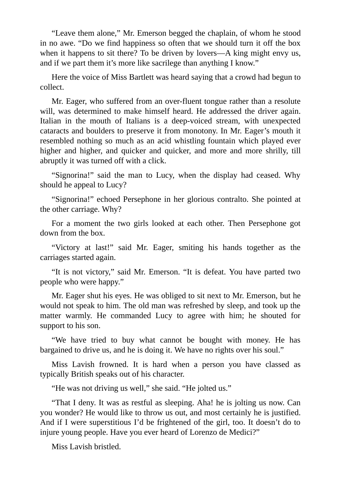"Leave them alone," Mr. Emerson begged the chaplain, of whom he stood in no awe. "Do we find happiness so often that we should turn it off the box when it happens to sit there? To be driven by lovers—A king might envy us, and if we part them it's more like sacrilege than anything I know."

Here the voice of Miss Bartlett was heard saying that a crowd had begun to collect.

Mr. Eager, who suffered from an over-fluent tongue rather than a resolute will, was determined to make himself heard. He addressed the driver again. Italian in the mouth of Italians is a deep-voiced stream, with unexpected cataracts and boulders to preserve it from monotony. In Mr. Eager's mouth it resembled nothing so much as an acid whistling fountain which played ever higher and higher, and quicker and quicker, and more and more shrilly, till abruptly it was turned off with a click.

"Signorina!" said the man to Lucy, when the display had ceased. Why should he appeal to Lucy?

"Signorina!" echoed Persephone in her glorious contralto. She pointed at the other carriage. Why?

For a moment the two girls looked at each other. Then Persephone got down from the box.

"Victory at last!" said Mr. Eager, smiting his hands together as the carriages started again.

"It is not victory," said Mr. Emerson. "It is defeat. You have parted two people who were happy."

Mr. Eager shut his eyes. He was obliged to sit next to Mr. Emerson, but he would not speak to him. The old man was refreshed by sleep, and took up the matter warmly. He commanded Lucy to agree with him; he shouted for support to his son.

"We have tried to buy what cannot be bought with money. He has bargained to drive us, and he is doing it. We have no rights over his soul."

Miss Lavish frowned. It is hard when a person you have classed as typically British speaks out of his character.

"He was not driving us well," she said. "He jolted us."

"That I deny. It was as restful as sleeping. Aha! he is jolting us now. Can you wonder? He would like to throw us out, and most certainly he is justified. And if I were superstitious I'd be frightened of the girl, too. It doesn't do to injure young people. Have you ever heard of Lorenzo de Medici?"

Miss Lavish bristled.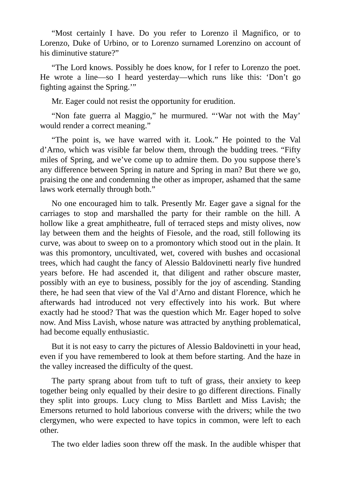"Most certainly I have. Do you refer to Lorenzo il Magnifico, or to Lorenzo, Duke of Urbino, or to Lorenzo surnamed Lorenzino on account of his diminutive stature?"

"The Lord knows. Possibly he does know, for I refer to Lorenzo the poet. He wrote a line—so I heard yesterday—which runs like this: 'Don't go fighting against the Spring.'"

Mr. Eager could not resist the opportunity for erudition.

"Non fate guerra al Maggio," he murmured. "'War not with the May' would render a correct meaning."

"The point is, we have warred with it. Look." He pointed to the Val d'Arno, which was visible far below them, through the budding trees. "Fifty miles of Spring, and we've come up to admire them. Do you suppose there's any difference between Spring in nature and Spring in man? But there we go, praising the one and condemning the other as improper, ashamed that the same laws work eternally through both."

No one encouraged him to talk. Presently Mr. Eager gave a signal for the carriages to stop and marshalled the party for their ramble on the hill. A hollow like a great amphitheatre, full of terraced steps and misty olives, now lay between them and the heights of Fiesole, and the road, still following its curve, was about to sweep on to a promontory which stood out in the plain. It was this promontory, uncultivated, wet, covered with bushes and occasional trees, which had caught the fancy of Alessio Baldovinetti nearly five hundred years before. He had ascended it, that diligent and rather obscure master, possibly with an eye to business, possibly for the joy of ascending. Standing there, he had seen that view of the Val d'Arno and distant Florence, which he afterwards had introduced not very effectively into his work. But where exactly had he stood? That was the question which Mr. Eager hoped to solve now. And Miss Lavish, whose nature was attracted by anything problematical, had become equally enthusiastic.

But it is not easy to carry the pictures of Alessio Baldovinetti in your head, even if you have remembered to look at them before starting. And the haze in the valley increased the difficulty of the quest.

The party sprang about from tuft to tuft of grass, their anxiety to keep together being only equalled by their desire to go different directions. Finally they split into groups. Lucy clung to Miss Bartlett and Miss Lavish; the Emersons returned to hold laborious converse with the drivers; while the two clergymen, who were expected to have topics in common, were left to each other.

The two elder ladies soon threw off the mask. In the audible whisper that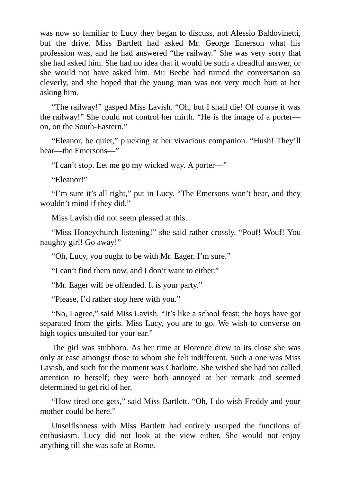was now so familiar to Lucy they began to discuss, not Alessio Baldovinetti, but the drive. Miss Bartlett had asked Mr. George Emerson what his profession was, and he had answered "the railway." She was very sorry that she had asked him. She had no idea that it would be such a dreadful answer, or she would not have asked him. Mr. Beebe had turned the conversation so cleverly, and she hoped that the young man was not very much hurt at her asking him.

"The railway!" gasped Miss Lavish. "Oh, but I shall die! Of course it was the railway!" She could not control her mirth. "He is the image of a porter on, on the South-Eastern."

"Eleanor, be quiet," plucking at her vivacious companion. "Hush! They'll hear—the Emersons—"

"I can't stop. Let me go my wicked way. A porter—"

"Eleanor!"

"I'm sure it's all right," put in Lucy. "The Emersons won't hear, and they wouldn't mind if they did."

Miss Lavish did not seem pleased at this.

"Miss Honeychurch listening!" she said rather crossly. "Pouf! Wouf! You naughty girl! Go away!"

"Oh, Lucy, you ought to be with Mr. Eager, I'm sure."

"I can't find them now, and I don't want to either."

"Mr. Eager will be offended. It is your party."

"Please, I'd rather stop here with you."

"No, I agree," said Miss Lavish. "It's like a school feast; the boys have got separated from the girls. Miss Lucy, you are to go. We wish to converse on high topics unsuited for your ear."

The girl was stubborn. As her time at Florence drew to its close she was only at ease amongst those to whom she felt indifferent. Such a one was Miss Lavish, and such for the moment was Charlotte. She wished she had not called attention to herself; they were both annoyed at her remark and seemed determined to get rid of her.

"How tired one gets," said Miss Bartlett. "Oh, I do wish Freddy and your mother could be here."

Unselfishness with Miss Bartlett had entirely usurped the functions of enthusiasm. Lucy did not look at the view either. She would not enjoy anything till she was safe at Rome.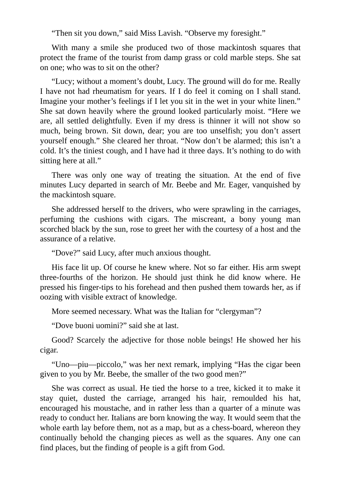"Then sit you down," said Miss Lavish. "Observe my foresight."

With many a smile she produced two of those mackintosh squares that protect the frame of the tourist from damp grass or cold marble steps. She sat on one; who was to sit on the other?

"Lucy; without a moment's doubt, Lucy. The ground will do for me. Really I have not had rheumatism for years. If I do feel it coming on I shall stand. Imagine your mother's feelings if I let you sit in the wet in your white linen." She sat down heavily where the ground looked particularly moist. "Here we are, all settled delightfully. Even if my dress is thinner it will not show so much, being brown. Sit down, dear; you are too unselfish; you don't assert yourself enough." She cleared her throat. "Now don't be alarmed; this isn't a cold. It's the tiniest cough, and I have had it three days. It's nothing to do with sitting here at all."

There was only one way of treating the situation. At the end of five minutes Lucy departed in search of Mr. Beebe and Mr. Eager, vanquished by the mackintosh square.

She addressed herself to the drivers, who were sprawling in the carriages, perfuming the cushions with cigars. The miscreant, a bony young man scorched black by the sun, rose to greet her with the courtesy of a host and the assurance of a relative.

"Dove?" said Lucy, after much anxious thought.

His face lit up. Of course he knew where. Not so far either. His arm swept three-fourths of the horizon. He should just think he did know where. He pressed his finger-tips to his forehead and then pushed them towards her, as if oozing with visible extract of knowledge.

More seemed necessary. What was the Italian for "clergyman"?

"Dove buoni uomini?" said she at last.

Good? Scarcely the adjective for those noble beings! He showed her his cigar.

"Uno—piu—piccolo," was her next remark, implying "Has the cigar been given to you by Mr. Beebe, the smaller of the two good men?"

She was correct as usual. He tied the horse to a tree, kicked it to make it stay quiet, dusted the carriage, arranged his hair, remoulded his hat, encouraged his moustache, and in rather less than a quarter of a minute was ready to conduct her. Italians are born knowing the way. It would seem that the whole earth lay before them, not as a map, but as a chess-board, whereon they continually behold the changing pieces as well as the squares. Any one can find places, but the finding of people is a gift from God.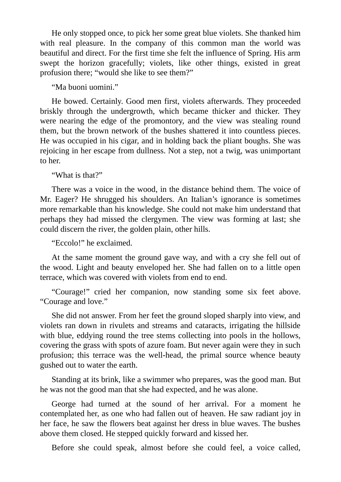He only stopped once, to pick her some great blue violets. She thanked him with real pleasure. In the company of this common man the world was beautiful and direct. For the first time she felt the influence of Spring. His arm swept the horizon gracefully; violets, like other things, existed in great profusion there; "would she like to see them?"

"Ma buoni uomini."

He bowed. Certainly. Good men first, violets afterwards. They proceeded briskly through the undergrowth, which became thicker and thicker. They were nearing the edge of the promontory, and the view was stealing round them, but the brown network of the bushes shattered it into countless pieces. He was occupied in his cigar, and in holding back the pliant boughs. She was rejoicing in her escape from dullness. Not a step, not a twig, was unimportant to her.

"What is that?"

There was a voice in the wood, in the distance behind them. The voice of Mr. Eager? He shrugged his shoulders. An Italian's ignorance is sometimes more remarkable than his knowledge. She could not make him understand that perhaps they had missed the clergymen. The view was forming at last; she could discern the river, the golden plain, other hills.

"Eccolo!" he exclaimed.

At the same moment the ground gave way, and with a cry she fell out of the wood. Light and beauty enveloped her. She had fallen on to a little open terrace, which was covered with violets from end to end.

"Courage!" cried her companion, now standing some six feet above. "Courage and love."

She did not answer. From her feet the ground sloped sharply into view, and violets ran down in rivulets and streams and cataracts, irrigating the hillside with blue, eddying round the tree stems collecting into pools in the hollows, covering the grass with spots of azure foam. But never again were they in such profusion; this terrace was the well-head, the primal source whence beauty gushed out to water the earth.

Standing at its brink, like a swimmer who prepares, was the good man. But he was not the good man that she had expected, and he was alone.

George had turned at the sound of her arrival. For a moment he contemplated her, as one who had fallen out of heaven. He saw radiant joy in her face, he saw the flowers beat against her dress in blue waves. The bushes above them closed. He stepped quickly forward and kissed her.

Before she could speak, almost before she could feel, a voice called,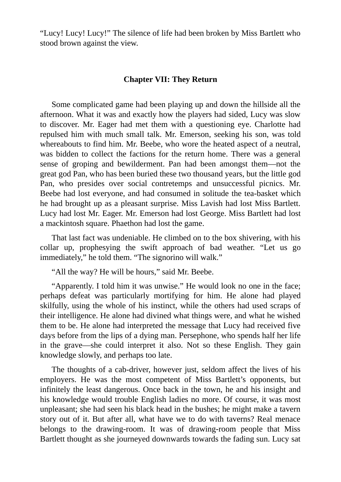"Lucy! Lucy! Lucy!" The silence of life had been broken by Miss Bartlett who stood brown against the view.

#### **Chapter VII: They Return**

Some complicated game had been playing up and down the hillside all the afternoon. What it was and exactly how the players had sided, Lucy was slow to discover. Mr. Eager had met them with a questioning eye. Charlotte had repulsed him with much small talk. Mr. Emerson, seeking his son, was told whereabouts to find him. Mr. Beebe, who wore the heated aspect of a neutral, was bidden to collect the factions for the return home. There was a general sense of groping and bewilderment. Pan had been amongst them—not the great god Pan, who has been buried these two thousand years, but the little god Pan, who presides over social contretemps and unsuccessful picnics. Mr. Beebe had lost everyone, and had consumed in solitude the tea-basket which he had brought up as a pleasant surprise. Miss Lavish had lost Miss Bartlett. Lucy had lost Mr. Eager. Mr. Emerson had lost George. Miss Bartlett had lost a mackintosh square. Phaethon had lost the game.

That last fact was undeniable. He climbed on to the box shivering, with his collar up, prophesying the swift approach of bad weather. "Let us go immediately," he told them. "The signorino will walk."

"All the way? He will be hours," said Mr. Beebe.

"Apparently. I told him it was unwise." He would look no one in the face; perhaps defeat was particularly mortifying for him. He alone had played skilfully, using the whole of his instinct, while the others had used scraps of their intelligence. He alone had divined what things were, and what he wished them to be. He alone had interpreted the message that Lucy had received five days before from the lips of a dying man. Persephone, who spends half her life in the grave—she could interpret it also. Not so these English. They gain knowledge slowly, and perhaps too late.

The thoughts of a cab-driver, however just, seldom affect the lives of his employers. He was the most competent of Miss Bartlett's opponents, but infinitely the least dangerous. Once back in the town, he and his insight and his knowledge would trouble English ladies no more. Of course, it was most unpleasant; she had seen his black head in the bushes; he might make a tavern story out of it. But after all, what have we to do with taverns? Real menace belongs to the drawing-room. It was of drawing-room people that Miss Bartlett thought as she journeyed downwards towards the fading sun. Lucy sat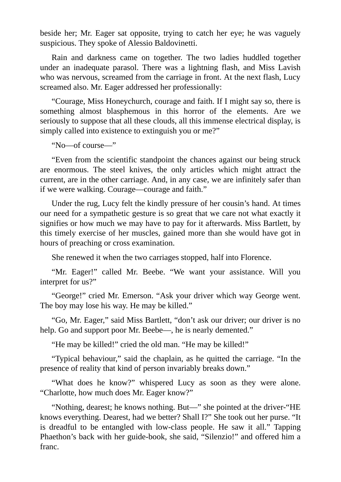beside her; Mr. Eager sat opposite, trying to catch her eye; he was vaguely suspicious. They spoke of Alessio Baldovinetti.

Rain and darkness came on together. The two ladies huddled together under an inadequate parasol. There was a lightning flash, and Miss Lavish who was nervous, screamed from the carriage in front. At the next flash, Lucy screamed also. Mr. Eager addressed her professionally:

"Courage, Miss Honeychurch, courage and faith. If I might say so, there is something almost blasphemous in this horror of the elements. Are we seriously to suppose that all these clouds, all this immense electrical display, is simply called into existence to extinguish you or me?"

"No—of course—"

"Even from the scientific standpoint the chances against our being struck are enormous. The steel knives, the only articles which might attract the current, are in the other carriage. And, in any case, we are infinitely safer than if we were walking. Courage—courage and faith."

Under the rug, Lucy felt the kindly pressure of her cousin's hand. At times our need for a sympathetic gesture is so great that we care not what exactly it signifies or how much we may have to pay for it afterwards. Miss Bartlett, by this timely exercise of her muscles, gained more than she would have got in hours of preaching or cross examination.

She renewed it when the two carriages stopped, half into Florence.

"Mr. Eager!" called Mr. Beebe. "We want your assistance. Will you interpret for us?"

"George!" cried Mr. Emerson. "Ask your driver which way George went. The boy may lose his way. He may be killed."

"Go, Mr. Eager," said Miss Bartlett, "don't ask our driver; our driver is no help. Go and support poor Mr. Beebe—, he is nearly demented."

"He may be killed!" cried the old man. "He may be killed!"

"Typical behaviour," said the chaplain, as he quitted the carriage. "In the presence of reality that kind of person invariably breaks down."

"What does he know?" whispered Lucy as soon as they were alone. "Charlotte, how much does Mr. Eager know?"

"Nothing, dearest; he knows nothing. But—" she pointed at the driver-"HE knows everything. Dearest, had we better? Shall I?" She took out her purse. "It is dreadful to be entangled with low-class people. He saw it all." Tapping Phaethon's back with her guide-book, she said, "Silenzio!" and offered him a franc.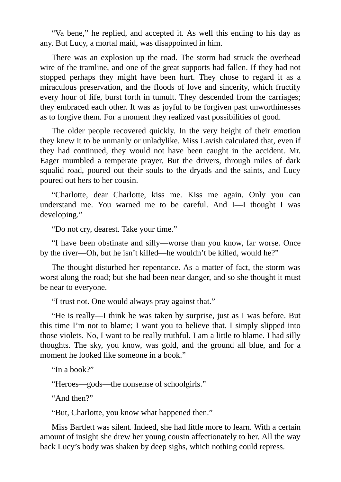"Va bene," he replied, and accepted it. As well this ending to his day as any. But Lucy, a mortal maid, was disappointed in him.

There was an explosion up the road. The storm had struck the overhead wire of the tramline, and one of the great supports had fallen. If they had not stopped perhaps they might have been hurt. They chose to regard it as a miraculous preservation, and the floods of love and sincerity, which fructify every hour of life, burst forth in tumult. They descended from the carriages; they embraced each other. It was as joyful to be forgiven past unworthinesses as to forgive them. For a moment they realized vast possibilities of good.

The older people recovered quickly. In the very height of their emotion they knew it to be unmanly or unladylike. Miss Lavish calculated that, even if they had continued, they would not have been caught in the accident. Mr. Eager mumbled a temperate prayer. But the drivers, through miles of dark squalid road, poured out their souls to the dryads and the saints, and Lucy poured out hers to her cousin.

"Charlotte, dear Charlotte, kiss me. Kiss me again. Only you can understand me. You warned me to be careful. And I—I thought I was developing."

"Do not cry, dearest. Take your time."

"I have been obstinate and silly—worse than you know, far worse. Once by the river—Oh, but he isn't killed—he wouldn't be killed, would he?"

The thought disturbed her repentance. As a matter of fact, the storm was worst along the road; but she had been near danger, and so she thought it must be near to everyone.

"I trust not. One would always pray against that."

"He is really—I think he was taken by surprise, just as I was before. But this time I'm not to blame; I want you to believe that. I simply slipped into those violets. No, I want to be really truthful. I am a little to blame. I had silly thoughts. The sky, you know, was gold, and the ground all blue, and for a moment he looked like someone in a book."

"In a book?"

"Heroes—gods—the nonsense of schoolgirls."

"And then?"

"But, Charlotte, you know what happened then."

Miss Bartlett was silent. Indeed, she had little more to learn. With a certain amount of insight she drew her young cousin affectionately to her. All the way back Lucy's body was shaken by deep sighs, which nothing could repress.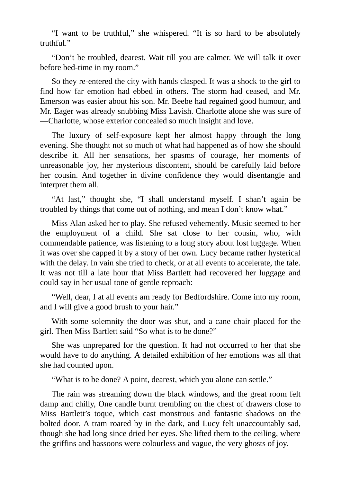"I want to be truthful," she whispered. "It is so hard to be absolutely truthful."

"Don't be troubled, dearest. Wait till you are calmer. We will talk it over before bed-time in my room."

So they re-entered the city with hands clasped. It was a shock to the girl to find how far emotion had ebbed in others. The storm had ceased, and Mr. Emerson was easier about his son. Mr. Beebe had regained good humour, and Mr. Eager was already snubbing Miss Lavish. Charlotte alone she was sure of —Charlotte, whose exterior concealed so much insight and love.

The luxury of self-exposure kept her almost happy through the long evening. She thought not so much of what had happened as of how she should describe it. All her sensations, her spasms of courage, her moments of unreasonable joy, her mysterious discontent, should be carefully laid before her cousin. And together in divine confidence they would disentangle and interpret them all.

"At last," thought she, "I shall understand myself. I shan't again be troubled by things that come out of nothing, and mean I don't know what."

Miss Alan asked her to play. She refused vehemently. Music seemed to her the employment of a child. She sat close to her cousin, who, with commendable patience, was listening to a long story about lost luggage. When it was over she capped it by a story of her own. Lucy became rather hysterical with the delay. In vain she tried to check, or at all events to accelerate, the tale. It was not till a late hour that Miss Bartlett had recovered her luggage and could say in her usual tone of gentle reproach:

"Well, dear, I at all events am ready for Bedfordshire. Come into my room, and I will give a good brush to your hair."

With some solemnity the door was shut, and a cane chair placed for the girl. Then Miss Bartlett said "So what is to be done?"

She was unprepared for the question. It had not occurred to her that she would have to do anything. A detailed exhibition of her emotions was all that she had counted upon.

"What is to be done? A point, dearest, which you alone can settle."

The rain was streaming down the black windows, and the great room felt damp and chilly, One candle burnt trembling on the chest of drawers close to Miss Bartlett's toque, which cast monstrous and fantastic shadows on the bolted door. A tram roared by in the dark, and Lucy felt unaccountably sad, though she had long since dried her eyes. She lifted them to the ceiling, where the griffins and bassoons were colourless and vague, the very ghosts of joy.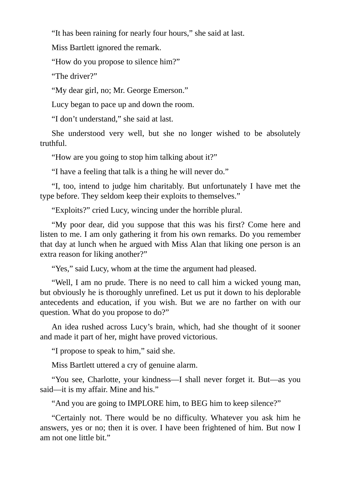"It has been raining for nearly four hours," she said at last.

Miss Bartlett ignored the remark.

"How do you propose to silence him?"

"The driver?"

"My dear girl, no; Mr. George Emerson."

Lucy began to pace up and down the room.

"I don't understand," she said at last.

She understood very well, but she no longer wished to be absolutely truthful.

"How are you going to stop him talking about it?"

"I have a feeling that talk is a thing he will never do."

"I, too, intend to judge him charitably. But unfortunately I have met the type before. They seldom keep their exploits to themselves."

"Exploits?" cried Lucy, wincing under the horrible plural.

"My poor dear, did you suppose that this was his first? Come here and listen to me. I am only gathering it from his own remarks. Do you remember that day at lunch when he argued with Miss Alan that liking one person is an extra reason for liking another?"

"Yes," said Lucy, whom at the time the argument had pleased.

"Well, I am no prude. There is no need to call him a wicked young man, but obviously he is thoroughly unrefined. Let us put it down to his deplorable antecedents and education, if you wish. But we are no farther on with our question. What do you propose to do?"

An idea rushed across Lucy's brain, which, had she thought of it sooner and made it part of her, might have proved victorious.

"I propose to speak to him," said she.

Miss Bartlett uttered a cry of genuine alarm.

"You see, Charlotte, your kindness—I shall never forget it. But—as you said—it is my affair. Mine and his."

"And you are going to IMPLORE him, to BEG him to keep silence?"

"Certainly not. There would be no difficulty. Whatever you ask him he answers, yes or no; then it is over. I have been frightened of him. But now I am not one little bit."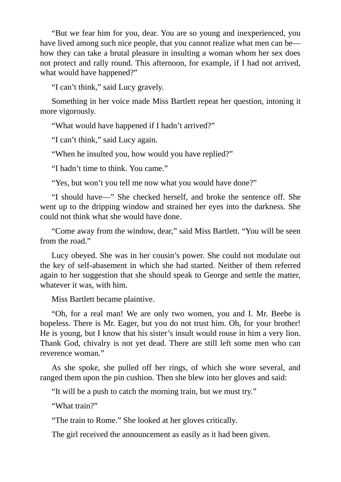"But we fear him for you, dear. You are so young and inexperienced, you have lived among such nice people, that you cannot realize what men can be how they can take a brutal pleasure in insulting a woman whom her sex does not protect and rally round. This afternoon, for example, if I had not arrived, what would have happened?"

"I can't think," said Lucy gravely.

Something in her voice made Miss Bartlett repeat her question, intoning it more vigorously.

"What would have happened if I hadn't arrived?"

"I can't think," said Lucy again.

"When he insulted you, how would you have replied?"

"I hadn't time to think. You came."

"Yes, but won't you tell me now what you would have done?"

"I should have—" She checked herself, and broke the sentence off. She went up to the dripping window and strained her eyes into the darkness. She could not think what she would have done.

"Come away from the window, dear," said Miss Bartlett. "You will be seen from the road."

Lucy obeyed. She was in her cousin's power. She could not modulate out the key of self-abasement in which she had started. Neither of them referred again to her suggestion that she should speak to George and settle the matter, whatever it was, with him.

Miss Bartlett became plaintive.

"Oh, for a real man! We are only two women, you and I. Mr. Beebe is hopeless. There is Mr. Eager, but you do not trust him. Oh, for your brother! He is young, but I know that his sister's insult would rouse in him a very lion. Thank God, chivalry is not yet dead. There are still left some men who can reverence woman."

As she spoke, she pulled off her rings, of which she wore several, and ranged them upon the pin cushion. Then she blew into her gloves and said:

"It will be a push to catch the morning train, but we must try."

"What train?"

"The train to Rome." She looked at her gloves critically.

The girl received the announcement as easily as it had been given.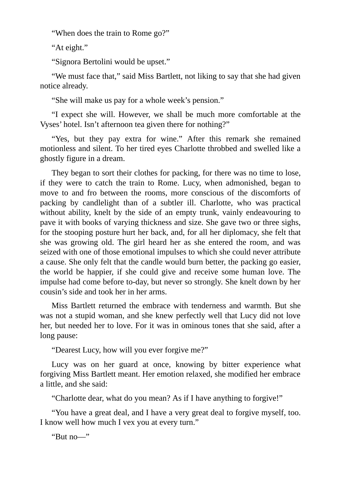"When does the train to Rome go?"

"At eight."

"Signora Bertolini would be upset."

"We must face that," said Miss Bartlett, not liking to say that she had given notice already.

"She will make us pay for a whole week's pension."

"I expect she will. However, we shall be much more comfortable at the Vyses' hotel. Isn't afternoon tea given there for nothing?"

"Yes, but they pay extra for wine." After this remark she remained motionless and silent. To her tired eyes Charlotte throbbed and swelled like a ghostly figure in a dream.

They began to sort their clothes for packing, for there was no time to lose, if they were to catch the train to Rome. Lucy, when admonished, began to move to and fro between the rooms, more conscious of the discomforts of packing by candlelight than of a subtler ill. Charlotte, who was practical without ability, knelt by the side of an empty trunk, vainly endeavouring to pave it with books of varying thickness and size. She gave two or three sighs, for the stooping posture hurt her back, and, for all her diplomacy, she felt that she was growing old. The girl heard her as she entered the room, and was seized with one of those emotional impulses to which she could never attribute a cause. She only felt that the candle would burn better, the packing go easier, the world be happier, if she could give and receive some human love. The impulse had come before to-day, but never so strongly. She knelt down by her cousin's side and took her in her arms.

Miss Bartlett returned the embrace with tenderness and warmth. But she was not a stupid woman, and she knew perfectly well that Lucy did not love her, but needed her to love. For it was in ominous tones that she said, after a long pause:

"Dearest Lucy, how will you ever forgive me?"

Lucy was on her guard at once, knowing by bitter experience what forgiving Miss Bartlett meant. Her emotion relaxed, she modified her embrace a little, and she said:

"Charlotte dear, what do you mean? As if I have anything to forgive!"

"You have a great deal, and I have a very great deal to forgive myself, too. I know well how much I vex you at every turn."

"But no—"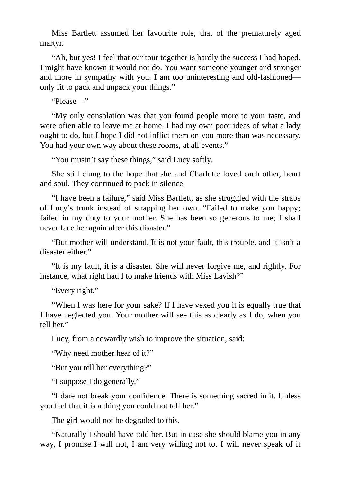Miss Bartlett assumed her favourite role, that of the prematurely aged martyr.

"Ah, but yes! I feel that our tour together is hardly the success I had hoped. I might have known it would not do. You want someone younger and stronger and more in sympathy with you. I am too uninteresting and old-fashioned only fit to pack and unpack your things."

"Please—"

"My only consolation was that you found people more to your taste, and were often able to leave me at home. I had my own poor ideas of what a lady ought to do, but I hope I did not inflict them on you more than was necessary. You had your own way about these rooms, at all events."

"You mustn't say these things," said Lucy softly.

She still clung to the hope that she and Charlotte loved each other, heart and soul. They continued to pack in silence.

"I have been a failure," said Miss Bartlett, as she struggled with the straps of Lucy's trunk instead of strapping her own. "Failed to make you happy; failed in my duty to your mother. She has been so generous to me; I shall never face her again after this disaster."

"But mother will understand. It is not your fault, this trouble, and it isn't a disaster either."

"It is my fault, it is a disaster. She will never forgive me, and rightly. For instance, what right had I to make friends with Miss Lavish?"

"Every right."

"When I was here for your sake? If I have vexed you it is equally true that I have neglected you. Your mother will see this as clearly as I do, when you tell her."

Lucy, from a cowardly wish to improve the situation, said:

"Why need mother hear of it?"

"But you tell her everything?"

"I suppose I do generally."

"I dare not break your confidence. There is something sacred in it. Unless you feel that it is a thing you could not tell her."

The girl would not be degraded to this.

"Naturally I should have told her. But in case she should blame you in any way, I promise I will not, I am very willing not to. I will never speak of it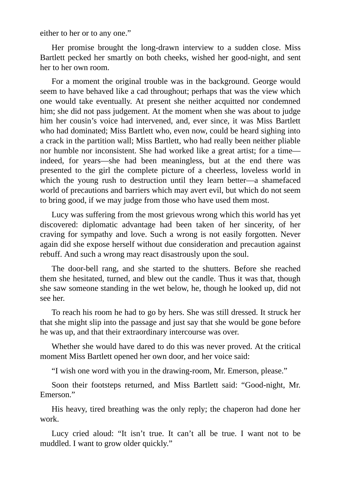either to her or to any one."

Her promise brought the long-drawn interview to a sudden close. Miss Bartlett pecked her smartly on both cheeks, wished her good-night, and sent her to her own room.

For a moment the original trouble was in the background. George would seem to have behaved like a cad throughout; perhaps that was the view which one would take eventually. At present she neither acquitted nor condemned him; she did not pass judgement. At the moment when she was about to judge him her cousin's voice had intervened, and, ever since, it was Miss Bartlett who had dominated; Miss Bartlett who, even now, could be heard sighing into a crack in the partition wall; Miss Bartlett, who had really been neither pliable nor humble nor inconsistent. She had worked like a great artist; for a time indeed, for years—she had been meaningless, but at the end there was presented to the girl the complete picture of a cheerless, loveless world in which the young rush to destruction until they learn better—a shamefaced world of precautions and barriers which may avert evil, but which do not seem to bring good, if we may judge from those who have used them most.

Lucy was suffering from the most grievous wrong which this world has yet discovered: diplomatic advantage had been taken of her sincerity, of her craving for sympathy and love. Such a wrong is not easily forgotten. Never again did she expose herself without due consideration and precaution against rebuff. And such a wrong may react disastrously upon the soul.

The door-bell rang, and she started to the shutters. Before she reached them she hesitated, turned, and blew out the candle. Thus it was that, though she saw someone standing in the wet below, he, though he looked up, did not see her.

To reach his room he had to go by hers. She was still dressed. It struck her that she might slip into the passage and just say that she would be gone before he was up, and that their extraordinary intercourse was over.

Whether she would have dared to do this was never proved. At the critical moment Miss Bartlett opened her own door, and her voice said:

"I wish one word with you in the drawing-room, Mr. Emerson, please."

Soon their footsteps returned, and Miss Bartlett said: "Good-night, Mr. Emerson."

His heavy, tired breathing was the only reply; the chaperon had done her work.

Lucy cried aloud: "It isn't true. It can't all be true. I want not to be muddled. I want to grow older quickly."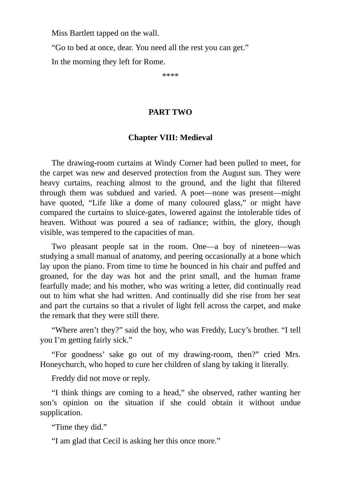Miss Bartlett tapped on the wall.

"Go to bed at once, dear. You need all the rest you can get."

In the morning they left for Rome.

\*\*\*\*

### **PART TWO**

## **Chapter VIII: Medieval**

The drawing-room curtains at Windy Corner had been pulled to meet, for the carpet was new and deserved protection from the August sun. They were heavy curtains, reaching almost to the ground, and the light that filtered through them was subdued and varied. A poet—none was present—might have quoted, "Life like a dome of many coloured glass," or might have compared the curtains to sluice-gates, lowered against the intolerable tides of heaven. Without was poured a sea of radiance; within, the glory, though visible, was tempered to the capacities of man.

Two pleasant people sat in the room. One—a boy of nineteen—was studying a small manual of anatomy, and peering occasionally at a bone which lay upon the piano. From time to time he bounced in his chair and puffed and groaned, for the day was hot and the print small, and the human frame fearfully made; and his mother, who was writing a letter, did continually read out to him what she had written. And continually did she rise from her seat and part the curtains so that a rivulet of light fell across the carpet, and make the remark that they were still there.

"Where aren't they?" said the boy, who was Freddy, Lucy's brother. "I tell you I'm getting fairly sick."

"For goodness' sake go out of my drawing-room, then?" cried Mrs. Honeychurch, who hoped to cure her children of slang by taking it literally.

Freddy did not move or reply.

"I think things are coming to a head," she observed, rather wanting her son's opinion on the situation if she could obtain it without undue supplication.

"Time they did."

"I am glad that Cecil is asking her this once more."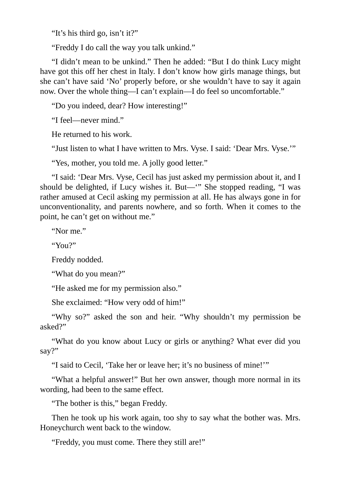"It's his third go, isn't it?"

"Freddy I do call the way you talk unkind."

"I didn't mean to be unkind." Then he added: "But I do think Lucy might have got this off her chest in Italy. I don't know how girls manage things, but she can't have said 'No' properly before, or she wouldn't have to say it again now. Over the whole thing—I can't explain—I do feel so uncomfortable."

"Do you indeed, dear? How interesting!"

"I feel—never mind."

He returned to his work.

"Just listen to what I have written to Mrs. Vyse. I said: 'Dear Mrs. Vyse.'"

"Yes, mother, you told me. A jolly good letter."

"I said: 'Dear Mrs. Vyse, Cecil has just asked my permission about it, and I should be delighted, if Lucy wishes it. But—'" She stopped reading, "I was rather amused at Cecil asking my permission at all. He has always gone in for unconventionality, and parents nowhere, and so forth. When it comes to the point, he can't get on without me."

"Nor me."

"You?"

Freddy nodded.

"What do you mean?"

"He asked me for my permission also."

She exclaimed: "How very odd of him!"

"Why so?" asked the son and heir. "Why shouldn't my permission be asked?"

"What do you know about Lucy or girls or anything? What ever did you say?"

"I said to Cecil, 'Take her or leave her; it's no business of mine!'"

"What a helpful answer!" But her own answer, though more normal in its wording, had been to the same effect.

"The bother is this," began Freddy.

Then he took up his work again, too shy to say what the bother was. Mrs. Honeychurch went back to the window.

"Freddy, you must come. There they still are!"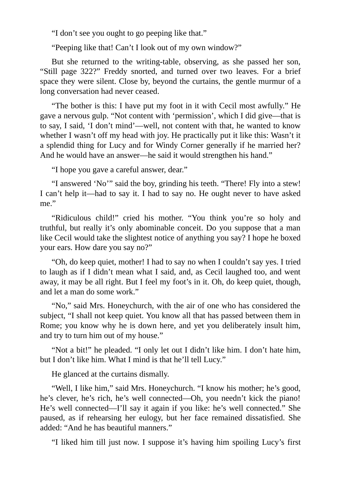"I don't see you ought to go peeping like that."

"Peeping like that! Can't I look out of my own window?"

But she returned to the writing-table, observing, as she passed her son, "Still page 322?" Freddy snorted, and turned over two leaves. For a brief space they were silent. Close by, beyond the curtains, the gentle murmur of a long conversation had never ceased.

"The bother is this: I have put my foot in it with Cecil most awfully." He gave a nervous gulp. "Not content with 'permission', which I did give—that is to say, I said, 'I don't mind'—well, not content with that, he wanted to know whether I wasn't off my head with joy. He practically put it like this: Wasn't it a splendid thing for Lucy and for Windy Corner generally if he married her? And he would have an answer—he said it would strengthen his hand."

"I hope you gave a careful answer, dear."

"I answered 'No'" said the boy, grinding his teeth. "There! Fly into a stew! I can't help it—had to say it. I had to say no. He ought never to have asked me."

"Ridiculous child!" cried his mother. "You think you're so holy and truthful, but really it's only abominable conceit. Do you suppose that a man like Cecil would take the slightest notice of anything you say? I hope he boxed your ears. How dare you say no?"

"Oh, do keep quiet, mother! I had to say no when I couldn't say yes. I tried to laugh as if I didn't mean what I said, and, as Cecil laughed too, and went away, it may be all right. But I feel my foot's in it. Oh, do keep quiet, though, and let a man do some work."

"No," said Mrs. Honeychurch, with the air of one who has considered the subject, "I shall not keep quiet. You know all that has passed between them in Rome; you know why he is down here, and yet you deliberately insult him, and try to turn him out of my house."

"Not a bit!" he pleaded. "I only let out I didn't like him. I don't hate him, but I don't like him. What I mind is that he'll tell Lucy."

He glanced at the curtains dismally.

"Well, I like him," said Mrs. Honeychurch. "I know his mother; he's good, he's clever, he's rich, he's well connected—Oh, you needn't kick the piano! He's well connected—I'll say it again if you like: he's well connected." She paused, as if rehearsing her eulogy, but her face remained dissatisfied. She added: "And he has beautiful manners."

"I liked him till just now. I suppose it's having him spoiling Lucy's first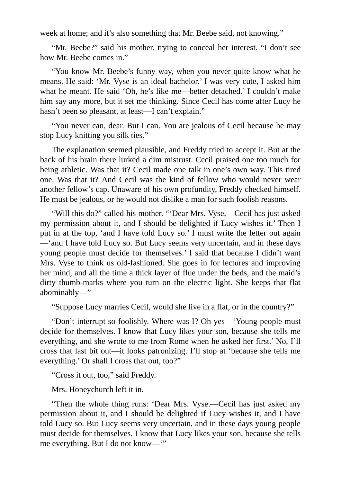week at home; and it's also something that Mr. Beebe said, not knowing."

"Mr. Beebe?" said his mother, trying to conceal her interest. "I don't see how Mr. Beebe comes in."

"You know Mr. Beebe's funny way, when you never quite know what he means. He said: 'Mr. Vyse is an ideal bachelor.' I was very cute, I asked him what he meant. He said 'Oh, he's like me—better detached.' I couldn't make him say any more, but it set me thinking. Since Cecil has come after Lucy he hasn't been so pleasant, at least—I can't explain."

"You never can, dear. But I can. You are jealous of Cecil because he may stop Lucy knitting you silk ties."

The explanation seemed plausible, and Freddy tried to accept it. But at the back of his brain there lurked a dim mistrust. Cecil praised one too much for being athletic. Was that it? Cecil made one talk in one's own way. This tired one. Was that it? And Cecil was the kind of fellow who would never wear another fellow's cap. Unaware of his own profundity, Freddy checked himself. He must be jealous, or he would not dislike a man for such foolish reasons.

"Will this do?" called his mother. "'Dear Mrs. Vyse,—Cecil has just asked my permission about it, and I should be delighted if Lucy wishes it.' Then I put in at the top, 'and I have told Lucy so.' I must write the letter out again —'and I have told Lucy so. But Lucy seems very uncertain, and in these days young people must decide for themselves.' I said that because I didn't want Mrs. Vyse to think us old-fashioned. She goes in for lectures and improving her mind, and all the time a thick layer of flue under the beds, and the maid's dirty thumb-marks where you turn on the electric light. She keeps that flat abominably—"

"Suppose Lucy marries Cecil, would she live in a flat, or in the country?"

"Don't interrupt so foolishly. Where was I? Oh yes—'Young people must decide for themselves. I know that Lucy likes your son, because she tells me everything, and she wrote to me from Rome when he asked her first.' No, I'll cross that last bit out—it looks patronizing. I'll stop at 'because she tells me everything.' Or shall I cross that out, too?"

"Cross it out, too," said Freddy.

Mrs. Honeychurch left it in.

"Then the whole thing runs: 'Dear Mrs. Vyse.—Cecil has just asked my permission about it, and I should be delighted if Lucy wishes it, and I have told Lucy so. But Lucy seems very uncertain, and in these days young people must decide for themselves. I know that Lucy likes your son, because she tells me everything. But I do not know—'"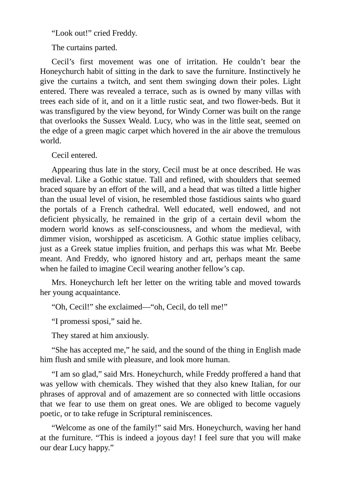"Look out!" cried Freddy.

The curtains parted.

Cecil's first movement was one of irritation. He couldn't bear the Honeychurch habit of sitting in the dark to save the furniture. Instinctively he give the curtains a twitch, and sent them swinging down their poles. Light entered. There was revealed a terrace, such as is owned by many villas with trees each side of it, and on it a little rustic seat, and two flower-beds. But it was transfigured by the view beyond, for Windy Corner was built on the range that overlooks the Sussex Weald. Lucy, who was in the little seat, seemed on the edge of a green magic carpet which hovered in the air above the tremulous world.

Cecil entered.

Appearing thus late in the story, Cecil must be at once described. He was medieval. Like a Gothic statue. Tall and refined, with shoulders that seemed braced square by an effort of the will, and a head that was tilted a little higher than the usual level of vision, he resembled those fastidious saints who guard the portals of a French cathedral. Well educated, well endowed, and not deficient physically, he remained in the grip of a certain devil whom the modern world knows as self-consciousness, and whom the medieval, with dimmer vision, worshipped as asceticism. A Gothic statue implies celibacy, just as a Greek statue implies fruition, and perhaps this was what Mr. Beebe meant. And Freddy, who ignored history and art, perhaps meant the same when he failed to imagine Cecil wearing another fellow's cap.

Mrs. Honeychurch left her letter on the writing table and moved towards her young acquaintance.

"Oh, Cecil!" she exclaimed—"oh, Cecil, do tell me!"

"I promessi sposi," said he.

They stared at him anxiously.

"She has accepted me," he said, and the sound of the thing in English made him flush and smile with pleasure, and look more human.

"I am so glad," said Mrs. Honeychurch, while Freddy proffered a hand that was yellow with chemicals. They wished that they also knew Italian, for our phrases of approval and of amazement are so connected with little occasions that we fear to use them on great ones. We are obliged to become vaguely poetic, or to take refuge in Scriptural reminiscences.

"Welcome as one of the family!" said Mrs. Honeychurch, waving her hand at the furniture. "This is indeed a joyous day! I feel sure that you will make our dear Lucy happy."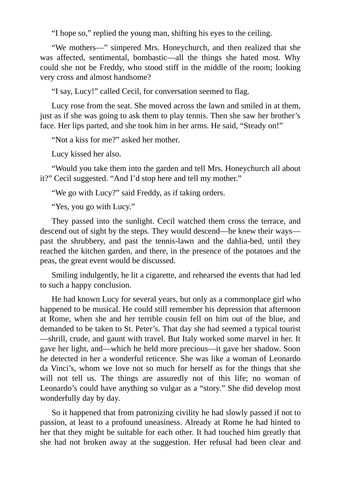"I hope so," replied the young man, shifting his eyes to the ceiling.

"We mothers—" simpered Mrs. Honeychurch, and then realized that she was affected, sentimental, bombastic—all the things she hated most. Why could she not be Freddy, who stood stiff in the middle of the room; looking very cross and almost handsome?

"I say, Lucy!" called Cecil, for conversation seemed to flag.

Lucy rose from the seat. She moved across the lawn and smiled in at them, just as if she was going to ask them to play tennis. Then she saw her brother's face. Her lips parted, and she took him in her arms. He said, "Steady on!"

"Not a kiss for me?" asked her mother.

Lucy kissed her also.

"Would you take them into the garden and tell Mrs. Honeychurch all about it?" Cecil suggested. "And I'd stop here and tell my mother."

"We go with Lucy?" said Freddy, as if taking orders.

"Yes, you go with Lucy."

They passed into the sunlight. Cecil watched them cross the terrace, and descend out of sight by the steps. They would descend—he knew their ways past the shrubbery, and past the tennis-lawn and the dahlia-bed, until they reached the kitchen garden, and there, in the presence of the potatoes and the peas, the great event would be discussed.

Smiling indulgently, he lit a cigarette, and rehearsed the events that had led to such a happy conclusion.

He had known Lucy for several years, but only as a commonplace girl who happened to be musical. He could still remember his depression that afternoon at Rome, when she and her terrible cousin fell on him out of the blue, and demanded to be taken to St. Peter's. That day she had seemed a typical tourist —shrill, crude, and gaunt with travel. But Italy worked some marvel in her. It gave her light, and—which he held more precious—it gave her shadow. Soon he detected in her a wonderful reticence. She was like a woman of Leonardo da Vinci's, whom we love not so much for herself as for the things that she will not tell us. The things are assuredly not of this life; no woman of Leonardo's could have anything so vulgar as a "story." She did develop most wonderfully day by day.

So it happened that from patronizing civility he had slowly passed if not to passion, at least to a profound uneasiness. Already at Rome he had hinted to her that they might be suitable for each other. It had touched him greatly that she had not broken away at the suggestion. Her refusal had been clear and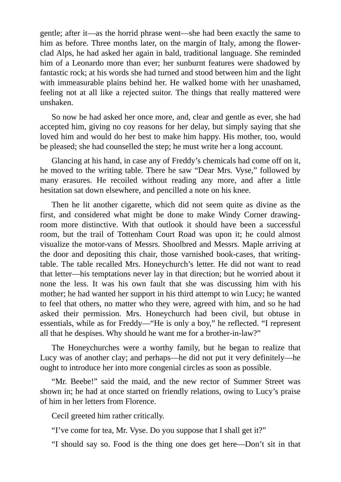gentle; after it—as the horrid phrase went—she had been exactly the same to him as before. Three months later, on the margin of Italy, among the flowerclad Alps, he had asked her again in bald, traditional language. She reminded him of a Leonardo more than ever; her sunburnt features were shadowed by fantastic rock; at his words she had turned and stood between him and the light with immeasurable plains behind her. He walked home with her unashamed, feeling not at all like a rejected suitor. The things that really mattered were unshaken.

So now he had asked her once more, and, clear and gentle as ever, she had accepted him, giving no coy reasons for her delay, but simply saying that she loved him and would do her best to make him happy. His mother, too, would be pleased; she had counselled the step; he must write her a long account.

Glancing at his hand, in case any of Freddy's chemicals had come off on it, he moved to the writing table. There he saw "Dear Mrs. Vyse," followed by many erasures. He recoiled without reading any more, and after a little hesitation sat down elsewhere, and pencilled a note on his knee.

Then he lit another cigarette, which did not seem quite as divine as the first, and considered what might be done to make Windy Corner drawingroom more distinctive. With that outlook it should have been a successful room, but the trail of Tottenham Court Road was upon it; he could almost visualize the motor-vans of Messrs. Shoolbred and Messrs. Maple arriving at the door and depositing this chair, those varnished book-cases, that writingtable. The table recalled Mrs. Honeychurch's letter. He did not want to read that letter—his temptations never lay in that direction; but he worried about it none the less. It was his own fault that she was discussing him with his mother; he had wanted her support in his third attempt to win Lucy; he wanted to feel that others, no matter who they were, agreed with him, and so he had asked their permission. Mrs. Honeychurch had been civil, but obtuse in essentials, while as for Freddy—"He is only a boy," he reflected. "I represent all that he despises. Why should he want me for a brother-in-law?"

The Honeychurches were a worthy family, but he began to realize that Lucy was of another clay; and perhaps—he did not put it very definitely—he ought to introduce her into more congenial circles as soon as possible.

"Mr. Beebe!" said the maid, and the new rector of Summer Street was shown in; he had at once started on friendly relations, owing to Lucy's praise of him in her letters from Florence.

Cecil greeted him rather critically.

"I've come for tea, Mr. Vyse. Do you suppose that I shall get it?"

"I should say so. Food is the thing one does get here—Don't sit in that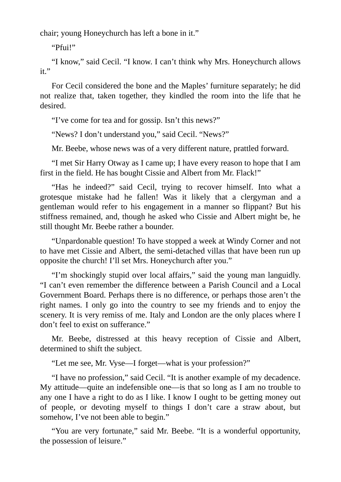chair; young Honeychurch has left a bone in it."

"Pfui!"

"I know," said Cecil. "I know. I can't think why Mrs. Honeychurch allows it."

For Cecil considered the bone and the Maples' furniture separately; he did not realize that, taken together, they kindled the room into the life that he desired.

"I've come for tea and for gossip. Isn't this news?"

"News? I don't understand you," said Cecil. "News?"

Mr. Beebe, whose news was of a very different nature, prattled forward.

"I met Sir Harry Otway as I came up; I have every reason to hope that I am first in the field. He has bought Cissie and Albert from Mr. Flack!"

"Has he indeed?" said Cecil, trying to recover himself. Into what a grotesque mistake had he fallen! Was it likely that a clergyman and a gentleman would refer to his engagement in a manner so flippant? But his stiffness remained, and, though he asked who Cissie and Albert might be, he still thought Mr. Beebe rather a bounder.

"Unpardonable question! To have stopped a week at Windy Corner and not to have met Cissie and Albert, the semi-detached villas that have been run up opposite the church! I'll set Mrs. Honeychurch after you."

"I'm shockingly stupid over local affairs," said the young man languidly. "I can't even remember the difference between a Parish Council and a Local Government Board. Perhaps there is no difference, or perhaps those aren't the right names. I only go into the country to see my friends and to enjoy the scenery. It is very remiss of me. Italy and London are the only places where I don't feel to exist on sufferance."

Mr. Beebe, distressed at this heavy reception of Cissie and Albert, determined to shift the subject.

"Let me see, Mr. Vyse—I forget—what is your profession?"

"I have no profession," said Cecil. "It is another example of my decadence. My attitude—quite an indefensible one—is that so long as I am no trouble to any one I have a right to do as I like. I know I ought to be getting money out of people, or devoting myself to things I don't care a straw about, but somehow, I've not been able to begin."

"You are very fortunate," said Mr. Beebe. "It is a wonderful opportunity, the possession of leisure."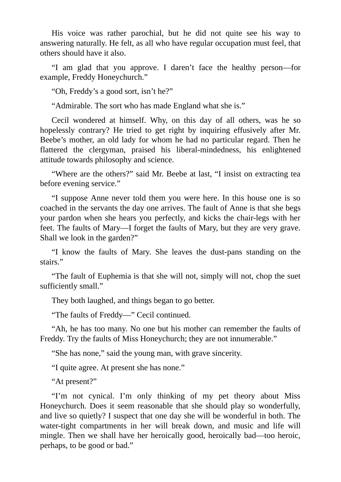His voice was rather parochial, but he did not quite see his way to answering naturally. He felt, as all who have regular occupation must feel, that others should have it also.

"I am glad that you approve. I daren't face the healthy person—for example, Freddy Honeychurch."

"Oh, Freddy's a good sort, isn't he?"

"Admirable. The sort who has made England what she is."

Cecil wondered at himself. Why, on this day of all others, was he so hopelessly contrary? He tried to get right by inquiring effusively after Mr. Beebe's mother, an old lady for whom he had no particular regard. Then he flattered the clergyman, praised his liberal-mindedness, his enlightened attitude towards philosophy and science.

"Where are the others?" said Mr. Beebe at last, "I insist on extracting tea before evening service."

"I suppose Anne never told them you were here. In this house one is so coached in the servants the day one arrives. The fault of Anne is that she begs your pardon when she hears you perfectly, and kicks the chair-legs with her feet. The faults of Mary—I forget the faults of Mary, but they are very grave. Shall we look in the garden?"

"I know the faults of Mary. She leaves the dust-pans standing on the stairs."

"The fault of Euphemia is that she will not, simply will not, chop the suet sufficiently small."

They both laughed, and things began to go better.

"The faults of Freddy—" Cecil continued.

"Ah, he has too many. No one but his mother can remember the faults of Freddy. Try the faults of Miss Honeychurch; they are not innumerable."

"She has none," said the young man, with grave sincerity.

"I quite agree. At present she has none."

"At present?"

"I'm not cynical. I'm only thinking of my pet theory about Miss Honeychurch. Does it seem reasonable that she should play so wonderfully, and live so quietly? I suspect that one day she will be wonderful in both. The water-tight compartments in her will break down, and music and life will mingle. Then we shall have her heroically good, heroically bad—too heroic, perhaps, to be good or bad."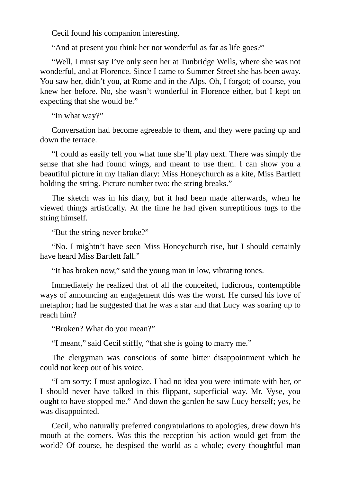Cecil found his companion interesting.

"And at present you think her not wonderful as far as life goes?"

"Well, I must say I've only seen her at Tunbridge Wells, where she was not wonderful, and at Florence. Since I came to Summer Street she has been away. You saw her, didn't you, at Rome and in the Alps. Oh, I forgot; of course, you knew her before. No, she wasn't wonderful in Florence either, but I kept on expecting that she would be."

"In what way?"

Conversation had become agreeable to them, and they were pacing up and down the terrace.

"I could as easily tell you what tune she'll play next. There was simply the sense that she had found wings, and meant to use them. I can show you a beautiful picture in my Italian diary: Miss Honeychurch as a kite, Miss Bartlett holding the string. Picture number two: the string breaks."

The sketch was in his diary, but it had been made afterwards, when he viewed things artistically. At the time he had given surreptitious tugs to the string himself.

"But the string never broke?"

"No. I mightn't have seen Miss Honeychurch rise, but I should certainly have heard Miss Bartlett fall."

"It has broken now," said the young man in low, vibrating tones.

Immediately he realized that of all the conceited, ludicrous, contemptible ways of announcing an engagement this was the worst. He cursed his love of metaphor; had he suggested that he was a star and that Lucy was soaring up to reach him?

"Broken? What do you mean?"

"I meant," said Cecil stiffly, "that she is going to marry me."

The clergyman was conscious of some bitter disappointment which he could not keep out of his voice.

"I am sorry; I must apologize. I had no idea you were intimate with her, or I should never have talked in this flippant, superficial way. Mr. Vyse, you ought to have stopped me." And down the garden he saw Lucy herself; yes, he was disappointed.

Cecil, who naturally preferred congratulations to apologies, drew down his mouth at the corners. Was this the reception his action would get from the world? Of course, he despised the world as a whole; every thoughtful man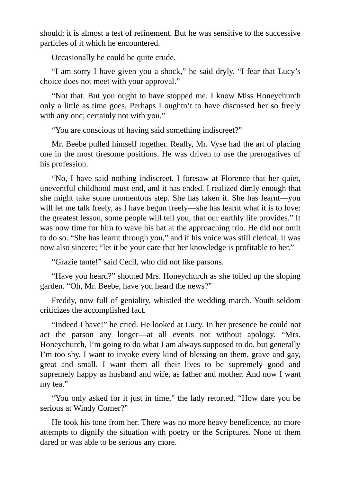should; it is almost a test of refinement. But he was sensitive to the successive particles of it which he encountered.

Occasionally he could be quite crude.

"I am sorry I have given you a shock," he said dryly. "I fear that Lucy's choice does not meet with your approval."

"Not that. But you ought to have stopped me. I know Miss Honeychurch only a little as time goes. Perhaps I oughtn't to have discussed her so freely with any one; certainly not with you."

"You are conscious of having said something indiscreet?"

Mr. Beebe pulled himself together. Really, Mr. Vyse had the art of placing one in the most tiresome positions. He was driven to use the prerogatives of his profession.

"No, I have said nothing indiscreet. I foresaw at Florence that her quiet, uneventful childhood must end, and it has ended. I realized dimly enough that she might take some momentous step. She has taken it. She has learnt—you will let me talk freely, as I have begun freely—she has learnt what it is to love: the greatest lesson, some people will tell you, that our earthly life provides." It was now time for him to wave his hat at the approaching trio. He did not omit to do so. "She has learnt through you," and if his voice was still clerical, it was now also sincere; "let it be your care that her knowledge is profitable to her."

"Grazie tante!" said Cecil, who did not like parsons.

"Have you heard?" shouted Mrs. Honeychurch as she toiled up the sloping garden. "Oh, Mr. Beebe, have you heard the news?"

Freddy, now full of geniality, whistled the wedding march. Youth seldom criticizes the accomplished fact.

"Indeed I have!" he cried. He looked at Lucy. In her presence he could not act the parson any longer—at all events not without apology. "Mrs. Honeychurch, I'm going to do what I am always supposed to do, but generally I'm too shy. I want to invoke every kind of blessing on them, grave and gay, great and small. I want them all their lives to be supremely good and supremely happy as husband and wife, as father and mother. And now I want my tea."

"You only asked for it just in time," the lady retorted. "How dare you be serious at Windy Corner?"

He took his tone from her. There was no more heavy beneficence, no more attempts to dignify the situation with poetry or the Scriptures. None of them dared or was able to be serious any more.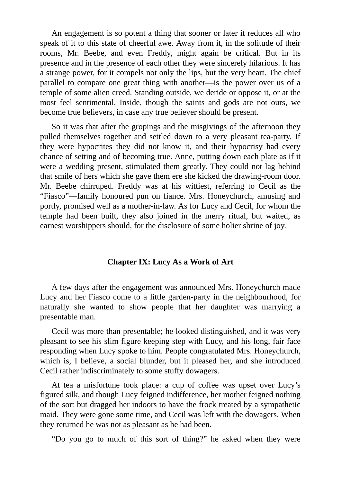An engagement is so potent a thing that sooner or later it reduces all who speak of it to this state of cheerful awe. Away from it, in the solitude of their rooms, Mr. Beebe, and even Freddy, might again be critical. But in its presence and in the presence of each other they were sincerely hilarious. It has a strange power, for it compels not only the lips, but the very heart. The chief parallel to compare one great thing with another—is the power over us of a temple of some alien creed. Standing outside, we deride or oppose it, or at the most feel sentimental. Inside, though the saints and gods are not ours, we become true believers, in case any true believer should be present.

So it was that after the gropings and the misgivings of the afternoon they pulled themselves together and settled down to a very pleasant tea-party. If they were hypocrites they did not know it, and their hypocrisy had every chance of setting and of becoming true. Anne, putting down each plate as if it were a wedding present, stimulated them greatly. They could not lag behind that smile of hers which she gave them ere she kicked the drawing-room door. Mr. Beebe chirruped. Freddy was at his wittiest, referring to Cecil as the "Fiasco"—family honoured pun on fiance. Mrs. Honeychurch, amusing and portly, promised well as a mother-in-law. As for Lucy and Cecil, for whom the temple had been built, they also joined in the merry ritual, but waited, as earnest worshippers should, for the disclosure of some holier shrine of joy.

#### **Chapter IX: Lucy As a Work of Art**

A few days after the engagement was announced Mrs. Honeychurch made Lucy and her Fiasco come to a little garden-party in the neighbourhood, for naturally she wanted to show people that her daughter was marrying a presentable man.

Cecil was more than presentable; he looked distinguished, and it was very pleasant to see his slim figure keeping step with Lucy, and his long, fair face responding when Lucy spoke to him. People congratulated Mrs. Honeychurch, which is, I believe, a social blunder, but it pleased her, and she introduced Cecil rather indiscriminately to some stuffy dowagers.

At tea a misfortune took place: a cup of coffee was upset over Lucy's figured silk, and though Lucy feigned indifference, her mother feigned nothing of the sort but dragged her indoors to have the frock treated by a sympathetic maid. They were gone some time, and Cecil was left with the dowagers. When they returned he was not as pleasant as he had been.

"Do you go to much of this sort of thing?" he asked when they were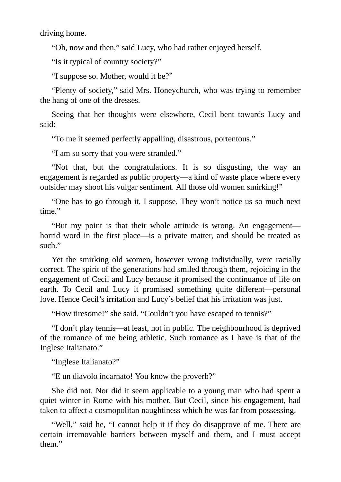driving home.

"Oh, now and then," said Lucy, who had rather enjoyed herself.

"Is it typical of country society?"

"I suppose so. Mother, would it be?"

"Plenty of society," said Mrs. Honeychurch, who was trying to remember the hang of one of the dresses.

Seeing that her thoughts were elsewhere, Cecil bent towards Lucy and said:

"To me it seemed perfectly appalling, disastrous, portentous."

"I am so sorry that you were stranded."

"Not that, but the congratulations. It is so disgusting, the way an engagement is regarded as public property—a kind of waste place where every outsider may shoot his vulgar sentiment. All those old women smirking!"

"One has to go through it, I suppose. They won't notice us so much next time."

"But my point is that their whole attitude is wrong. An engagement horrid word in the first place—is a private matter, and should be treated as such."

Yet the smirking old women, however wrong individually, were racially correct. The spirit of the generations had smiled through them, rejoicing in the engagement of Cecil and Lucy because it promised the continuance of life on earth. To Cecil and Lucy it promised something quite different—personal love. Hence Cecil's irritation and Lucy's belief that his irritation was just.

"How tiresome!" she said. "Couldn't you have escaped to tennis?"

"I don't play tennis—at least, not in public. The neighbourhood is deprived of the romance of me being athletic. Such romance as I have is that of the Inglese Italianato."

"Inglese Italianato?"

"E un diavolo incarnato! You know the proverb?"

She did not. Nor did it seem applicable to a young man who had spent a quiet winter in Rome with his mother. But Cecil, since his engagement, had taken to affect a cosmopolitan naughtiness which he was far from possessing.

"Well," said he, "I cannot help it if they do disapprove of me. There are certain irremovable barriers between myself and them, and I must accept them."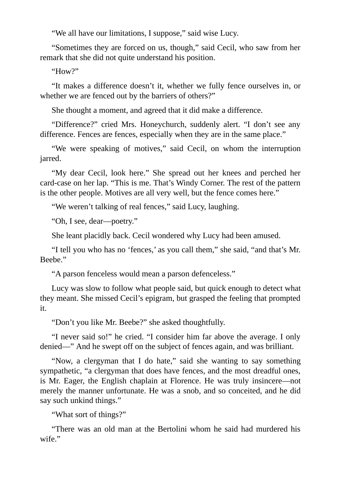"We all have our limitations, I suppose," said wise Lucy.

"Sometimes they are forced on us, though," said Cecil, who saw from her remark that she did not quite understand his position.

"How?"

"It makes a difference doesn't it, whether we fully fence ourselves in, or whether we are fenced out by the barriers of others?"

She thought a moment, and agreed that it did make a difference.

"Difference?" cried Mrs. Honeychurch, suddenly alert. "I don't see any difference. Fences are fences, especially when they are in the same place."

"We were speaking of motives," said Cecil, on whom the interruption jarred.

"My dear Cecil, look here." She spread out her knees and perched her card-case on her lap. "This is me. That's Windy Corner. The rest of the pattern is the other people. Motives are all very well, but the fence comes here."

"We weren't talking of real fences," said Lucy, laughing.

"Oh, I see, dear—poetry."

She leant placidly back. Cecil wondered why Lucy had been amused.

"I tell you who has no 'fences,' as you call them," she said, "and that's Mr. Beebe."

"A parson fenceless would mean a parson defenceless."

Lucy was slow to follow what people said, but quick enough to detect what they meant. She missed Cecil's epigram, but grasped the feeling that prompted it.

"Don't you like Mr. Beebe?" she asked thoughtfully.

"I never said so!" he cried. "I consider him far above the average. I only denied—" And he swept off on the subject of fences again, and was brilliant.

"Now, a clergyman that I do hate," said she wanting to say something sympathetic, "a clergyman that does have fences, and the most dreadful ones, is Mr. Eager, the English chaplain at Florence. He was truly insincere—not merely the manner unfortunate. He was a snob, and so conceited, and he did say such unkind things."

"What sort of things?"

"There was an old man at the Bertolini whom he said had murdered his wife."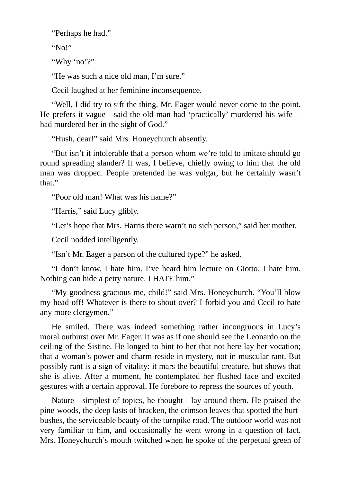"Perhaps he had."

"No!"

"Why 'no'?"

"He was such a nice old man, I'm sure."

Cecil laughed at her feminine inconsequence.

"Well, I did try to sift the thing. Mr. Eager would never come to the point. He prefers it vague—said the old man had 'practically' murdered his wife had murdered her in the sight of God."

"Hush, dear!" said Mrs. Honeychurch absently.

"But isn't it intolerable that a person whom we're told to imitate should go round spreading slander? It was, I believe, chiefly owing to him that the old man was dropped. People pretended he was vulgar, but he certainly wasn't that."

"Poor old man! What was his name?"

"Harris," said Lucy glibly.

"Let's hope that Mrs. Harris there warn't no sich person," said her mother.

Cecil nodded intelligently.

"Isn't Mr. Eager a parson of the cultured type?" he asked.

"I don't know. I hate him. I've heard him lecture on Giotto. I hate him. Nothing can hide a petty nature. I HATE him."

"My goodness gracious me, child!" said Mrs. Honeychurch. "You'll blow my head off! Whatever is there to shout over? I forbid you and Cecil to hate any more clergymen."

He smiled. There was indeed something rather incongruous in Lucy's moral outburst over Mr. Eager. It was as if one should see the Leonardo on the ceiling of the Sistine. He longed to hint to her that not here lay her vocation; that a woman's power and charm reside in mystery, not in muscular rant. But possibly rant is a sign of vitality: it mars the beautiful creature, but shows that she is alive. After a moment, he contemplated her flushed face and excited gestures with a certain approval. He forebore to repress the sources of youth.

Nature—simplest of topics, he thought—lay around them. He praised the pine-woods, the deep lasts of bracken, the crimson leaves that spotted the hurtbushes, the serviceable beauty of the turnpike road. The outdoor world was not very familiar to him, and occasionally he went wrong in a question of fact. Mrs. Honeychurch's mouth twitched when he spoke of the perpetual green of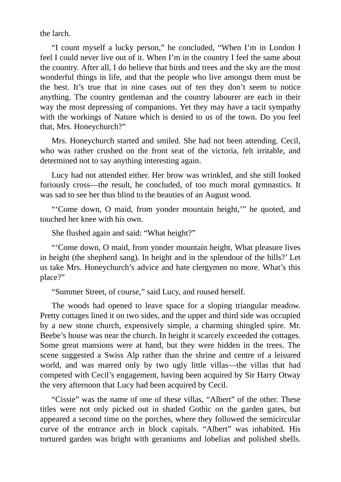the larch.

"I count myself a lucky person," he concluded, "When I'm in London I feel I could never live out of it. When I'm in the country I feel the same about the country. After all, I do believe that birds and trees and the sky are the most wonderful things in life, and that the people who live amongst them must be the best. It's true that in nine cases out of ten they don't seem to notice anything. The country gentleman and the country labourer are each in their way the most depressing of companions. Yet they may have a tacit sympathy with the workings of Nature which is denied to us of the town. Do you feel that, Mrs. Honeychurch?"

Mrs. Honeychurch started and smiled. She had not been attending. Cecil, who was rather crushed on the front seat of the victoria, felt irritable, and determined not to say anything interesting again.

Lucy had not attended either. Her brow was wrinkled, and she still looked furiously cross—the result, he concluded, of too much moral gymnastics. It was sad to see her thus blind to the beauties of an August wood.

"'Come down, O maid, from yonder mountain height,'" he quoted, and touched her knee with his own.

She flushed again and said: "What height?"

"'Come down, O maid, from yonder mountain height, What pleasure lives in height (the shepherd sang). In height and in the splendour of the hills?' Let us take Mrs. Honeychurch's advice and hate clergymen no more. What's this place?"

"Summer Street, of course," said Lucy, and roused herself.

The woods had opened to leave space for a sloping triangular meadow. Pretty cottages lined it on two sides, and the upper and third side was occupied by a new stone church, expensively simple, a charming shingled spire. Mr. Beebe's house was near the church. In height it scarcely exceeded the cottages. Some great mansions were at hand, but they were hidden in the trees. The scene suggested a Swiss Alp rather than the shrine and centre of a leisured world, and was marred only by two ugly little villas—the villas that had competed with Cecil's engagement, having been acquired by Sir Harry Otway the very afternoon that Lucy had been acquired by Cecil.

"Cissie" was the name of one of these villas, "Albert" of the other. These titles were not only picked out in shaded Gothic on the garden gates, but appeared a second time on the porches, where they followed the semicircular curve of the entrance arch in block capitals. "Albert" was inhabited. His tortured garden was bright with geraniums and lobelias and polished shells.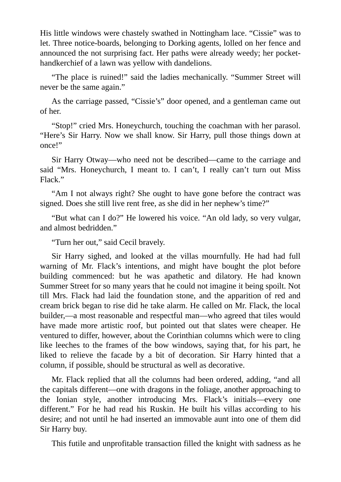His little windows were chastely swathed in Nottingham lace. "Cissie" was to let. Three notice-boards, belonging to Dorking agents, lolled on her fence and announced the not surprising fact. Her paths were already weedy; her pockethandkerchief of a lawn was yellow with dandelions.

"The place is ruined!" said the ladies mechanically. "Summer Street will never be the same again."

As the carriage passed, "Cissie's" door opened, and a gentleman came out of her.

"Stop!" cried Mrs. Honeychurch, touching the coachman with her parasol. "Here's Sir Harry. Now we shall know. Sir Harry, pull those things down at once!"

Sir Harry Otway—who need not be described—came to the carriage and said "Mrs. Honeychurch, I meant to. I can't, I really can't turn out Miss Flack."

"Am I not always right? She ought to have gone before the contract was signed. Does she still live rent free, as she did in her nephew's time?"

"But what can I do?" He lowered his voice. "An old lady, so very vulgar, and almost bedridden."

"Turn her out," said Cecil bravely.

Sir Harry sighed, and looked at the villas mournfully. He had had full warning of Mr. Flack's intentions, and might have bought the plot before building commenced: but he was apathetic and dilatory. He had known Summer Street for so many years that he could not imagine it being spoilt. Not till Mrs. Flack had laid the foundation stone, and the apparition of red and cream brick began to rise did he take alarm. He called on Mr. Flack, the local builder,—a most reasonable and respectful man—who agreed that tiles would have made more artistic roof, but pointed out that slates were cheaper. He ventured to differ, however, about the Corinthian columns which were to cling like leeches to the frames of the bow windows, saying that, for his part, he liked to relieve the facade by a bit of decoration. Sir Harry hinted that a column, if possible, should be structural as well as decorative.

Mr. Flack replied that all the columns had been ordered, adding, "and all the capitals different—one with dragons in the foliage, another approaching to the Ionian style, another introducing Mrs. Flack's initials—every one different." For he had read his Ruskin. He built his villas according to his desire; and not until he had inserted an immovable aunt into one of them did Sir Harry buy.

This futile and unprofitable transaction filled the knight with sadness as he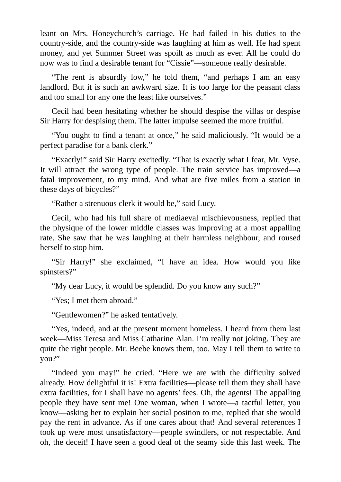leant on Mrs. Honeychurch's carriage. He had failed in his duties to the country-side, and the country-side was laughing at him as well. He had spent money, and yet Summer Street was spoilt as much as ever. All he could do now was to find a desirable tenant for "Cissie"—someone really desirable.

"The rent is absurdly low," he told them, "and perhaps I am an easy landlord. But it is such an awkward size. It is too large for the peasant class and too small for any one the least like ourselves."

Cecil had been hesitating whether he should despise the villas or despise Sir Harry for despising them. The latter impulse seemed the more fruitful.

"You ought to find a tenant at once," he said maliciously. "It would be a perfect paradise for a bank clerk."

"Exactly!" said Sir Harry excitedly. "That is exactly what I fear, Mr. Vyse. It will attract the wrong type of people. The train service has improved—a fatal improvement, to my mind. And what are five miles from a station in these days of bicycles?"

"Rather a strenuous clerk it would be," said Lucy.

Cecil, who had his full share of mediaeval mischievousness, replied that the physique of the lower middle classes was improving at a most appalling rate. She saw that he was laughing at their harmless neighbour, and roused herself to stop him.

"Sir Harry!" she exclaimed, "I have an idea. How would you like spinsters?"

"My dear Lucy, it would be splendid. Do you know any such?"

"Yes; I met them abroad."

"Gentlewomen?" he asked tentatively.

"Yes, indeed, and at the present moment homeless. I heard from them last week—Miss Teresa and Miss Catharine Alan. I'm really not joking. They are quite the right people. Mr. Beebe knows them, too. May I tell them to write to you?"

"Indeed you may!" he cried. "Here we are with the difficulty solved already. How delightful it is! Extra facilities—please tell them they shall have extra facilities, for I shall have no agents' fees. Oh, the agents! The appalling people they have sent me! One woman, when I wrote—a tactful letter, you know—asking her to explain her social position to me, replied that she would pay the rent in advance. As if one cares about that! And several references I took up were most unsatisfactory—people swindlers, or not respectable. And oh, the deceit! I have seen a good deal of the seamy side this last week. The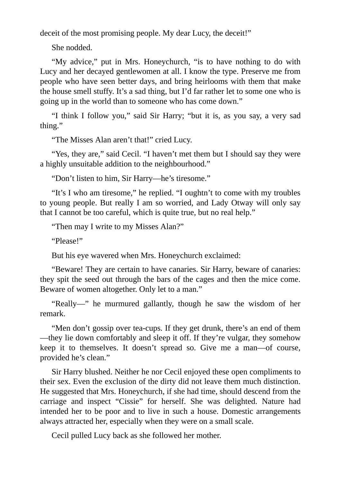deceit of the most promising people. My dear Lucy, the deceit!"

She nodded.

"My advice," put in Mrs. Honeychurch, "is to have nothing to do with Lucy and her decayed gentlewomen at all. I know the type. Preserve me from people who have seen better days, and bring heirlooms with them that make the house smell stuffy. It's a sad thing, but I'd far rather let to some one who is going up in the world than to someone who has come down."

"I think I follow you," said Sir Harry; "but it is, as you say, a very sad thing."

"The Misses Alan aren't that!" cried Lucy.

"Yes, they are," said Cecil. "I haven't met them but I should say they were a highly unsuitable addition to the neighbourhood."

"Don't listen to him, Sir Harry—he's tiresome."

"It's I who am tiresome," he replied. "I oughtn't to come with my troubles to young people. But really I am so worried, and Lady Otway will only say that I cannot be too careful, which is quite true, but no real help."

"Then may I write to my Misses Alan?"

"Please!"

But his eye wavered when Mrs. Honeychurch exclaimed:

"Beware! They are certain to have canaries. Sir Harry, beware of canaries: they spit the seed out through the bars of the cages and then the mice come. Beware of women altogether. Only let to a man."

"Really—" he murmured gallantly, though he saw the wisdom of her remark.

"Men don't gossip over tea-cups. If they get drunk, there's an end of them —they lie down comfortably and sleep it off. If they're vulgar, they somehow keep it to themselves. It doesn't spread so. Give me a man—of course, provided he's clean."

Sir Harry blushed. Neither he nor Cecil enjoyed these open compliments to their sex. Even the exclusion of the dirty did not leave them much distinction. He suggested that Mrs. Honeychurch, if she had time, should descend from the carriage and inspect "Cissie" for herself. She was delighted. Nature had intended her to be poor and to live in such a house. Domestic arrangements always attracted her, especially when they were on a small scale.

Cecil pulled Lucy back as she followed her mother.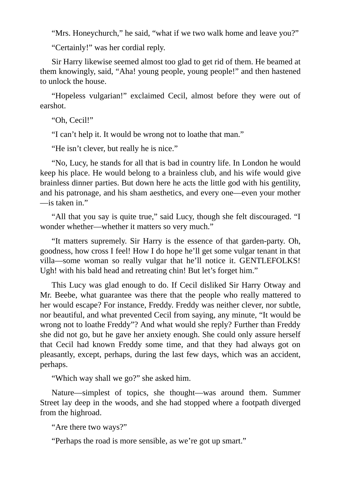"Mrs. Honeychurch," he said, "what if we two walk home and leave you?"

"Certainly!" was her cordial reply.

Sir Harry likewise seemed almost too glad to get rid of them. He beamed at them knowingly, said, "Aha! young people, young people!" and then hastened to unlock the house.

"Hopeless vulgarian!" exclaimed Cecil, almost before they were out of earshot.

"Oh, Cecil!"

"I can't help it. It would be wrong not to loathe that man."

"He isn't clever, but really he is nice."

"No, Lucy, he stands for all that is bad in country life. In London he would keep his place. He would belong to a brainless club, and his wife would give brainless dinner parties. But down here he acts the little god with his gentility, and his patronage, and his sham aesthetics, and every one—even your mother —is taken in."

"All that you say is quite true," said Lucy, though she felt discouraged. "I wonder whether—whether it matters so very much."

"It matters supremely. Sir Harry is the essence of that garden-party. Oh, goodness, how cross I feel! How I do hope he'll get some vulgar tenant in that villa—some woman so really vulgar that he'll notice it. GENTLEFOLKS! Ugh! with his bald head and retreating chin! But let's forget him."

This Lucy was glad enough to do. If Cecil disliked Sir Harry Otway and Mr. Beebe, what guarantee was there that the people who really mattered to her would escape? For instance, Freddy. Freddy was neither clever, nor subtle, nor beautiful, and what prevented Cecil from saying, any minute, "It would be wrong not to loathe Freddy"? And what would she reply? Further than Freddy she did not go, but he gave her anxiety enough. She could only assure herself that Cecil had known Freddy some time, and that they had always got on pleasantly, except, perhaps, during the last few days, which was an accident, perhaps.

"Which way shall we go?" she asked him.

Nature—simplest of topics, she thought—was around them. Summer Street lay deep in the woods, and she had stopped where a footpath diverged from the highroad.

"Are there two ways?"

"Perhaps the road is more sensible, as we're got up smart."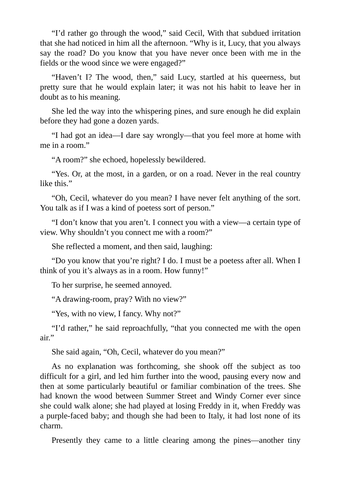"I'd rather go through the wood," said Cecil, With that subdued irritation that she had noticed in him all the afternoon. "Why is it, Lucy, that you always say the road? Do you know that you have never once been with me in the fields or the wood since we were engaged?"

"Haven't I? The wood, then," said Lucy, startled at his queerness, but pretty sure that he would explain later; it was not his habit to leave her in doubt as to his meaning.

She led the way into the whispering pines, and sure enough he did explain before they had gone a dozen yards.

"I had got an idea—I dare say wrongly—that you feel more at home with me in a room."

"A room?" she echoed, hopelessly bewildered.

"Yes. Or, at the most, in a garden, or on a road. Never in the real country like this."

"Oh, Cecil, whatever do you mean? I have never felt anything of the sort. You talk as if I was a kind of poetess sort of person."

"I don't know that you aren't. I connect you with a view—a certain type of view. Why shouldn't you connect me with a room?"

She reflected a moment, and then said, laughing:

"Do you know that you're right? I do. I must be a poetess after all. When I think of you it's always as in a room. How funny!"

To her surprise, he seemed annoyed.

"A drawing-room, pray? With no view?"

"Yes, with no view, I fancy. Why not?"

"I'd rather," he said reproachfully, "that you connected me with the open air."

She said again, "Oh, Cecil, whatever do you mean?"

As no explanation was forthcoming, she shook off the subject as too difficult for a girl, and led him further into the wood, pausing every now and then at some particularly beautiful or familiar combination of the trees. She had known the wood between Summer Street and Windy Corner ever since she could walk alone; she had played at losing Freddy in it, when Freddy was a purple-faced baby; and though she had been to Italy, it had lost none of its charm.

Presently they came to a little clearing among the pines—another tiny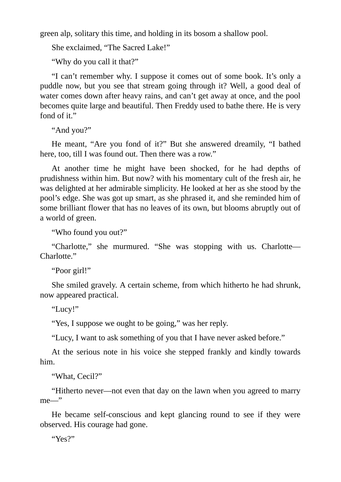green alp, solitary this time, and holding in its bosom a shallow pool.

She exclaimed, "The Sacred Lake!"

"Why do you call it that?"

"I can't remember why. I suppose it comes out of some book. It's only a puddle now, but you see that stream going through it? Well, a good deal of water comes down after heavy rains, and can't get away at once, and the pool becomes quite large and beautiful. Then Freddy used to bathe there. He is very fond of it."

"And you?"

He meant, "Are you fond of it?" But she answered dreamily, "I bathed here, too, till I was found out. Then there was a row."

At another time he might have been shocked, for he had depths of prudishness within him. But now? with his momentary cult of the fresh air, he was delighted at her admirable simplicity. He looked at her as she stood by the pool's edge. She was got up smart, as she phrased it, and she reminded him of some brilliant flower that has no leaves of its own, but blooms abruptly out of a world of green.

"Who found you out?"

"Charlotte," she murmured. "She was stopping with us. Charlotte— Charlotte."

"Poor girl!"

She smiled gravely. A certain scheme, from which hitherto he had shrunk, now appeared practical.

"Lucy!"

"Yes, I suppose we ought to be going," was her reply.

"Lucy, I want to ask something of you that I have never asked before."

At the serious note in his voice she stepped frankly and kindly towards him.

"What, Cecil?"

"Hitherto never—not even that day on the lawn when you agreed to marry me—"

He became self-conscious and kept glancing round to see if they were observed. His courage had gone.

"Yes?"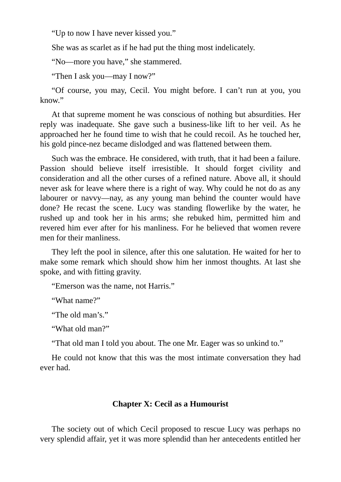"Up to now I have never kissed you."

She was as scarlet as if he had put the thing most indelicately.

"No—more you have," she stammered.

"Then I ask you—may I now?"

"Of course, you may, Cecil. You might before. I can't run at you, you know."

At that supreme moment he was conscious of nothing but absurdities. Her reply was inadequate. She gave such a business-like lift to her veil. As he approached her he found time to wish that he could recoil. As he touched her, his gold pince-nez became dislodged and was flattened between them.

Such was the embrace. He considered, with truth, that it had been a failure. Passion should believe itself irresistible. It should forget civility and consideration and all the other curses of a refined nature. Above all, it should never ask for leave where there is a right of way. Why could he not do as any labourer or navvy—nay, as any young man behind the counter would have done? He recast the scene. Lucy was standing flowerlike by the water, he rushed up and took her in his arms; she rebuked him, permitted him and revered him ever after for his manliness. For he believed that women revere men for their manliness.

They left the pool in silence, after this one salutation. He waited for her to make some remark which should show him her inmost thoughts. At last she spoke, and with fitting gravity.

"Emerson was the name, not Harris."

"What name?"

"The old man's."

"What old man?"

"That old man I told you about. The one Mr. Eager was so unkind to."

He could not know that this was the most intimate conversation they had ever had.

# **Chapter X: Cecil as a Humourist**

The society out of which Cecil proposed to rescue Lucy was perhaps no very splendid affair, yet it was more splendid than her antecedents entitled her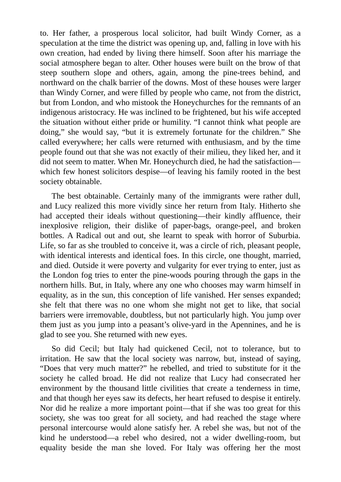to. Her father, a prosperous local solicitor, had built Windy Corner, as a speculation at the time the district was opening up, and, falling in love with his own creation, had ended by living there himself. Soon after his marriage the social atmosphere began to alter. Other houses were built on the brow of that steep southern slope and others, again, among the pine-trees behind, and northward on the chalk barrier of the downs. Most of these houses were larger than Windy Corner, and were filled by people who came, not from the district, but from London, and who mistook the Honeychurches for the remnants of an indigenous aristocracy. He was inclined to be frightened, but his wife accepted the situation without either pride or humility. "I cannot think what people are doing," she would say, "but it is extremely fortunate for the children." She called everywhere; her calls were returned with enthusiasm, and by the time people found out that she was not exactly of their milieu, they liked her, and it did not seem to matter. When Mr. Honeychurch died, he had the satisfaction which few honest solicitors despise—of leaving his family rooted in the best society obtainable.

The best obtainable. Certainly many of the immigrants were rather dull, and Lucy realized this more vividly since her return from Italy. Hitherto she had accepted their ideals without questioning—their kindly affluence, their inexplosive religion, their dislike of paper-bags, orange-peel, and broken bottles. A Radical out and out, she learnt to speak with horror of Suburbia. Life, so far as she troubled to conceive it, was a circle of rich, pleasant people, with identical interests and identical foes. In this circle, one thought, married, and died. Outside it were poverty and vulgarity for ever trying to enter, just as the London fog tries to enter the pine-woods pouring through the gaps in the northern hills. But, in Italy, where any one who chooses may warm himself in equality, as in the sun, this conception of life vanished. Her senses expanded; she felt that there was no one whom she might not get to like, that social barriers were irremovable, doubtless, but not particularly high. You jump over them just as you jump into a peasant's olive-yard in the Apennines, and he is glad to see you. She returned with new eyes.

So did Cecil; but Italy had quickened Cecil, not to tolerance, but to irritation. He saw that the local society was narrow, but, instead of saying, "Does that very much matter?" he rebelled, and tried to substitute for it the society he called broad. He did not realize that Lucy had consecrated her environment by the thousand little civilities that create a tenderness in time, and that though her eyes saw its defects, her heart refused to despise it entirely. Nor did he realize a more important point—that if she was too great for this society, she was too great for all society, and had reached the stage where personal intercourse would alone satisfy her. A rebel she was, but not of the kind he understood—a rebel who desired, not a wider dwelling-room, but equality beside the man she loved. For Italy was offering her the most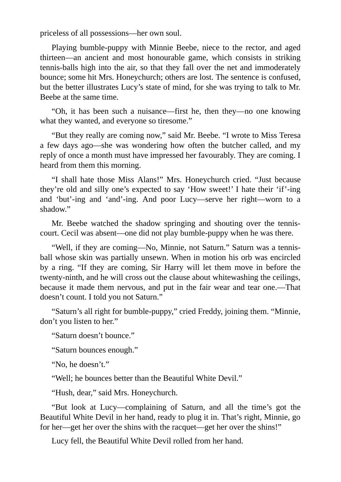priceless of all possessions—her own soul.

Playing bumble-puppy with Minnie Beebe, niece to the rector, and aged thirteen—an ancient and most honourable game, which consists in striking tennis-balls high into the air, so that they fall over the net and immoderately bounce; some hit Mrs. Honeychurch; others are lost. The sentence is confused, but the better illustrates Lucy's state of mind, for she was trying to talk to Mr. Beebe at the same time.

"Oh, it has been such a nuisance—first he, then they—no one knowing what they wanted, and everyone so tiresome."

"But they really are coming now," said Mr. Beebe. "I wrote to Miss Teresa a few days ago—she was wondering how often the butcher called, and my reply of once a month must have impressed her favourably. They are coming. I heard from them this morning.

"I shall hate those Miss Alans!" Mrs. Honeychurch cried. "Just because they're old and silly one's expected to say 'How sweet!' I hate their 'if'-ing and 'but'-ing and 'and'-ing. And poor Lucy—serve her right—worn to a shadow."

Mr. Beebe watched the shadow springing and shouting over the tenniscourt. Cecil was absent—one did not play bumble-puppy when he was there.

"Well, if they are coming—No, Minnie, not Saturn." Saturn was a tennisball whose skin was partially unsewn. When in motion his orb was encircled by a ring. "If they are coming, Sir Harry will let them move in before the twenty-ninth, and he will cross out the clause about whitewashing the ceilings, because it made them nervous, and put in the fair wear and tear one.—That doesn't count. I told you not Saturn."

"Saturn's all right for bumble-puppy," cried Freddy, joining them. "Minnie, don't you listen to her."

"Saturn doesn't bounce."

"Saturn bounces enough."

"No, he doesn't."

"Well; he bounces better than the Beautiful White Devil."

"Hush, dear," said Mrs. Honeychurch.

"But look at Lucy—complaining of Saturn, and all the time's got the Beautiful White Devil in her hand, ready to plug it in. That's right, Minnie, go for her—get her over the shins with the racquet—get her over the shins!"

Lucy fell, the Beautiful White Devil rolled from her hand.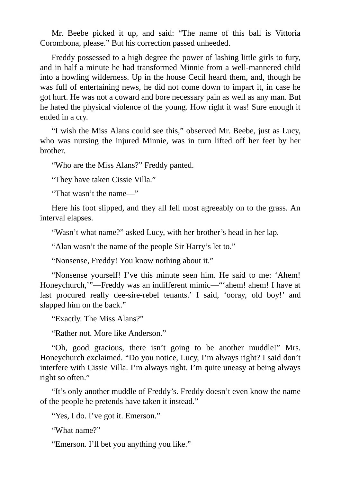Mr. Beebe picked it up, and said: "The name of this ball is Vittoria Corombona, please." But his correction passed unheeded.

Freddy possessed to a high degree the power of lashing little girls to fury, and in half a minute he had transformed Minnie from a well-mannered child into a howling wilderness. Up in the house Cecil heard them, and, though he was full of entertaining news, he did not come down to impart it, in case he got hurt. He was not a coward and bore necessary pain as well as any man. But he hated the physical violence of the young. How right it was! Sure enough it ended in a cry.

"I wish the Miss Alans could see this," observed Mr. Beebe, just as Lucy, who was nursing the injured Minnie, was in turn lifted off her feet by her brother.

"Who are the Miss Alans?" Freddy panted.

"They have taken Cissie Villa."

"That wasn't the name—"

Here his foot slipped, and they all fell most agreeably on to the grass. An interval elapses.

"Wasn't what name?" asked Lucy, with her brother's head in her lap.

"Alan wasn't the name of the people Sir Harry's let to."

"Nonsense, Freddy! You know nothing about it."

"Nonsense yourself! I've this minute seen him. He said to me: 'Ahem! Honeychurch,'"—Freddy was an indifferent mimic—"'ahem! ahem! I have at last procured really dee-sire-rebel tenants.' I said, 'ooray, old boy!' and slapped him on the back."

"Exactly. The Miss Alans?"

"Rather not. More like Anderson."

"Oh, good gracious, there isn't going to be another muddle!" Mrs. Honeychurch exclaimed. "Do you notice, Lucy, I'm always right? I said don't interfere with Cissie Villa. I'm always right. I'm quite uneasy at being always right so often."

"It's only another muddle of Freddy's. Freddy doesn't even know the name of the people he pretends have taken it instead."

"Yes, I do. I've got it. Emerson."

"What name?"

"Emerson. I'll bet you anything you like."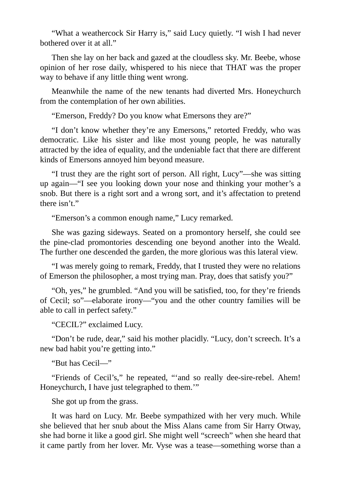"What a weathercock Sir Harry is," said Lucy quietly. "I wish I had never bothered over it at all."

Then she lay on her back and gazed at the cloudless sky. Mr. Beebe, whose opinion of her rose daily, whispered to his niece that THAT was the proper way to behave if any little thing went wrong.

Meanwhile the name of the new tenants had diverted Mrs. Honeychurch from the contemplation of her own abilities.

"Emerson, Freddy? Do you know what Emersons they are?"

"I don't know whether they're any Emersons," retorted Freddy, who was democratic. Like his sister and like most young people, he was naturally attracted by the idea of equality, and the undeniable fact that there are different kinds of Emersons annoyed him beyond measure.

"I trust they are the right sort of person. All right, Lucy"—she was sitting up again—"I see you looking down your nose and thinking your mother's a snob. But there is a right sort and a wrong sort, and it's affectation to pretend there isn't."

"Emerson's a common enough name," Lucy remarked.

She was gazing sideways. Seated on a promontory herself, she could see the pine-clad promontories descending one beyond another into the Weald. The further one descended the garden, the more glorious was this lateral view.

"I was merely going to remark, Freddy, that I trusted they were no relations of Emerson the philosopher, a most trying man. Pray, does that satisfy you?"

"Oh, yes," he grumbled. "And you will be satisfied, too, for they're friends of Cecil; so"—elaborate irony—"you and the other country families will be able to call in perfect safety."

"CECIL?" exclaimed Lucy.

"Don't be rude, dear," said his mother placidly. "Lucy, don't screech. It's a new bad habit you're getting into."

"But has Cecil—"

"Friends of Cecil's," he repeated, "'and so really dee-sire-rebel. Ahem! Honeychurch, I have just telegraphed to them.'"

She got up from the grass.

It was hard on Lucy. Mr. Beebe sympathized with her very much. While she believed that her snub about the Miss Alans came from Sir Harry Otway, she had borne it like a good girl. She might well "screech" when she heard that it came partly from her lover. Mr. Vyse was a tease—something worse than a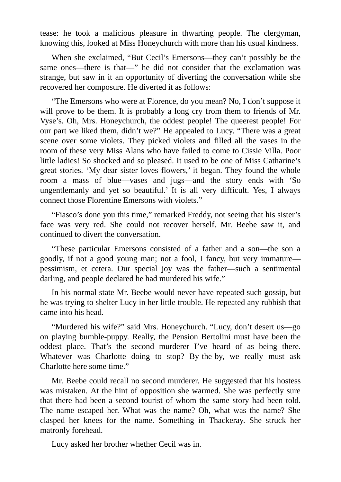tease: he took a malicious pleasure in thwarting people. The clergyman, knowing this, looked at Miss Honeychurch with more than his usual kindness.

When she exclaimed, "But Cecil's Emersons—they can't possibly be the same ones—there is that—" he did not consider that the exclamation was strange, but saw in it an opportunity of diverting the conversation while she recovered her composure. He diverted it as follows:

"The Emersons who were at Florence, do you mean? No, I don't suppose it will prove to be them. It is probably a long cry from them to friends of Mr. Vyse's. Oh, Mrs. Honeychurch, the oddest people! The queerest people! For our part we liked them, didn't we?" He appealed to Lucy. "There was a great scene over some violets. They picked violets and filled all the vases in the room of these very Miss Alans who have failed to come to Cissie Villa. Poor little ladies! So shocked and so pleased. It used to be one of Miss Catharine's great stories. 'My dear sister loves flowers,' it began. They found the whole room a mass of blue—vases and jugs—and the story ends with 'So ungentlemanly and yet so beautiful.' It is all very difficult. Yes, I always connect those Florentine Emersons with violets."

"Fiasco's done you this time," remarked Freddy, not seeing that his sister's face was very red. She could not recover herself. Mr. Beebe saw it, and continued to divert the conversation.

"These particular Emersons consisted of a father and a son—the son a goodly, if not a good young man; not a fool, I fancy, but very immature pessimism, et cetera. Our special joy was the father—such a sentimental darling, and people declared he had murdered his wife."

In his normal state Mr. Beebe would never have repeated such gossip, but he was trying to shelter Lucy in her little trouble. He repeated any rubbish that came into his head.

"Murdered his wife?" said Mrs. Honeychurch. "Lucy, don't desert us—go on playing bumble-puppy. Really, the Pension Bertolini must have been the oddest place. That's the second murderer I've heard of as being there. Whatever was Charlotte doing to stop? By-the-by, we really must ask Charlotte here some time."

Mr. Beebe could recall no second murderer. He suggested that his hostess was mistaken. At the hint of opposition she warmed. She was perfectly sure that there had been a second tourist of whom the same story had been told. The name escaped her. What was the name? Oh, what was the name? She clasped her knees for the name. Something in Thackeray. She struck her matronly forehead.

Lucy asked her brother whether Cecil was in.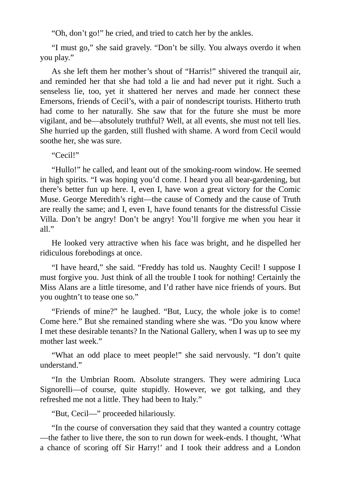"Oh, don't go!" he cried, and tried to catch her by the ankles.

"I must go," she said gravely. "Don't be silly. You always overdo it when you play."

As she left them her mother's shout of "Harris!" shivered the tranquil air, and reminded her that she had told a lie and had never put it right. Such a senseless lie, too, yet it shattered her nerves and made her connect these Emersons, friends of Cecil's, with a pair of nondescript tourists. Hitherto truth had come to her naturally. She saw that for the future she must be more vigilant, and be—absolutely truthful? Well, at all events, she must not tell lies. She hurried up the garden, still flushed with shame. A word from Cecil would soothe her, she was sure.

"Cecil!"

"Hullo!" he called, and leant out of the smoking-room window. He seemed in high spirits. "I was hoping you'd come. I heard you all bear-gardening, but there's better fun up here. I, even I, have won a great victory for the Comic Muse. George Meredith's right—the cause of Comedy and the cause of Truth are really the same; and I, even I, have found tenants for the distressful Cissie Villa. Don't be angry! Don't be angry! You'll forgive me when you hear it all."

He looked very attractive when his face was bright, and he dispelled her ridiculous forebodings at once.

"I have heard," she said. "Freddy has told us. Naughty Cecil! I suppose I must forgive you. Just think of all the trouble I took for nothing! Certainly the Miss Alans are a little tiresome, and I'd rather have nice friends of yours. But you oughtn't to tease one so."

"Friends of mine?" he laughed. "But, Lucy, the whole joke is to come! Come here." But she remained standing where she was. "Do you know where I met these desirable tenants? In the National Gallery, when I was up to see my mother last week."

"What an odd place to meet people!" she said nervously. "I don't quite understand."

"In the Umbrian Room. Absolute strangers. They were admiring Luca Signorelli—of course, quite stupidly. However, we got talking, and they refreshed me not a little. They had been to Italy."

"But, Cecil—" proceeded hilariously.

"In the course of conversation they said that they wanted a country cottage —the father to live there, the son to run down for week-ends. I thought, 'What a chance of scoring off Sir Harry!' and I took their address and a London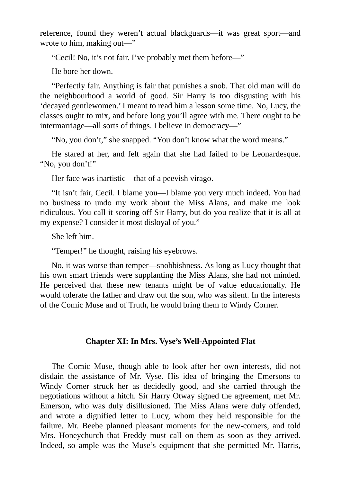reference, found they weren't actual blackguards—it was great sport—and wrote to him, making out—"

"Cecil! No, it's not fair. I've probably met them before—"

He bore her down.

"Perfectly fair. Anything is fair that punishes a snob. That old man will do the neighbourhood a world of good. Sir Harry is too disgusting with his 'decayed gentlewomen.' I meant to read him a lesson some time. No, Lucy, the classes ought to mix, and before long you'll agree with me. There ought to be intermarriage—all sorts of things. I believe in democracy—"

"No, you don't," she snapped. "You don't know what the word means."

He stared at her, and felt again that she had failed to be Leonardesque. "No, you don't!"

Her face was inartistic—that of a peevish virago.

"It isn't fair, Cecil. I blame you—I blame you very much indeed. You had no business to undo my work about the Miss Alans, and make me look ridiculous. You call it scoring off Sir Harry, but do you realize that it is all at my expense? I consider it most disloyal of you."

She left him.

"Temper!" he thought, raising his eyebrows.

No, it was worse than temper—snobbishness. As long as Lucy thought that his own smart friends were supplanting the Miss Alans, she had not minded. He perceived that these new tenants might be of value educationally. He would tolerate the father and draw out the son, who was silent. In the interests of the Comic Muse and of Truth, he would bring them to Windy Corner.

## **Chapter XI: In Mrs. Vyse's Well-Appointed Flat**

The Comic Muse, though able to look after her own interests, did not disdain the assistance of Mr. Vyse. His idea of bringing the Emersons to Windy Corner struck her as decidedly good, and she carried through the negotiations without a hitch. Sir Harry Otway signed the agreement, met Mr. Emerson, who was duly disillusioned. The Miss Alans were duly offended, and wrote a dignified letter to Lucy, whom they held responsible for the failure. Mr. Beebe planned pleasant moments for the new-comers, and told Mrs. Honeychurch that Freddy must call on them as soon as they arrived. Indeed, so ample was the Muse's equipment that she permitted Mr. Harris,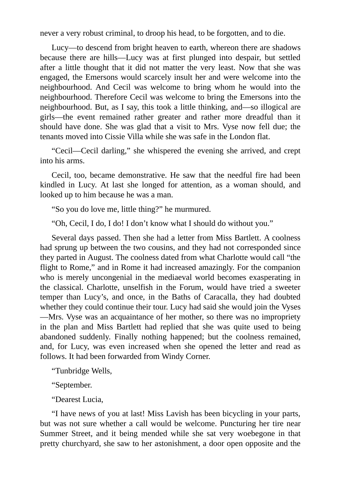never a very robust criminal, to droop his head, to be forgotten, and to die.

Lucy—to descend from bright heaven to earth, whereon there are shadows because there are hills—Lucy was at first plunged into despair, but settled after a little thought that it did not matter the very least. Now that she was engaged, the Emersons would scarcely insult her and were welcome into the neighbourhood. And Cecil was welcome to bring whom he would into the neighbourhood. Therefore Cecil was welcome to bring the Emersons into the neighbourhood. But, as I say, this took a little thinking, and—so illogical are girls—the event remained rather greater and rather more dreadful than it should have done. She was glad that a visit to Mrs. Vyse now fell due; the tenants moved into Cissie Villa while she was safe in the London flat.

"Cecil—Cecil darling," she whispered the evening she arrived, and crept into his arms.

Cecil, too, became demonstrative. He saw that the needful fire had been kindled in Lucy. At last she longed for attention, as a woman should, and looked up to him because he was a man.

"So you do love me, little thing?" he murmured.

"Oh, Cecil, I do, I do! I don't know what I should do without you."

Several days passed. Then she had a letter from Miss Bartlett. A coolness had sprung up between the two cousins, and they had not corresponded since they parted in August. The coolness dated from what Charlotte would call "the flight to Rome," and in Rome it had increased amazingly. For the companion who is merely uncongenial in the mediaeval world becomes exasperating in the classical. Charlotte, unselfish in the Forum, would have tried a sweeter temper than Lucy's, and once, in the Baths of Caracalla, they had doubted whether they could continue their tour. Lucy had said she would join the Vyses —Mrs. Vyse was an acquaintance of her mother, so there was no impropriety in the plan and Miss Bartlett had replied that she was quite used to being abandoned suddenly. Finally nothing happened; but the coolness remained, and, for Lucy, was even increased when she opened the letter and read as follows. It had been forwarded from Windy Corner.

"Tunbridge Wells,

"September.

"Dearest Lucia,

"I have news of you at last! Miss Lavish has been bicycling in your parts, but was not sure whether a call would be welcome. Puncturing her tire near Summer Street, and it being mended while she sat very woebegone in that pretty churchyard, she saw to her astonishment, a door open opposite and the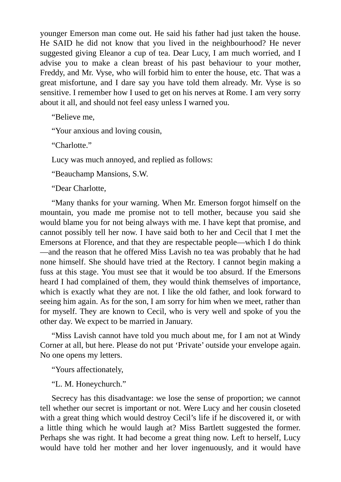younger Emerson man come out. He said his father had just taken the house. He SAID he did not know that you lived in the neighbourhood? He never suggested giving Eleanor a cup of tea. Dear Lucy, I am much worried, and I advise you to make a clean breast of his past behaviour to your mother, Freddy, and Mr. Vyse, who will forbid him to enter the house, etc. That was a great misfortune, and I dare say you have told them already. Mr. Vyse is so sensitive. I remember how I used to get on his nerves at Rome. I am very sorry about it all, and should not feel easy unless I warned you.

"Believe me,

"Your anxious and loving cousin,

"Charlotte."

Lucy was much annoyed, and replied as follows:

"Beauchamp Mansions, S.W.

"Dear Charlotte,

"Many thanks for your warning. When Mr. Emerson forgot himself on the mountain, you made me promise not to tell mother, because you said she would blame you for not being always with me. I have kept that promise, and cannot possibly tell her now. I have said both to her and Cecil that I met the Emersons at Florence, and that they are respectable people—which I do think —and the reason that he offered Miss Lavish no tea was probably that he had none himself. She should have tried at the Rectory. I cannot begin making a fuss at this stage. You must see that it would be too absurd. If the Emersons heard I had complained of them, they would think themselves of importance, which is exactly what they are not. I like the old father, and look forward to seeing him again. As for the son, I am sorry for him when we meet, rather than for myself. They are known to Cecil, who is very well and spoke of you the other day. We expect to be married in January.

"Miss Lavish cannot have told you much about me, for I am not at Windy Corner at all, but here. Please do not put 'Private' outside your envelope again. No one opens my letters.

"Yours affectionately,

"L. M. Honeychurch."

Secrecy has this disadvantage: we lose the sense of proportion; we cannot tell whether our secret is important or not. Were Lucy and her cousin closeted with a great thing which would destroy Cecil's life if he discovered it, or with a little thing which he would laugh at? Miss Bartlett suggested the former. Perhaps she was right. It had become a great thing now. Left to herself, Lucy would have told her mother and her lover ingenuously, and it would have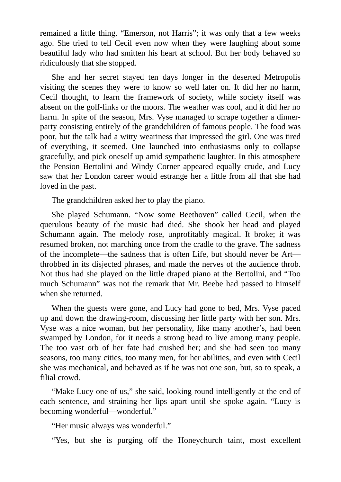remained a little thing. "Emerson, not Harris"; it was only that a few weeks ago. She tried to tell Cecil even now when they were laughing about some beautiful lady who had smitten his heart at school. But her body behaved so ridiculously that she stopped.

She and her secret stayed ten days longer in the deserted Metropolis visiting the scenes they were to know so well later on. It did her no harm, Cecil thought, to learn the framework of society, while society itself was absent on the golf-links or the moors. The weather was cool, and it did her no harm. In spite of the season, Mrs. Vyse managed to scrape together a dinnerparty consisting entirely of the grandchildren of famous people. The food was poor, but the talk had a witty weariness that impressed the girl. One was tired of everything, it seemed. One launched into enthusiasms only to collapse gracefully, and pick oneself up amid sympathetic laughter. In this atmosphere the Pension Bertolini and Windy Corner appeared equally crude, and Lucy saw that her London career would estrange her a little from all that she had loved in the past.

The grandchildren asked her to play the piano.

She played Schumann. "Now some Beethoven" called Cecil, when the querulous beauty of the music had died. She shook her head and played Schumann again. The melody rose, unprofitably magical. It broke; it was resumed broken, not marching once from the cradle to the grave. The sadness of the incomplete—the sadness that is often Life, but should never be Art throbbed in its disjected phrases, and made the nerves of the audience throb. Not thus had she played on the little draped piano at the Bertolini, and "Too much Schumann" was not the remark that Mr. Beebe had passed to himself when she returned.

When the guests were gone, and Lucy had gone to bed, Mrs. Vyse paced up and down the drawing-room, discussing her little party with her son. Mrs. Vyse was a nice woman, but her personality, like many another's, had been swamped by London, for it needs a strong head to live among many people. The too vast orb of her fate had crushed her; and she had seen too many seasons, too many cities, too many men, for her abilities, and even with Cecil she was mechanical, and behaved as if he was not one son, but, so to speak, a filial crowd.

"Make Lucy one of us," she said, looking round intelligently at the end of each sentence, and straining her lips apart until she spoke again. "Lucy is becoming wonderful—wonderful."

"Her music always was wonderful."

"Yes, but she is purging off the Honeychurch taint, most excellent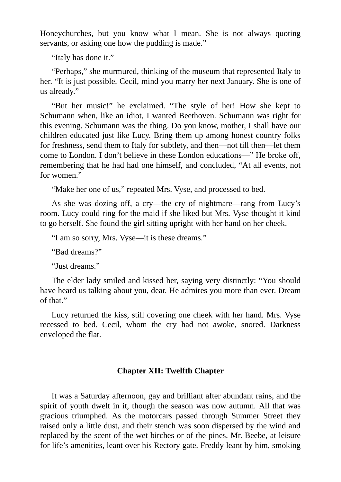Honeychurches, but you know what I mean. She is not always quoting servants, or asking one how the pudding is made."

"Italy has done it."

"Perhaps," she murmured, thinking of the museum that represented Italy to her. "It is just possible. Cecil, mind you marry her next January. She is one of us already."

"But her music!" he exclaimed. "The style of her! How she kept to Schumann when, like an idiot, I wanted Beethoven. Schumann was right for this evening. Schumann was the thing. Do you know, mother, I shall have our children educated just like Lucy. Bring them up among honest country folks for freshness, send them to Italy for subtlety, and then—not till then—let them come to London. I don't believe in these London educations—" He broke off, remembering that he had had one himself, and concluded, "At all events, not for women."

"Make her one of us," repeated Mrs. Vyse, and processed to bed.

As she was dozing off, a cry—the cry of nightmare—rang from Lucy's room. Lucy could ring for the maid if she liked but Mrs. Vyse thought it kind to go herself. She found the girl sitting upright with her hand on her cheek.

"I am so sorry, Mrs. Vyse—it is these dreams."

"Bad dreams?"

"Just dreams."

The elder lady smiled and kissed her, saying very distinctly: "You should have heard us talking about you, dear. He admires you more than ever. Dream of that."

Lucy returned the kiss, still covering one cheek with her hand. Mrs. Vyse recessed to bed. Cecil, whom the cry had not awoke, snored. Darkness enveloped the flat.

### **Chapter XII: Twelfth Chapter**

It was a Saturday afternoon, gay and brilliant after abundant rains, and the spirit of youth dwelt in it, though the season was now autumn. All that was gracious triumphed. As the motorcars passed through Summer Street they raised only a little dust, and their stench was soon dispersed by the wind and replaced by the scent of the wet birches or of the pines. Mr. Beebe, at leisure for life's amenities, leant over his Rectory gate. Freddy leant by him, smoking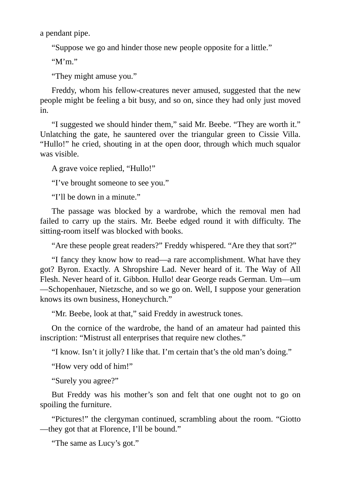a pendant pipe.

"Suppose we go and hinder those new people opposite for a little."

" $M'm$ "

"They might amuse you."

Freddy, whom his fellow-creatures never amused, suggested that the new people might be feeling a bit busy, and so on, since they had only just moved in.

"I suggested we should hinder them," said Mr. Beebe. "They are worth it." Unlatching the gate, he sauntered over the triangular green to Cissie Villa. "Hullo!" he cried, shouting in at the open door, through which much squalor was visible.

A grave voice replied, "Hullo!"

"I've brought someone to see you."

"I'll be down in a minute."

The passage was blocked by a wardrobe, which the removal men had failed to carry up the stairs. Mr. Beebe edged round it with difficulty. The sitting-room itself was blocked with books.

"Are these people great readers?" Freddy whispered. "Are they that sort?"

"I fancy they know how to read—a rare accomplishment. What have they got? Byron. Exactly. A Shropshire Lad. Never heard of it. The Way of All Flesh. Never heard of it. Gibbon. Hullo! dear George reads German. Um—um —Schopenhauer, Nietzsche, and so we go on. Well, I suppose your generation knows its own business, Honeychurch."

"Mr. Beebe, look at that," said Freddy in awestruck tones.

On the cornice of the wardrobe, the hand of an amateur had painted this inscription: "Mistrust all enterprises that require new clothes."

"I know. Isn't it jolly? I like that. I'm certain that's the old man's doing."

"How very odd of him!"

"Surely you agree?"

But Freddy was his mother's son and felt that one ought not to go on spoiling the furniture.

"Pictures!" the clergyman continued, scrambling about the room. "Giotto —they got that at Florence, I'll be bound."

"The same as Lucy's got."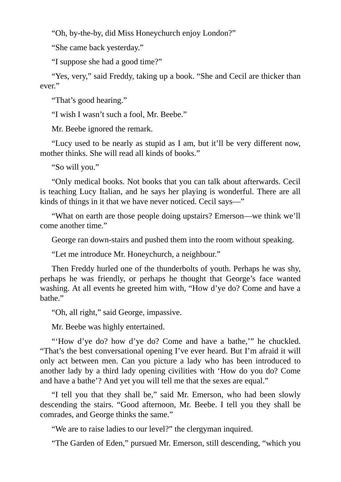"Oh, by-the-by, did Miss Honeychurch enjoy London?"

"She came back yesterday."

"I suppose she had a good time?"

"Yes, very," said Freddy, taking up a book. "She and Cecil are thicker than ever."

"That's good hearing."

"I wish I wasn't such a fool, Mr. Beebe."

Mr. Beebe ignored the remark.

"Lucy used to be nearly as stupid as I am, but it'll be very different now, mother thinks. She will read all kinds of books."

"So will you."

"Only medical books. Not books that you can talk about afterwards. Cecil is teaching Lucy Italian, and he says her playing is wonderful. There are all kinds of things in it that we have never noticed. Cecil says—"

"What on earth are those people doing upstairs? Emerson—we think we'll come another time."

George ran down-stairs and pushed them into the room without speaking.

"Let me introduce Mr. Honeychurch, a neighbour."

Then Freddy hurled one of the thunderbolts of youth. Perhaps he was shy, perhaps he was friendly, or perhaps he thought that George's face wanted washing. At all events he greeted him with, "How d'ye do? Come and have a bathe."

"Oh, all right," said George, impassive.

Mr. Beebe was highly entertained.

"'How d'ye do? how d'ye do? Come and have a bathe," he chuckled. "That's the best conversational opening I've ever heard. But I'm afraid it will only act between men. Can you picture a lady who has been introduced to another lady by a third lady opening civilities with 'How do you do? Come and have a bathe'? And yet you will tell me that the sexes are equal."

"I tell you that they shall be," said Mr. Emerson, who had been slowly descending the stairs. "Good afternoon, Mr. Beebe. I tell you they shall be comrades, and George thinks the same."

"We are to raise ladies to our level?" the clergyman inquired.

"The Garden of Eden," pursued Mr. Emerson, still descending, "which you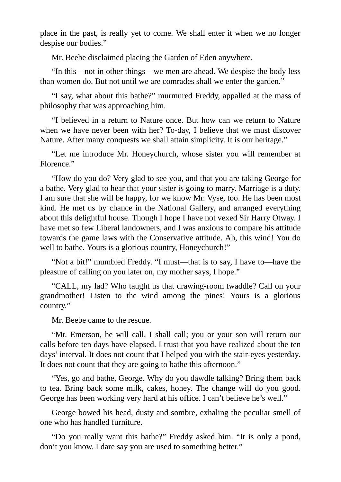place in the past, is really yet to come. We shall enter it when we no longer despise our bodies."

Mr. Beebe disclaimed placing the Garden of Eden anywhere.

"In this—not in other things—we men are ahead. We despise the body less than women do. But not until we are comrades shall we enter the garden."

"I say, what about this bathe?" murmured Freddy, appalled at the mass of philosophy that was approaching him.

"I believed in a return to Nature once. But how can we return to Nature when we have never been with her? To-day, I believe that we must discover Nature. After many conquests we shall attain simplicity. It is our heritage."

"Let me introduce Mr. Honeychurch, whose sister you will remember at Florence."

"How do you do? Very glad to see you, and that you are taking George for a bathe. Very glad to hear that your sister is going to marry. Marriage is a duty. I am sure that she will be happy, for we know Mr. Vyse, too. He has been most kind. He met us by chance in the National Gallery, and arranged everything about this delightful house. Though I hope I have not vexed Sir Harry Otway. I have met so few Liberal landowners, and I was anxious to compare his attitude towards the game laws with the Conservative attitude. Ah, this wind! You do well to bathe. Yours is a glorious country, Honeychurch!"

"Not a bit!" mumbled Freddy. "I must—that is to say, I have to—have the pleasure of calling on you later on, my mother says, I hope."

"CALL, my lad? Who taught us that drawing-room twaddle? Call on your grandmother! Listen to the wind among the pines! Yours is a glorious country."

Mr. Beebe came to the rescue.

"Mr. Emerson, he will call, I shall call; you or your son will return our calls before ten days have elapsed. I trust that you have realized about the ten days' interval. It does not count that I helped you with the stair-eyes yesterday. It does not count that they are going to bathe this afternoon."

"Yes, go and bathe, George. Why do you dawdle talking? Bring them back to tea. Bring back some milk, cakes, honey. The change will do you good. George has been working very hard at his office. I can't believe he's well."

George bowed his head, dusty and sombre, exhaling the peculiar smell of one who has handled furniture.

"Do you really want this bathe?" Freddy asked him. "It is only a pond, don't you know. I dare say you are used to something better."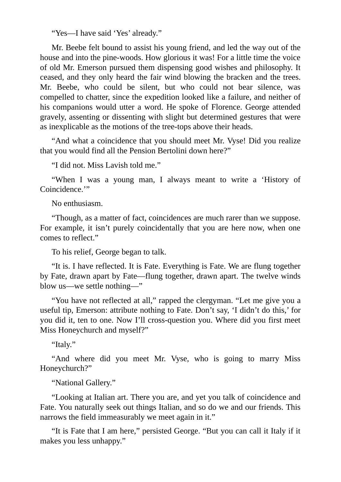"Yes—I have said 'Yes' already."

Mr. Beebe felt bound to assist his young friend, and led the way out of the house and into the pine-woods. How glorious it was! For a little time the voice of old Mr. Emerson pursued them dispensing good wishes and philosophy. It ceased, and they only heard the fair wind blowing the bracken and the trees. Mr. Beebe, who could be silent, but who could not bear silence, was compelled to chatter, since the expedition looked like a failure, and neither of his companions would utter a word. He spoke of Florence. George attended gravely, assenting or dissenting with slight but determined gestures that were as inexplicable as the motions of the tree-tops above their heads.

"And what a coincidence that you should meet Mr. Vyse! Did you realize that you would find all the Pension Bertolini down here?"

"I did not. Miss Lavish told me."

"When I was a young man, I always meant to write a 'History of Coincidence.'"

No enthusiasm.

"Though, as a matter of fact, coincidences are much rarer than we suppose. For example, it isn't purely coincidentally that you are here now, when one comes to reflect."

To his relief, George began to talk.

"It is. I have reflected. It is Fate. Everything is Fate. We are flung together by Fate, drawn apart by Fate—flung together, drawn apart. The twelve winds blow us—we settle nothing—"

"You have not reflected at all," rapped the clergyman. "Let me give you a useful tip, Emerson: attribute nothing to Fate. Don't say, 'I didn't do this,' for you did it, ten to one. Now I'll cross-question you. Where did you first meet Miss Honeychurch and myself?"

"Italy."

"And where did you meet Mr. Vyse, who is going to marry Miss Honeychurch?"

"National Gallery."

"Looking at Italian art. There you are, and yet you talk of coincidence and Fate. You naturally seek out things Italian, and so do we and our friends. This narrows the field immeasurably we meet again in it."

"It is Fate that I am here," persisted George. "But you can call it Italy if it makes you less unhappy."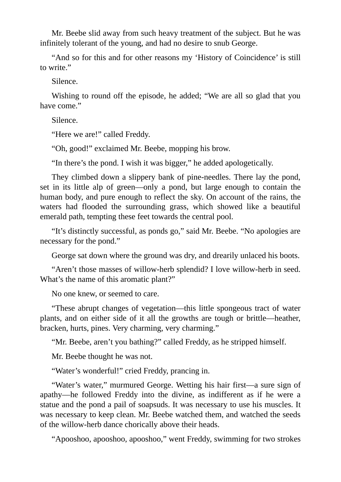Mr. Beebe slid away from such heavy treatment of the subject. But he was infinitely tolerant of the young, and had no desire to snub George.

"And so for this and for other reasons my 'History of Coincidence' is still to write."

Silence.

Wishing to round off the episode, he added; "We are all so glad that you have come."

Silence.

"Here we are!" called Freddy.

"Oh, good!" exclaimed Mr. Beebe, mopping his brow.

"In there's the pond. I wish it was bigger," he added apologetically.

They climbed down a slippery bank of pine-needles. There lay the pond, set in its little alp of green—only a pond, but large enough to contain the human body, and pure enough to reflect the sky. On account of the rains, the waters had flooded the surrounding grass, which showed like a beautiful emerald path, tempting these feet towards the central pool.

"It's distinctly successful, as ponds go," said Mr. Beebe. "No apologies are necessary for the pond."

George sat down where the ground was dry, and drearily unlaced his boots.

"Aren't those masses of willow-herb splendid? I love willow-herb in seed. What's the name of this aromatic plant?"

No one knew, or seemed to care.

"These abrupt changes of vegetation—this little spongeous tract of water plants, and on either side of it all the growths are tough or brittle—heather, bracken, hurts, pines. Very charming, very charming."

"Mr. Beebe, aren't you bathing?" called Freddy, as he stripped himself.

Mr. Beebe thought he was not.

"Water's wonderful!" cried Freddy, prancing in.

"Water's water," murmured George. Wetting his hair first—a sure sign of apathy—he followed Freddy into the divine, as indifferent as if he were a statue and the pond a pail of soapsuds. It was necessary to use his muscles. It was necessary to keep clean. Mr. Beebe watched them, and watched the seeds of the willow-herb dance chorically above their heads.

"Apooshoo, apooshoo, apooshoo," went Freddy, swimming for two strokes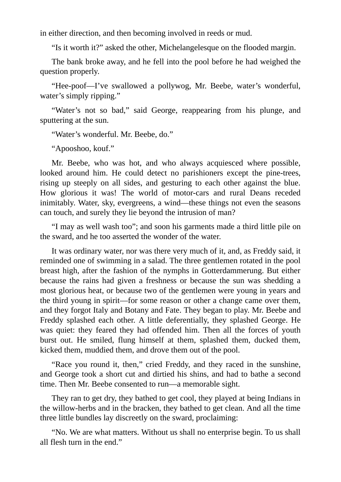in either direction, and then becoming involved in reeds or mud.

"Is it worth it?" asked the other, Michelangelesque on the flooded margin.

The bank broke away, and he fell into the pool before he had weighed the question properly.

"Hee-poof—I've swallowed a pollywog, Mr. Beebe, water's wonderful, water's simply ripping."

"Water's not so bad," said George, reappearing from his plunge, and sputtering at the sun.

"Water's wonderful. Mr. Beebe, do."

"Apooshoo, kouf."

Mr. Beebe, who was hot, and who always acquiesced where possible, looked around him. He could detect no parishioners except the pine-trees, rising up steeply on all sides, and gesturing to each other against the blue. How glorious it was! The world of motor-cars and rural Deans receded inimitably. Water, sky, evergreens, a wind—these things not even the seasons can touch, and surely they lie beyond the intrusion of man?

"I may as well wash too"; and soon his garments made a third little pile on the sward, and he too asserted the wonder of the water.

It was ordinary water, nor was there very much of it, and, as Freddy said, it reminded one of swimming in a salad. The three gentlemen rotated in the pool breast high, after the fashion of the nymphs in Gotterdammerung. But either because the rains had given a freshness or because the sun was shedding a most glorious heat, or because two of the gentlemen were young in years and the third young in spirit—for some reason or other a change came over them, and they forgot Italy and Botany and Fate. They began to play. Mr. Beebe and Freddy splashed each other. A little deferentially, they splashed George. He was quiet: they feared they had offended him. Then all the forces of youth burst out. He smiled, flung himself at them, splashed them, ducked them, kicked them, muddied them, and drove them out of the pool.

"Race you round it, then," cried Freddy, and they raced in the sunshine, and George took a short cut and dirtied his shins, and had to bathe a second time. Then Mr. Beebe consented to run—a memorable sight.

They ran to get dry, they bathed to get cool, they played at being Indians in the willow-herbs and in the bracken, they bathed to get clean. And all the time three little bundles lay discreetly on the sward, proclaiming:

"No. We are what matters. Without us shall no enterprise begin. To us shall all flesh turn in the end."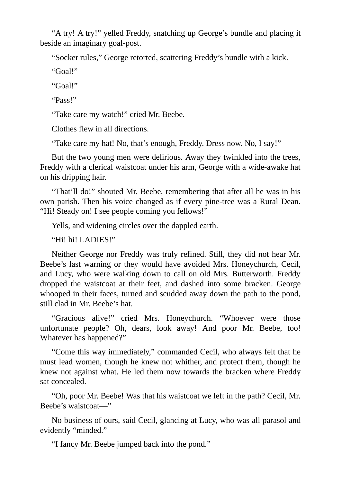"A try! A try!" yelled Freddy, snatching up George's bundle and placing it beside an imaginary goal-post.

"Socker rules," George retorted, scattering Freddy's bundle with a kick.

"Goal!"

"Goal!"

"Pass!"

"Take care my watch!" cried Mr. Beebe.

Clothes flew in all directions.

"Take care my hat! No, that's enough, Freddy. Dress now. No, I say!"

But the two young men were delirious. Away they twinkled into the trees, Freddy with a clerical waistcoat under his arm, George with a wide-awake hat on his dripping hair.

"That'll do!" shouted Mr. Beebe, remembering that after all he was in his own parish. Then his voice changed as if every pine-tree was a Rural Dean. "Hi! Steady on! I see people coming you fellows!"

Yells, and widening circles over the dappled earth.

"Hi! hi! LADIES!"

Neither George nor Freddy was truly refined. Still, they did not hear Mr. Beebe's last warning or they would have avoided Mrs. Honeychurch, Cecil, and Lucy, who were walking down to call on old Mrs. Butterworth. Freddy dropped the waistcoat at their feet, and dashed into some bracken. George whooped in their faces, turned and scudded away down the path to the pond, still clad in Mr. Beebe's hat.

"Gracious alive!" cried Mrs. Honeychurch. "Whoever were those unfortunate people? Oh, dears, look away! And poor Mr. Beebe, too! Whatever has happened?"

"Come this way immediately," commanded Cecil, who always felt that he must lead women, though he knew not whither, and protect them, though he knew not against what. He led them now towards the bracken where Freddy sat concealed.

"Oh, poor Mr. Beebe! Was that his waistcoat we left in the path? Cecil, Mr. Beebe's waistcoat—"

No business of ours, said Cecil, glancing at Lucy, who was all parasol and evidently "minded."

"I fancy Mr. Beebe jumped back into the pond."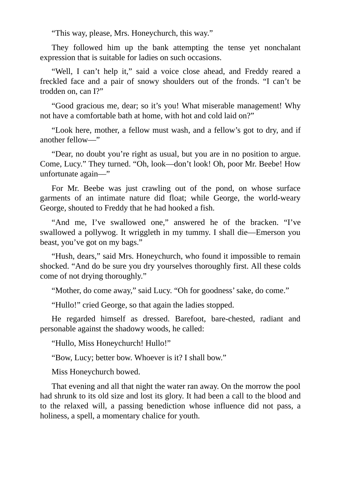"This way, please, Mrs. Honeychurch, this way."

They followed him up the bank attempting the tense yet nonchalant expression that is suitable for ladies on such occasions.

"Well, I can't help it," said a voice close ahead, and Freddy reared a freckled face and a pair of snowy shoulders out of the fronds. "I can't be trodden on, can I?"

"Good gracious me, dear; so it's you! What miserable management! Why not have a comfortable bath at home, with hot and cold laid on?"

"Look here, mother, a fellow must wash, and a fellow's got to dry, and if another fellow—"

"Dear, no doubt you're right as usual, but you are in no position to argue. Come, Lucy." They turned. "Oh, look—don't look! Oh, poor Mr. Beebe! How unfortunate again—"

For Mr. Beebe was just crawling out of the pond, on whose surface garments of an intimate nature did float; while George, the world-weary George, shouted to Freddy that he had hooked a fish.

"And me, I've swallowed one," answered he of the bracken. "I've swallowed a pollywog. It wriggleth in my tummy. I shall die—Emerson you beast, you've got on my bags."

"Hush, dears," said Mrs. Honeychurch, who found it impossible to remain shocked. "And do be sure you dry yourselves thoroughly first. All these colds come of not drying thoroughly."

"Mother, do come away," said Lucy. "Oh for goodness'sake, do come."

"Hullo!" cried George, so that again the ladies stopped.

He regarded himself as dressed. Barefoot, bare-chested, radiant and personable against the shadowy woods, he called:

"Hullo, Miss Honeychurch! Hullo!"

"Bow, Lucy; better bow. Whoever is it? I shall bow."

Miss Honeychurch bowed.

That evening and all that night the water ran away. On the morrow the pool had shrunk to its old size and lost its glory. It had been a call to the blood and to the relaxed will, a passing benediction whose influence did not pass, a holiness, a spell, a momentary chalice for youth.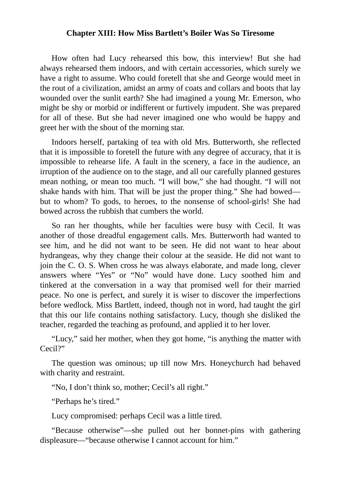### **Chapter XIII: How Miss Bartlett's Boiler Was So Tiresome**

How often had Lucy rehearsed this bow, this interview! But she had always rehearsed them indoors, and with certain accessories, which surely we have a right to assume. Who could foretell that she and George would meet in the rout of a civilization, amidst an army of coats and collars and boots that lay wounded over the sunlit earth? She had imagined a young Mr. Emerson, who might be shy or morbid or indifferent or furtively impudent. She was prepared for all of these. But she had never imagined one who would be happy and greet her with the shout of the morning star.

Indoors herself, partaking of tea with old Mrs. Butterworth, she reflected that it is impossible to foretell the future with any degree of accuracy, that it is impossible to rehearse life. A fault in the scenery, a face in the audience, an irruption of the audience on to the stage, and all our carefully planned gestures mean nothing, or mean too much. "I will bow," she had thought. "I will not shake hands with him. That will be just the proper thing." She had bowed but to whom? To gods, to heroes, to the nonsense of school-girls! She had bowed across the rubbish that cumbers the world.

So ran her thoughts, while her faculties were busy with Cecil. It was another of those dreadful engagement calls. Mrs. Butterworth had wanted to see him, and he did not want to be seen. He did not want to hear about hydrangeas, why they change their colour at the seaside. He did not want to join the C. O. S. When cross he was always elaborate, and made long, clever answers where "Yes" or "No" would have done. Lucy soothed him and tinkered at the conversation in a way that promised well for their married peace. No one is perfect, and surely it is wiser to discover the imperfections before wedlock. Miss Bartlett, indeed, though not in word, had taught the girl that this our life contains nothing satisfactory. Lucy, though she disliked the teacher, regarded the teaching as profound, and applied it to her lover.

"Lucy," said her mother, when they got home, "is anything the matter with Cecil?"

The question was ominous; up till now Mrs. Honeychurch had behaved with charity and restraint.

"No, I don't think so, mother; Cecil's all right."

"Perhaps he's tired."

Lucy compromised: perhaps Cecil was a little tired.

"Because otherwise"—she pulled out her bonnet-pins with gathering displeasure—"because otherwise I cannot account for him."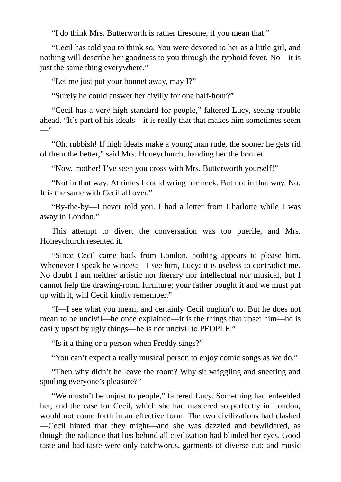"I do think Mrs. Butterworth is rather tiresome, if you mean that."

"Cecil has told you to think so. You were devoted to her as a little girl, and nothing will describe her goodness to you through the typhoid fever. No—it is just the same thing everywhere."

"Let me just put your bonnet away, may I?"

"Surely he could answer her civilly for one half-hour?"

"Cecil has a very high standard for people," faltered Lucy, seeing trouble ahead. "It's part of his ideals—it is really that that makes him sometimes seem  $\overline{\phantom{a}}$ 

"Oh, rubbish! If high ideals make a young man rude, the sooner he gets rid of them the better," said Mrs. Honeychurch, handing her the bonnet.

"Now, mother! I've seen you cross with Mrs. Butterworth yourself!"

"Not in that way. At times I could wring her neck. But not in that way. No. It is the same with Cecil all over."

"By-the-by—I never told you. I had a letter from Charlotte while I was away in London."

This attempt to divert the conversation was too puerile, and Mrs. Honeychurch resented it.

"Since Cecil came back from London, nothing appears to please him. Whenever I speak he winces;—I see him, Lucy; it is useless to contradict me. No doubt I am neither artistic nor literary nor intellectual nor musical, but I cannot help the drawing-room furniture; your father bought it and we must put up with it, will Cecil kindly remember."

"I—I see what you mean, and certainly Cecil oughtn't to. But he does not mean to be uncivil—he once explained—it is the things that upset him—he is easily upset by ugly things—he is not uncivil to PEOPLE."

"Is it a thing or a person when Freddy sings?"

"You can't expect a really musical person to enjoy comic songs as we do."

"Then why didn't he leave the room? Why sit wriggling and sneering and spoiling everyone's pleasure?"

"We mustn't be unjust to people," faltered Lucy. Something had enfeebled her, and the case for Cecil, which she had mastered so perfectly in London, would not come forth in an effective form. The two civilizations had clashed —Cecil hinted that they might—and she was dazzled and bewildered, as though the radiance that lies behind all civilization had blinded her eyes. Good taste and bad taste were only catchwords, garments of diverse cut; and music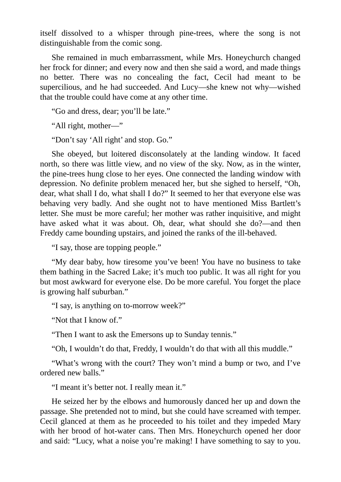itself dissolved to a whisper through pine-trees, where the song is not distinguishable from the comic song.

She remained in much embarrassment, while Mrs. Honeychurch changed her frock for dinner; and every now and then she said a word, and made things no better. There was no concealing the fact, Cecil had meant to be supercilious, and he had succeeded. And Lucy—she knew not why—wished that the trouble could have come at any other time.

"Go and dress, dear; you'll be late."

"All right, mother—"

"Don't say 'All right' and stop. Go."

She obeyed, but loitered disconsolately at the landing window. It faced north, so there was little view, and no view of the sky. Now, as in the winter, the pine-trees hung close to her eyes. One connected the landing window with depression. No definite problem menaced her, but she sighed to herself, "Oh, dear, what shall I do, what shall I do?" It seemed to her that everyone else was behaving very badly. And she ought not to have mentioned Miss Bartlett's letter. She must be more careful; her mother was rather inquisitive, and might have asked what it was about. Oh, dear, what should she do?—and then Freddy came bounding upstairs, and joined the ranks of the ill-behaved.

"I say, those are topping people."

"My dear baby, how tiresome you've been! You have no business to take them bathing in the Sacred Lake; it's much too public. It was all right for you but most awkward for everyone else. Do be more careful. You forget the place is growing half suburban."

"I say, is anything on to-morrow week?"

"Not that I know of."

"Then I want to ask the Emersons up to Sunday tennis."

"Oh, I wouldn't do that, Freddy, I wouldn't do that with all this muddle."

"What's wrong with the court? They won't mind a bump or two, and I've ordered new balls."

"I meant it's better not. I really mean it."

He seized her by the elbows and humorously danced her up and down the passage. She pretended not to mind, but she could have screamed with temper. Cecil glanced at them as he proceeded to his toilet and they impeded Mary with her brood of hot-water cans. Then Mrs. Honeychurch opened her door and said: "Lucy, what a noise you're making! I have something to say to you.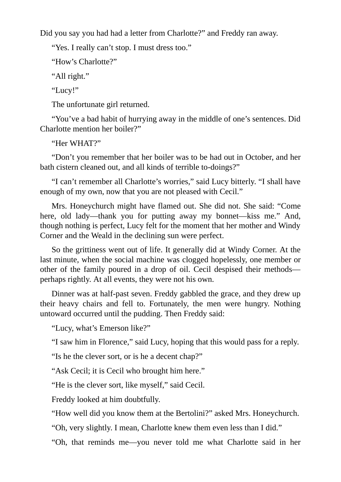Did you say you had had a letter from Charlotte?" and Freddy ran away.

"Yes. I really can't stop. I must dress too."

"How's Charlotte?"

"All right."

"Lucy!"

The unfortunate girl returned.

"You've a bad habit of hurrying away in the middle of one's sentences. Did Charlotte mention her boiler?"

"Her WHAT?"

"Don't you remember that her boiler was to be had out in October, and her bath cistern cleaned out, and all kinds of terrible to-doings?"

"I can't remember all Charlotte's worries," said Lucy bitterly. "I shall have enough of my own, now that you are not pleased with Cecil."

Mrs. Honeychurch might have flamed out. She did not. She said: "Come here, old lady—thank you for putting away my bonnet—kiss me." And, though nothing is perfect, Lucy felt for the moment that her mother and Windy Corner and the Weald in the declining sun were perfect.

So the grittiness went out of life. It generally did at Windy Corner. At the last minute, when the social machine was clogged hopelessly, one member or other of the family poured in a drop of oil. Cecil despised their methods perhaps rightly. At all events, they were not his own.

Dinner was at half-past seven. Freddy gabbled the grace, and they drew up their heavy chairs and fell to. Fortunately, the men were hungry. Nothing untoward occurred until the pudding. Then Freddy said:

"Lucy, what's Emerson like?"

"I saw him in Florence," said Lucy, hoping that this would pass for a reply.

"Is he the clever sort, or is he a decent chap?"

"Ask Cecil; it is Cecil who brought him here."

"He is the clever sort, like myself," said Cecil.

Freddy looked at him doubtfully.

"How well did you know them at the Bertolini?" asked Mrs. Honeychurch.

"Oh, very slightly. I mean, Charlotte knew them even less than I did."

"Oh, that reminds me—you never told me what Charlotte said in her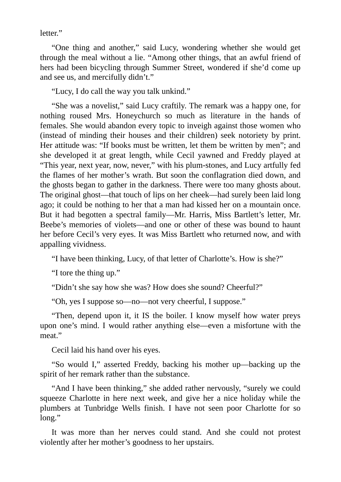letter."

"One thing and another," said Lucy, wondering whether she would get through the meal without a lie. "Among other things, that an awful friend of hers had been bicycling through Summer Street, wondered if she'd come up and see us, and mercifully didn't."

"Lucy, I do call the way you talk unkind."

"She was a novelist," said Lucy craftily. The remark was a happy one, for nothing roused Mrs. Honeychurch so much as literature in the hands of females. She would abandon every topic to inveigh against those women who (instead of minding their houses and their children) seek notoriety by print. Her attitude was: "If books must be written, let them be written by men"; and she developed it at great length, while Cecil yawned and Freddy played at "This year, next year, now, never," with his plum-stones, and Lucy artfully fed the flames of her mother's wrath. But soon the conflagration died down, and the ghosts began to gather in the darkness. There were too many ghosts about. The original ghost—that touch of lips on her cheek—had surely been laid long ago; it could be nothing to her that a man had kissed her on a mountain once. But it had begotten a spectral family—Mr. Harris, Miss Bartlett's letter, Mr. Beebe's memories of violets—and one or other of these was bound to haunt her before Cecil's very eyes. It was Miss Bartlett who returned now, and with appalling vividness.

"I have been thinking, Lucy, of that letter of Charlotte's. How is she?"

"I tore the thing up."

"Didn't she say how she was? How does she sound? Cheerful?"

"Oh, yes I suppose so—no—not very cheerful, I suppose."

"Then, depend upon it, it IS the boiler. I know myself how water preys upon one's mind. I would rather anything else—even a misfortune with the meat."

Cecil laid his hand over his eyes.

"So would I," asserted Freddy, backing his mother up—backing up the spirit of her remark rather than the substance.

"And I have been thinking," she added rather nervously, "surely we could squeeze Charlotte in here next week, and give her a nice holiday while the plumbers at Tunbridge Wells finish. I have not seen poor Charlotte for so long."

It was more than her nerves could stand. And she could not protest violently after her mother's goodness to her upstairs.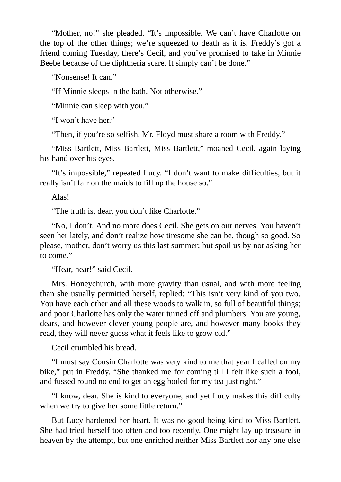"Mother, no!" she pleaded. "It's impossible. We can't have Charlotte on the top of the other things; we're squeezed to death as it is. Freddy's got a friend coming Tuesday, there's Cecil, and you've promised to take in Minnie Beebe because of the diphtheria scare. It simply can't be done."

"Nonsense! It can."

"If Minnie sleeps in the bath. Not otherwise."

"Minnie can sleep with you."

"I won't have her."

"Then, if you're so selfish, Mr. Floyd must share a room with Freddy."

"Miss Bartlett, Miss Bartlett, Miss Bartlett," moaned Cecil, again laying his hand over his eyes.

"It's impossible," repeated Lucy. "I don't want to make difficulties, but it really isn't fair on the maids to fill up the house so."

Alas!

"The truth is, dear, you don't like Charlotte."

"No, I don't. And no more does Cecil. She gets on our nerves. You haven't seen her lately, and don't realize how tiresome she can be, though so good. So please, mother, don't worry us this last summer; but spoil us by not asking her to come."

"Hear, hear!" said Cecil.

Mrs. Honeychurch, with more gravity than usual, and with more feeling than she usually permitted herself, replied: "This isn't very kind of you two. You have each other and all these woods to walk in, so full of beautiful things; and poor Charlotte has only the water turned off and plumbers. You are young, dears, and however clever young people are, and however many books they read, they will never guess what it feels like to grow old."

Cecil crumbled his bread.

"I must say Cousin Charlotte was very kind to me that year I called on my bike," put in Freddy. "She thanked me for coming till I felt like such a fool, and fussed round no end to get an egg boiled for my tea just right."

"I know, dear. She is kind to everyone, and yet Lucy makes this difficulty when we try to give her some little return."

But Lucy hardened her heart. It was no good being kind to Miss Bartlett. She had tried herself too often and too recently. One might lay up treasure in heaven by the attempt, but one enriched neither Miss Bartlett nor any one else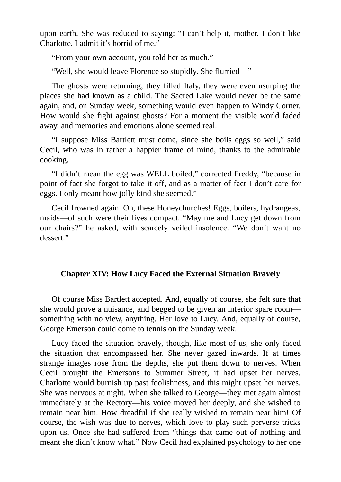upon earth. She was reduced to saying: "I can't help it, mother. I don't like Charlotte. I admit it's horrid of me."

"From your own account, you told her as much."

"Well, she would leave Florence so stupidly. She flurried—"

The ghosts were returning; they filled Italy, they were even usurping the places she had known as a child. The Sacred Lake would never be the same again, and, on Sunday week, something would even happen to Windy Corner. How would she fight against ghosts? For a moment the visible world faded away, and memories and emotions alone seemed real.

"I suppose Miss Bartlett must come, since she boils eggs so well," said Cecil, who was in rather a happier frame of mind, thanks to the admirable cooking.

"I didn't mean the egg was WELL boiled," corrected Freddy, "because in point of fact she forgot to take it off, and as a matter of fact I don't care for eggs. I only meant how jolly kind she seemed."

Cecil frowned again. Oh, these Honeychurches! Eggs, boilers, hydrangeas, maids—of such were their lives compact. "May me and Lucy get down from our chairs?" he asked, with scarcely veiled insolence. "We don't want no dessert."

### **Chapter XIV: How Lucy Faced the External Situation Bravely**

Of course Miss Bartlett accepted. And, equally of course, she felt sure that she would prove a nuisance, and begged to be given an inferior spare room something with no view, anything. Her love to Lucy. And, equally of course, George Emerson could come to tennis on the Sunday week.

Lucy faced the situation bravely, though, like most of us, she only faced the situation that encompassed her. She never gazed inwards. If at times strange images rose from the depths, she put them down to nerves. When Cecil brought the Emersons to Summer Street, it had upset her nerves. Charlotte would burnish up past foolishness, and this might upset her nerves. She was nervous at night. When she talked to George—they met again almost immediately at the Rectory—his voice moved her deeply, and she wished to remain near him. How dreadful if she really wished to remain near him! Of course, the wish was due to nerves, which love to play such perverse tricks upon us. Once she had suffered from "things that came out of nothing and meant she didn't know what." Now Cecil had explained psychology to her one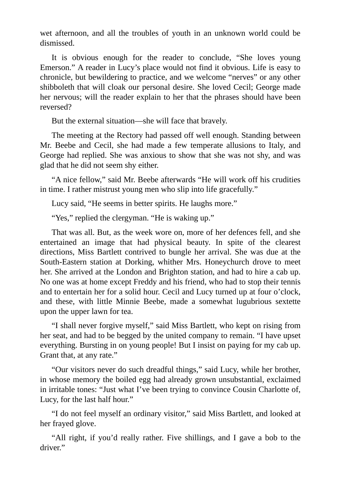wet afternoon, and all the troubles of youth in an unknown world could be dismissed.

It is obvious enough for the reader to conclude, "She loves young Emerson." A reader in Lucy's place would not find it obvious. Life is easy to chronicle, but bewildering to practice, and we welcome "nerves" or any other shibboleth that will cloak our personal desire. She loved Cecil; George made her nervous; will the reader explain to her that the phrases should have been reversed?

But the external situation—she will face that bravely.

The meeting at the Rectory had passed off well enough. Standing between Mr. Beebe and Cecil, she had made a few temperate allusions to Italy, and George had replied. She was anxious to show that she was not shy, and was glad that he did not seem shy either.

"A nice fellow," said Mr. Beebe afterwards "He will work off his crudities in time. I rather mistrust young men who slip into life gracefully."

Lucy said, "He seems in better spirits. He laughs more."

"Yes," replied the clergyman. "He is waking up."

That was all. But, as the week wore on, more of her defences fell, and she entertained an image that had physical beauty. In spite of the clearest directions, Miss Bartlett contrived to bungle her arrival. She was due at the South-Eastern station at Dorking, whither Mrs. Honeychurch drove to meet her. She arrived at the London and Brighton station, and had to hire a cab up. No one was at home except Freddy and his friend, who had to stop their tennis and to entertain her for a solid hour. Cecil and Lucy turned up at four o'clock, and these, with little Minnie Beebe, made a somewhat lugubrious sextette upon the upper lawn for tea.

"I shall never forgive myself," said Miss Bartlett, who kept on rising from her seat, and had to be begged by the united company to remain. "I have upset everything. Bursting in on young people! But I insist on paying for my cab up. Grant that, at any rate."

"Our visitors never do such dreadful things," said Lucy, while her brother, in whose memory the boiled egg had already grown unsubstantial, exclaimed in irritable tones: "Just what I've been trying to convince Cousin Charlotte of, Lucy, for the last half hour."

"I do not feel myself an ordinary visitor," said Miss Bartlett, and looked at her frayed glove.

"All right, if you'd really rather. Five shillings, and I gave a bob to the driver."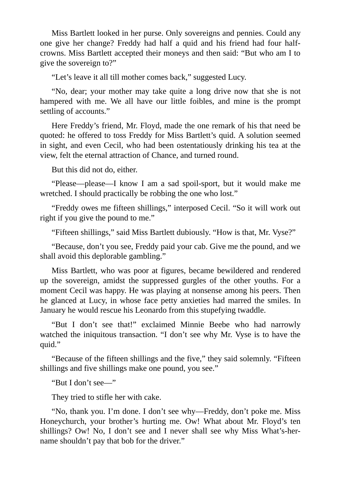Miss Bartlett looked in her purse. Only sovereigns and pennies. Could any one give her change? Freddy had half a quid and his friend had four halfcrowns. Miss Bartlett accepted their moneys and then said: "But who am I to give the sovereign to?"

"Let's leave it all till mother comes back," suggested Lucy.

"No, dear; your mother may take quite a long drive now that she is not hampered with me. We all have our little foibles, and mine is the prompt settling of accounts."

Here Freddy's friend, Mr. Floyd, made the one remark of his that need be quoted: he offered to toss Freddy for Miss Bartlett's quid. A solution seemed in sight, and even Cecil, who had been ostentatiously drinking his tea at the view, felt the eternal attraction of Chance, and turned round.

But this did not do, either.

"Please—please—I know I am a sad spoil-sport, but it would make me wretched. I should practically be robbing the one who lost."

"Freddy owes me fifteen shillings," interposed Cecil. "So it will work out right if you give the pound to me."

"Fifteen shillings," said Miss Bartlett dubiously. "How is that, Mr. Vyse?"

"Because, don't you see, Freddy paid your cab. Give me the pound, and we shall avoid this deplorable gambling."

Miss Bartlett, who was poor at figures, became bewildered and rendered up the sovereign, amidst the suppressed gurgles of the other youths. For a moment Cecil was happy. He was playing at nonsense among his peers. Then he glanced at Lucy, in whose face petty anxieties had marred the smiles. In January he would rescue his Leonardo from this stupefying twaddle.

"But I don't see that!" exclaimed Minnie Beebe who had narrowly watched the iniquitous transaction. "I don't see why Mr. Vyse is to have the quid."

"Because of the fifteen shillings and the five," they said solemnly. "Fifteen shillings and five shillings make one pound, you see."

"But I don't see—"

They tried to stifle her with cake.

"No, thank you. I'm done. I don't see why—Freddy, don't poke me. Miss Honeychurch, your brother's hurting me. Ow! What about Mr. Floyd's ten shillings? Ow! No, I don't see and I never shall see why Miss What's-hername shouldn't pay that bob for the driver."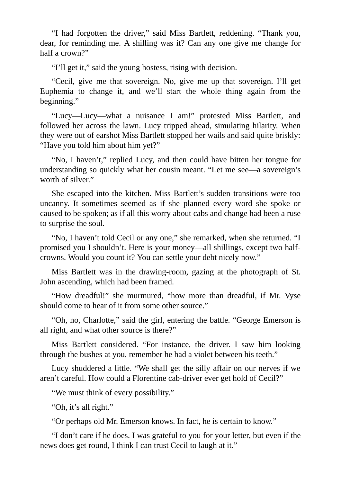"I had forgotten the driver," said Miss Bartlett, reddening. "Thank you, dear, for reminding me. A shilling was it? Can any one give me change for half a crown?"

"I'll get it," said the young hostess, rising with decision.

"Cecil, give me that sovereign. No, give me up that sovereign. I'll get Euphemia to change it, and we'll start the whole thing again from the beginning."

"Lucy—Lucy—what a nuisance I am!" protested Miss Bartlett, and followed her across the lawn. Lucy tripped ahead, simulating hilarity. When they were out of earshot Miss Bartlett stopped her wails and said quite briskly: "Have you told him about him yet?"

"No, I haven't," replied Lucy, and then could have bitten her tongue for understanding so quickly what her cousin meant. "Let me see—a sovereign's worth of silver."

She escaped into the kitchen. Miss Bartlett's sudden transitions were too uncanny. It sometimes seemed as if she planned every word she spoke or caused to be spoken; as if all this worry about cabs and change had been a ruse to surprise the soul.

"No, I haven't told Cecil or any one," she remarked, when she returned. "I promised you I shouldn't. Here is your money—all shillings, except two halfcrowns. Would you count it? You can settle your debt nicely now."

Miss Bartlett was in the drawing-room, gazing at the photograph of St. John ascending, which had been framed.

"How dreadful!" she murmured, "how more than dreadful, if Mr. Vyse should come to hear of it from some other source."

"Oh, no, Charlotte," said the girl, entering the battle. "George Emerson is all right, and what other source is there?"

Miss Bartlett considered. "For instance, the driver. I saw him looking through the bushes at you, remember he had a violet between his teeth."

Lucy shuddered a little. "We shall get the silly affair on our nerves if we aren't careful. How could a Florentine cab-driver ever get hold of Cecil?"

"We must think of every possibility."

"Oh, it's all right."

"Or perhaps old Mr. Emerson knows. In fact, he is certain to know."

"I don't care if he does. I was grateful to you for your letter, but even if the news does get round, I think I can trust Cecil to laugh at it."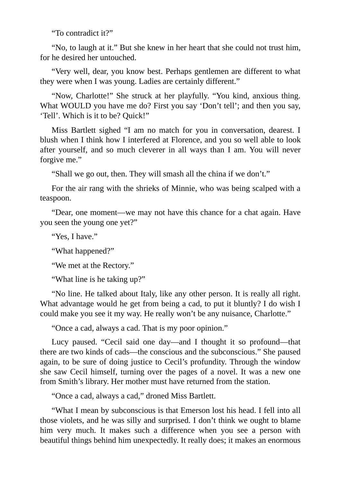"To contradict it?"

"No, to laugh at it." But she knew in her heart that she could not trust him, for he desired her untouched.

"Very well, dear, you know best. Perhaps gentlemen are different to what they were when I was young. Ladies are certainly different."

"Now, Charlotte!" She struck at her playfully. "You kind, anxious thing. What WOULD you have me do? First you say 'Don't tell'; and then you say, 'Tell'. Which is it to be? Quick!"

Miss Bartlett sighed "I am no match for you in conversation, dearest. I blush when I think how I interfered at Florence, and you so well able to look after yourself, and so much cleverer in all ways than I am. You will never forgive me."

"Shall we go out, then. They will smash all the china if we don't."

For the air rang with the shrieks of Minnie, who was being scalped with a teaspoon.

"Dear, one moment—we may not have this chance for a chat again. Have you seen the young one yet?"

"Yes, I have."

"What happened?"

"We met at the Rectory."

"What line is he taking up?"

"No line. He talked about Italy, like any other person. It is really all right. What advantage would he get from being a cad, to put it bluntly? I do wish I could make you see it my way. He really won't be any nuisance, Charlotte."

"Once a cad, always a cad. That is my poor opinion."

Lucy paused. "Cecil said one day—and I thought it so profound—that there are two kinds of cads—the conscious and the subconscious." She paused again, to be sure of doing justice to Cecil's profundity. Through the window she saw Cecil himself, turning over the pages of a novel. It was a new one from Smith's library. Her mother must have returned from the station.

"Once a cad, always a cad," droned Miss Bartlett.

"What I mean by subconscious is that Emerson lost his head. I fell into all those violets, and he was silly and surprised. I don't think we ought to blame him very much. It makes such a difference when you see a person with beautiful things behind him unexpectedly. It really does; it makes an enormous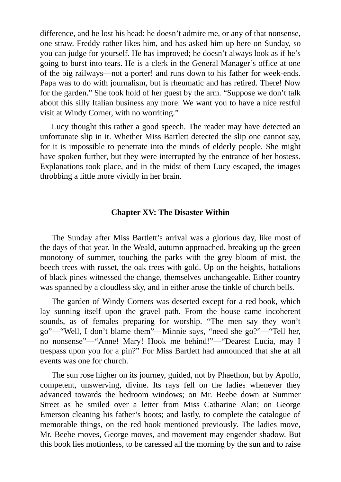difference, and he lost his head: he doesn't admire me, or any of that nonsense, one straw. Freddy rather likes him, and has asked him up here on Sunday, so you can judge for yourself. He has improved; he doesn't always look as if he's going to burst into tears. He is a clerk in the General Manager's office at one of the big railways—not a porter! and runs down to his father for week-ends. Papa was to do with journalism, but is rheumatic and has retired. There! Now for the garden." She took hold of her guest by the arm. "Suppose we don't talk about this silly Italian business any more. We want you to have a nice restful visit at Windy Corner, with no worriting."

Lucy thought this rather a good speech. The reader may have detected an unfortunate slip in it. Whether Miss Bartlett detected the slip one cannot say, for it is impossible to penetrate into the minds of elderly people. She might have spoken further, but they were interrupted by the entrance of her hostess. Explanations took place, and in the midst of them Lucy escaped, the images throbbing a little more vividly in her brain.

#### **Chapter XV: The Disaster Within**

The Sunday after Miss Bartlett's arrival was a glorious day, like most of the days of that year. In the Weald, autumn approached, breaking up the green monotony of summer, touching the parks with the grey bloom of mist, the beech-trees with russet, the oak-trees with gold. Up on the heights, battalions of black pines witnessed the change, themselves unchangeable. Either country was spanned by a cloudless sky, and in either arose the tinkle of church bells.

The garden of Windy Corners was deserted except for a red book, which lay sunning itself upon the gravel path. From the house came incoherent sounds, as of females preparing for worship. "The men say they won't go"—"Well, I don't blame them"—Minnie says, "need she go?"—"Tell her, no nonsense"—"Anne! Mary! Hook me behind!"—"Dearest Lucia, may I trespass upon you for a pin?" For Miss Bartlett had announced that she at all events was one for church.

The sun rose higher on its journey, guided, not by Phaethon, but by Apollo, competent, unswerving, divine. Its rays fell on the ladies whenever they advanced towards the bedroom windows; on Mr. Beebe down at Summer Street as he smiled over a letter from Miss Catharine Alan; on George Emerson cleaning his father's boots; and lastly, to complete the catalogue of memorable things, on the red book mentioned previously. The ladies move, Mr. Beebe moves, George moves, and movement may engender shadow. But this book lies motionless, to be caressed all the morning by the sun and to raise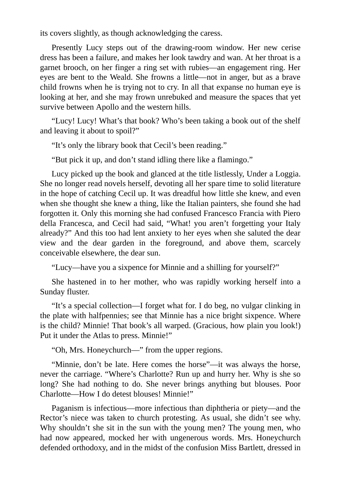its covers slightly, as though acknowledging the caress.

Presently Lucy steps out of the drawing-room window. Her new cerise dress has been a failure, and makes her look tawdry and wan. At her throat is a garnet brooch, on her finger a ring set with rubies—an engagement ring. Her eyes are bent to the Weald. She frowns a little—not in anger, but as a brave child frowns when he is trying not to cry. In all that expanse no human eye is looking at her, and she may frown unrebuked and measure the spaces that yet survive between Apollo and the western hills.

"Lucy! Lucy! What's that book? Who's been taking a book out of the shelf and leaving it about to spoil?"

"It's only the library book that Cecil's been reading."

"But pick it up, and don't stand idling there like a flamingo."

Lucy picked up the book and glanced at the title listlessly, Under a Loggia. She no longer read novels herself, devoting all her spare time to solid literature in the hope of catching Cecil up. It was dreadful how little she knew, and even when she thought she knew a thing, like the Italian painters, she found she had forgotten it. Only this morning she had confused Francesco Francia with Piero della Francesca, and Cecil had said, "What! you aren't forgetting your Italy already?" And this too had lent anxiety to her eyes when she saluted the dear view and the dear garden in the foreground, and above them, scarcely conceivable elsewhere, the dear sun.

"Lucy—have you a sixpence for Minnie and a shilling for yourself?"

She hastened in to her mother, who was rapidly working herself into a Sunday fluster.

"It's a special collection—I forget what for. I do beg, no vulgar clinking in the plate with halfpennies; see that Minnie has a nice bright sixpence. Where is the child? Minnie! That book's all warped. (Gracious, how plain you look!) Put it under the Atlas to press. Minnie!"

"Oh, Mrs. Honeychurch—" from the upper regions.

"Minnie, don't be late. Here comes the horse"—it was always the horse, never the carriage. "Where's Charlotte? Run up and hurry her. Why is she so long? She had nothing to do. She never brings anything but blouses. Poor Charlotte—How I do detest blouses! Minnie!"

Paganism is infectious—more infectious than diphtheria or piety—and the Rector's niece was taken to church protesting. As usual, she didn't see why. Why shouldn't she sit in the sun with the young men? The young men, who had now appeared, mocked her with ungenerous words. Mrs. Honeychurch defended orthodoxy, and in the midst of the confusion Miss Bartlett, dressed in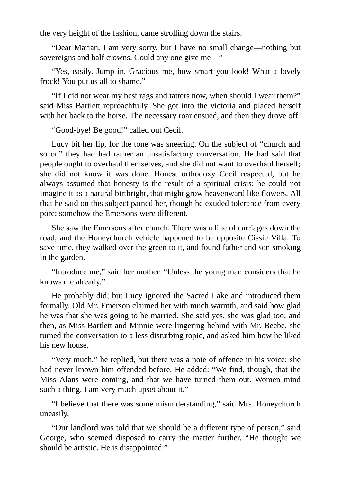the very height of the fashion, came strolling down the stairs.

"Dear Marian, I am very sorry, but I have no small change—nothing but sovereigns and half crowns. Could any one give me—"

"Yes, easily. Jump in. Gracious me, how smart you look! What a lovely frock! You put us all to shame."

"If I did not wear my best rags and tatters now, when should I wear them?" said Miss Bartlett reproachfully. She got into the victoria and placed herself with her back to the horse. The necessary roar ensued, and then they drove off.

"Good-bye! Be good!" called out Cecil.

Lucy bit her lip, for the tone was sneering. On the subject of "church and so on" they had had rather an unsatisfactory conversation. He had said that people ought to overhaul themselves, and she did not want to overhaul herself; she did not know it was done. Honest orthodoxy Cecil respected, but he always assumed that honesty is the result of a spiritual crisis; he could not imagine it as a natural birthright, that might grow heavenward like flowers. All that he said on this subject pained her, though he exuded tolerance from every pore; somehow the Emersons were different.

She saw the Emersons after church. There was a line of carriages down the road, and the Honeychurch vehicle happened to be opposite Cissie Villa. To save time, they walked over the green to it, and found father and son smoking in the garden.

"Introduce me," said her mother. "Unless the young man considers that he knows me already."

He probably did; but Lucy ignored the Sacred Lake and introduced them formally. Old Mr. Emerson claimed her with much warmth, and said how glad he was that she was going to be married. She said yes, she was glad too; and then, as Miss Bartlett and Minnie were lingering behind with Mr. Beebe, she turned the conversation to a less disturbing topic, and asked him how he liked his new house.

"Very much," he replied, but there was a note of offence in his voice; she had never known him offended before. He added: "We find, though, that the Miss Alans were coming, and that we have turned them out. Women mind such a thing. I am very much upset about it."

"I believe that there was some misunderstanding," said Mrs. Honeychurch uneasily.

"Our landlord was told that we should be a different type of person," said George, who seemed disposed to carry the matter further. "He thought we should be artistic. He is disappointed."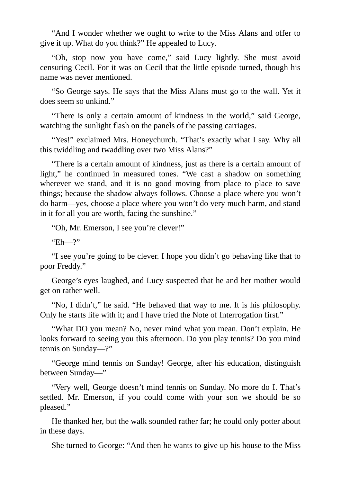"And I wonder whether we ought to write to the Miss Alans and offer to give it up. What do you think?" He appealed to Lucy.

"Oh, stop now you have come," said Lucy lightly. She must avoid censuring Cecil. For it was on Cecil that the little episode turned, though his name was never mentioned.

"So George says. He says that the Miss Alans must go to the wall. Yet it does seem so unkind."

"There is only a certain amount of kindness in the world," said George, watching the sunlight flash on the panels of the passing carriages.

"Yes!" exclaimed Mrs. Honeychurch. "That's exactly what I say. Why all this twiddling and twaddling over two Miss Alans?"

"There is a certain amount of kindness, just as there is a certain amount of light," he continued in measured tones. "We cast a shadow on something wherever we stand, and it is no good moving from place to place to save things; because the shadow always follows. Choose a place where you won't do harm—yes, choose a place where you won't do very much harm, and stand in it for all you are worth, facing the sunshine."

"Oh, Mr. Emerson, I see you're clever!"

"Eh—?"

"I see you're going to be clever. I hope you didn't go behaving like that to poor Freddy."

George's eyes laughed, and Lucy suspected that he and her mother would get on rather well.

"No, I didn't," he said. "He behaved that way to me. It is his philosophy. Only he starts life with it; and I have tried the Note of Interrogation first."

"What DO you mean? No, never mind what you mean. Don't explain. He looks forward to seeing you this afternoon. Do you play tennis? Do you mind tennis on Sunday—?"

"George mind tennis on Sunday! George, after his education, distinguish between Sunday—"

"Very well, George doesn't mind tennis on Sunday. No more do I. That's settled. Mr. Emerson, if you could come with your son we should be so pleased."

He thanked her, but the walk sounded rather far; he could only potter about in these days.

She turned to George: "And then he wants to give up his house to the Miss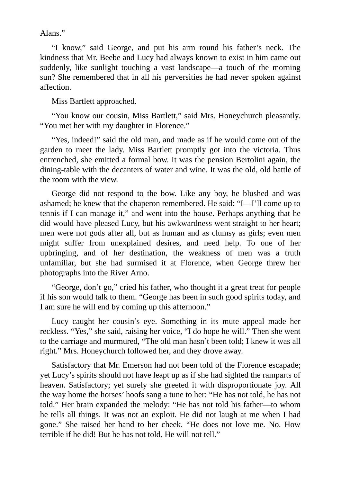Alans."

"I know," said George, and put his arm round his father's neck. The kindness that Mr. Beebe and Lucy had always known to exist in him came out suddenly, like sunlight touching a vast landscape—a touch of the morning sun? She remembered that in all his perversities he had never spoken against affection.

Miss Bartlett approached.

"You know our cousin, Miss Bartlett," said Mrs. Honeychurch pleasantly. "You met her with my daughter in Florence."

"Yes, indeed!" said the old man, and made as if he would come out of the garden to meet the lady. Miss Bartlett promptly got into the victoria. Thus entrenched, she emitted a formal bow. It was the pension Bertolini again, the dining-table with the decanters of water and wine. It was the old, old battle of the room with the view.

George did not respond to the bow. Like any boy, he blushed and was ashamed; he knew that the chaperon remembered. He said: "I—I'll come up to tennis if I can manage it," and went into the house. Perhaps anything that he did would have pleased Lucy, but his awkwardness went straight to her heart; men were not gods after all, but as human and as clumsy as girls; even men might suffer from unexplained desires, and need help. To one of her upbringing, and of her destination, the weakness of men was a truth unfamiliar, but she had surmised it at Florence, when George threw her photographs into the River Arno.

"George, don't go," cried his father, who thought it a great treat for people if his son would talk to them. "George has been in such good spirits today, and I am sure he will end by coming up this afternoon."

Lucy caught her cousin's eye. Something in its mute appeal made her reckless. "Yes," she said, raising her voice, "I do hope he will." Then she went to the carriage and murmured, "The old man hasn't been told; I knew it was all right." Mrs. Honeychurch followed her, and they drove away.

Satisfactory that Mr. Emerson had not been told of the Florence escapade; yet Lucy's spirits should not have leapt up as if she had sighted the ramparts of heaven. Satisfactory; yet surely she greeted it with disproportionate joy. All the way home the horses' hoofs sang a tune to her: "He has not told, he has not told." Her brain expanded the melody: "He has not told his father—to whom he tells all things. It was not an exploit. He did not laugh at me when I had gone." She raised her hand to her cheek. "He does not love me. No. How terrible if he did! But he has not told. He will not tell."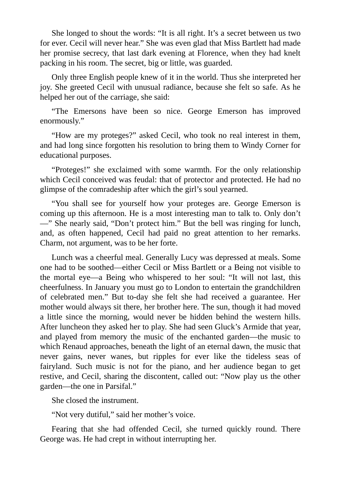She longed to shout the words: "It is all right. It's a secret between us two for ever. Cecil will never hear." She was even glad that Miss Bartlett had made her promise secrecy, that last dark evening at Florence, when they had knelt packing in his room. The secret, big or little, was guarded.

Only three English people knew of it in the world. Thus she interpreted her joy. She greeted Cecil with unusual radiance, because she felt so safe. As he helped her out of the carriage, she said:

"The Emersons have been so nice. George Emerson has improved enormously."

"How are my proteges?" asked Cecil, who took no real interest in them, and had long since forgotten his resolution to bring them to Windy Corner for educational purposes.

"Proteges!" she exclaimed with some warmth. For the only relationship which Cecil conceived was feudal: that of protector and protected. He had no glimpse of the comradeship after which the girl's soul yearned.

"You shall see for yourself how your proteges are. George Emerson is coming up this afternoon. He is a most interesting man to talk to. Only don't —" She nearly said, "Don't protect him." But the bell was ringing for lunch, and, as often happened, Cecil had paid no great attention to her remarks. Charm, not argument, was to be her forte.

Lunch was a cheerful meal. Generally Lucy was depressed at meals. Some one had to be soothed—either Cecil or Miss Bartlett or a Being not visible to the mortal eye—a Being who whispered to her soul: "It will not last, this cheerfulness. In January you must go to London to entertain the grandchildren of celebrated men." But to-day she felt she had received a guarantee. Her mother would always sit there, her brother here. The sun, though it had moved a little since the morning, would never be hidden behind the western hills. After luncheon they asked her to play. She had seen Gluck's Armide that year, and played from memory the music of the enchanted garden—the music to which Renaud approaches, beneath the light of an eternal dawn, the music that never gains, never wanes, but ripples for ever like the tideless seas of fairyland. Such music is not for the piano, and her audience began to get restive, and Cecil, sharing the discontent, called out: "Now play us the other garden—the one in Parsifal."

She closed the instrument.

"Not very dutiful," said her mother's voice.

Fearing that she had offended Cecil, she turned quickly round. There George was. He had crept in without interrupting her.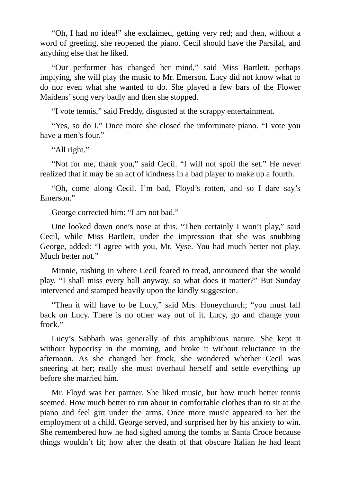"Oh, I had no idea!" she exclaimed, getting very red; and then, without a word of greeting, she reopened the piano. Cecil should have the Parsifal, and anything else that he liked.

"Our performer has changed her mind," said Miss Bartlett, perhaps implying, she will play the music to Mr. Emerson. Lucy did not know what to do nor even what she wanted to do. She played a few bars of the Flower Maidens'song very badly and then she stopped.

"I vote tennis," said Freddy, disgusted at the scrappy entertainment.

"Yes, so do I." Once more she closed the unfortunate piano. "I vote you have a men's four."

"All right."

"Not for me, thank you," said Cecil. "I will not spoil the set." He never realized that it may be an act of kindness in a bad player to make up a fourth.

"Oh, come along Cecil. I'm bad, Floyd's rotten, and so I dare say's Emerson."

George corrected him: "I am not bad."

One looked down one's nose at this. "Then certainly I won't play," said Cecil, while Miss Bartlett, under the impression that she was snubbing George, added: "I agree with you, Mr. Vyse. You had much better not play. Much better not."

Minnie, rushing in where Cecil feared to tread, announced that she would play. "I shall miss every ball anyway, so what does it matter?" But Sunday intervened and stamped heavily upon the kindly suggestion.

"Then it will have to be Lucy," said Mrs. Honeychurch; "you must fall back on Lucy. There is no other way out of it. Lucy, go and change your frock."

Lucy's Sabbath was generally of this amphibious nature. She kept it without hypocrisy in the morning, and broke it without reluctance in the afternoon. As she changed her frock, she wondered whether Cecil was sneering at her; really she must overhaul herself and settle everything up before she married him.

Mr. Floyd was her partner. She liked music, but how much better tennis seemed. How much better to run about in comfortable clothes than to sit at the piano and feel girt under the arms. Once more music appeared to her the employment of a child. George served, and surprised her by his anxiety to win. She remembered how he had sighed among the tombs at Santa Croce because things wouldn't fit; how after the death of that obscure Italian he had leant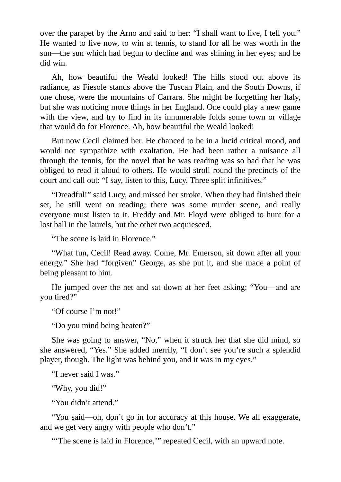over the parapet by the Arno and said to her: "I shall want to live, I tell you." He wanted to live now, to win at tennis, to stand for all he was worth in the sun—the sun which had begun to decline and was shining in her eyes; and he did win.

Ah, how beautiful the Weald looked! The hills stood out above its radiance, as Fiesole stands above the Tuscan Plain, and the South Downs, if one chose, were the mountains of Carrara. She might be forgetting her Italy, but she was noticing more things in her England. One could play a new game with the view, and try to find in its innumerable folds some town or village that would do for Florence. Ah, how beautiful the Weald looked!

But now Cecil claimed her. He chanced to be in a lucid critical mood, and would not sympathize with exaltation. He had been rather a nuisance all through the tennis, for the novel that he was reading was so bad that he was obliged to read it aloud to others. He would stroll round the precincts of the court and call out: "I say, listen to this, Lucy. Three split infinitives."

"Dreadful!" said Lucy, and missed her stroke. When they had finished their set, he still went on reading; there was some murder scene, and really everyone must listen to it. Freddy and Mr. Floyd were obliged to hunt for a lost ball in the laurels, but the other two acquiesced.

"The scene is laid in Florence."

"What fun, Cecil! Read away. Come, Mr. Emerson, sit down after all your energy." She had "forgiven" George, as she put it, and she made a point of being pleasant to him.

He jumped over the net and sat down at her feet asking: "You—and are you tired?"

"Of course I'm not!"

"Do you mind being beaten?"

She was going to answer, "No," when it struck her that she did mind, so she answered, "Yes." She added merrily, "I don't see you're such a splendid player, though. The light was behind you, and it was in my eyes."

"I never said I was."

"Why, you did!"

"You didn't attend."

"You said—oh, don't go in for accuracy at this house. We all exaggerate, and we get very angry with people who don't."

"The scene is laid in Florence," repeated Cecil, with an upward note.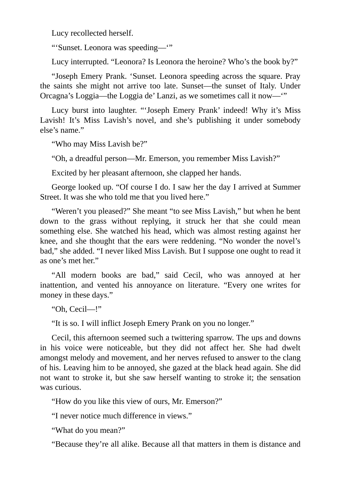Lucy recollected herself.

"'Sunset. Leonora was speeding—'"

Lucy interrupted. "Leonora? Is Leonora the heroine? Who's the book by?"

"Joseph Emery Prank. 'Sunset. Leonora speeding across the square. Pray the saints she might not arrive too late. Sunset—the sunset of Italy. Under Orcagna's Loggia—the Loggia de' Lanzi, as we sometimes call it now—'"

Lucy burst into laughter. "'Joseph Emery Prank' indeed! Why it's Miss Lavish! It's Miss Lavish's novel, and she's publishing it under somebody else's name."

"Who may Miss Lavish be?"

"Oh, a dreadful person—Mr. Emerson, you remember Miss Lavish?"

Excited by her pleasant afternoon, she clapped her hands.

George looked up. "Of course I do. I saw her the day I arrived at Summer Street. It was she who told me that you lived here."

"Weren't you pleased?" She meant "to see Miss Lavish," but when he bent down to the grass without replying, it struck her that she could mean something else. She watched his head, which was almost resting against her knee, and she thought that the ears were reddening. "No wonder the novel's bad," she added. "I never liked Miss Lavish. But I suppose one ought to read it as one's met her."

"All modern books are bad," said Cecil, who was annoyed at her inattention, and vented his annoyance on literature. "Every one writes for money in these days."

"Oh, Cecil—!"

"It is so. I will inflict Joseph Emery Prank on you no longer."

Cecil, this afternoon seemed such a twittering sparrow. The ups and downs in his voice were noticeable, but they did not affect her. She had dwelt amongst melody and movement, and her nerves refused to answer to the clang of his. Leaving him to be annoyed, she gazed at the black head again. She did not want to stroke it, but she saw herself wanting to stroke it; the sensation was curious.

"How do you like this view of ours, Mr. Emerson?"

"I never notice much difference in views."

"What do you mean?"

"Because they're all alike. Because all that matters in them is distance and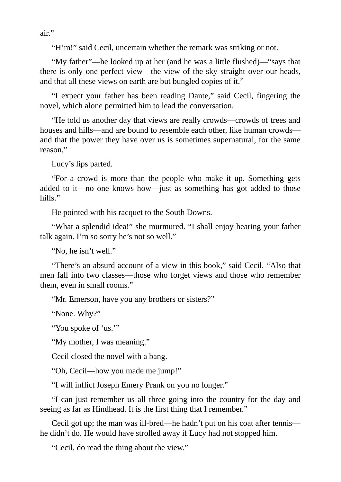air."

"H'm!" said Cecil, uncertain whether the remark was striking or not.

"My father"—he looked up at her (and he was a little flushed)—"says that there is only one perfect view—the view of the sky straight over our heads, and that all these views on earth are but bungled copies of it."

"I expect your father has been reading Dante," said Cecil, fingering the novel, which alone permitted him to lead the conversation.

"He told us another day that views are really crowds—crowds of trees and houses and hills—and are bound to resemble each other, like human crowds and that the power they have over us is sometimes supernatural, for the same reason."

Lucy's lips parted.

"For a crowd is more than the people who make it up. Something gets added to it—no one knows how—just as something has got added to those hills."

He pointed with his racquet to the South Downs.

"What a splendid idea!" she murmured. "I shall enjoy hearing your father talk again. I'm so sorry he's not so well."

"No, he isn't well."

"There's an absurd account of a view in this book," said Cecil. "Also that men fall into two classes—those who forget views and those who remember them, even in small rooms."

"Mr. Emerson, have you any brothers or sisters?"

"None. Why?"

"You spoke of 'us.'"

"My mother, I was meaning."

Cecil closed the novel with a bang.

"Oh, Cecil—how you made me jump!"

"I will inflict Joseph Emery Prank on you no longer."

"I can just remember us all three going into the country for the day and seeing as far as Hindhead. It is the first thing that I remember."

Cecil got up; the man was ill-bred—he hadn't put on his coat after tennis he didn't do. He would have strolled away if Lucy had not stopped him.

"Cecil, do read the thing about the view."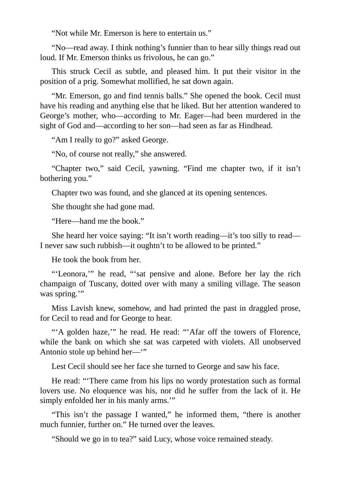"Not while Mr. Emerson is here to entertain us."

"No—read away. I think nothing's funnier than to hear silly things read out loud. If Mr. Emerson thinks us frivolous, he can go."

This struck Cecil as subtle, and pleased him. It put their visitor in the position of a prig. Somewhat mollified, he sat down again.

"Mr. Emerson, go and find tennis balls." She opened the book. Cecil must have his reading and anything else that he liked. But her attention wandered to George's mother, who—according to Mr. Eager—had been murdered in the sight of God and—according to her son—had seen as far as Hindhead.

"Am I really to go?" asked George.

"No, of course not really," she answered.

"Chapter two," said Cecil, yawning. "Find me chapter two, if it isn't bothering you."

Chapter two was found, and she glanced at its opening sentences.

She thought she had gone mad.

"Here—hand me the book."

She heard her voice saying: "It isn't worth reading—it's too silly to read— I never saw such rubbish—it oughtn't to be allowed to be printed."

He took the book from her.

"'Leonora,'" he read, "'sat pensive and alone. Before her lay the rich champaign of Tuscany, dotted over with many a smiling village. The season was spring."

Miss Lavish knew, somehow, and had printed the past in draggled prose, for Cecil to read and for George to hear.

"'A golden haze,'" he read. He read: "'Afar off the towers of Florence, while the bank on which she sat was carpeted with violets. All unobserved Antonio stole up behind her—'"

Lest Cecil should see her face she turned to George and saw his face.

He read: "'There came from his lips no wordy protestation such as formal lovers use. No eloquence was his, nor did he suffer from the lack of it. He simply enfolded her in his manly arms.'"

"This isn't the passage I wanted," he informed them, "there is another much funnier, further on." He turned over the leaves.

"Should we go in to tea?" said Lucy, whose voice remained steady.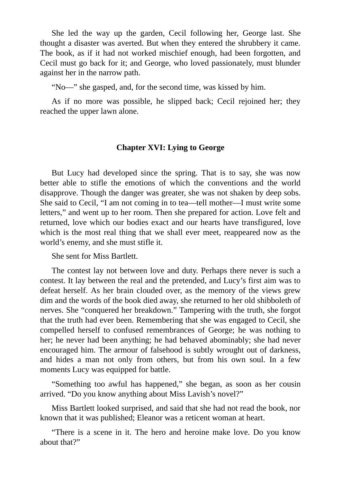She led the way up the garden, Cecil following her, George last. She thought a disaster was averted. But when they entered the shrubbery it came. The book, as if it had not worked mischief enough, had been forgotten, and Cecil must go back for it; and George, who loved passionately, must blunder against her in the narrow path.

"No—" she gasped, and, for the second time, was kissed by him.

As if no more was possible, he slipped back; Cecil rejoined her; they reached the upper lawn alone.

#### **Chapter XVI: Lying to George**

But Lucy had developed since the spring. That is to say, she was now better able to stifle the emotions of which the conventions and the world disapprove. Though the danger was greater, she was not shaken by deep sobs. She said to Cecil, "I am not coming in to tea—tell mother—I must write some letters," and went up to her room. Then she prepared for action. Love felt and returned, love which our bodies exact and our hearts have transfigured, love which is the most real thing that we shall ever meet, reappeared now as the world's enemy, and she must stifle it.

She sent for Miss Bartlett.

The contest lay not between love and duty. Perhaps there never is such a contest. It lay between the real and the pretended, and Lucy's first aim was to defeat herself. As her brain clouded over, as the memory of the views grew dim and the words of the book died away, she returned to her old shibboleth of nerves. She "conquered her breakdown." Tampering with the truth, she forgot that the truth had ever been. Remembering that she was engaged to Cecil, she compelled herself to confused remembrances of George; he was nothing to her; he never had been anything; he had behaved abominably; she had never encouraged him. The armour of falsehood is subtly wrought out of darkness, and hides a man not only from others, but from his own soul. In a few moments Lucy was equipped for battle.

"Something too awful has happened," she began, as soon as her cousin arrived. "Do you know anything about Miss Lavish's novel?"

Miss Bartlett looked surprised, and said that she had not read the book, nor known that it was published; Eleanor was a reticent woman at heart.

"There is a scene in it. The hero and heroine make love. Do you know about that?"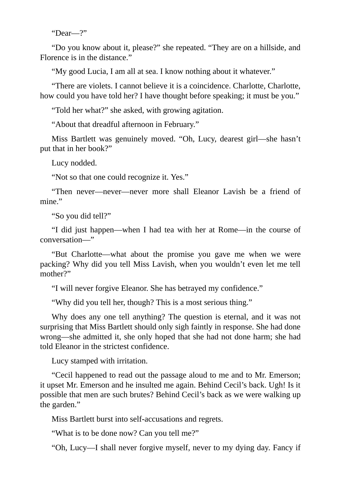"Dear—?"

"Do you know about it, please?" she repeated. "They are on a hillside, and Florence is in the distance."

"My good Lucia, I am all at sea. I know nothing about it whatever."

"There are violets. I cannot believe it is a coincidence. Charlotte, Charlotte, how could you have told her? I have thought before speaking; it must be you."

"Told her what?" she asked, with growing agitation.

"About that dreadful afternoon in February."

Miss Bartlett was genuinely moved. "Oh, Lucy, dearest girl—she hasn't put that in her book?"

Lucy nodded.

"Not so that one could recognize it. Yes."

"Then never—never—never more shall Eleanor Lavish be a friend of mine."

"So you did tell?"

"I did just happen—when I had tea with her at Rome—in the course of conversation—"

"But Charlotte—what about the promise you gave me when we were packing? Why did you tell Miss Lavish, when you wouldn't even let me tell mother?"

"I will never forgive Eleanor. She has betrayed my confidence."

"Why did you tell her, though? This is a most serious thing."

Why does any one tell anything? The question is eternal, and it was not surprising that Miss Bartlett should only sigh faintly in response. She had done wrong—she admitted it, she only hoped that she had not done harm; she had told Eleanor in the strictest confidence.

Lucy stamped with irritation.

"Cecil happened to read out the passage aloud to me and to Mr. Emerson; it upset Mr. Emerson and he insulted me again. Behind Cecil's back. Ugh! Is it possible that men are such brutes? Behind Cecil's back as we were walking up the garden."

Miss Bartlett burst into self-accusations and regrets.

"What is to be done now? Can you tell me?"

"Oh, Lucy—I shall never forgive myself, never to my dying day. Fancy if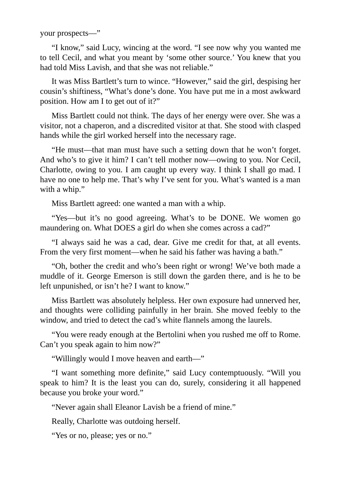your prospects—"

"I know," said Lucy, wincing at the word. "I see now why you wanted me to tell Cecil, and what you meant by 'some other source.' You knew that you had told Miss Lavish, and that she was not reliable."

It was Miss Bartlett's turn to wince. "However," said the girl, despising her cousin's shiftiness, "What's done's done. You have put me in a most awkward position. How am I to get out of it?"

Miss Bartlett could not think. The days of her energy were over. She was a visitor, not a chaperon, and a discredited visitor at that. She stood with clasped hands while the girl worked herself into the necessary rage.

"He must—that man must have such a setting down that he won't forget. And who's to give it him? I can't tell mother now—owing to you. Nor Cecil, Charlotte, owing to you. I am caught up every way. I think I shall go mad. I have no one to help me. That's why I've sent for you. What's wanted is a man with a whip."

Miss Bartlett agreed: one wanted a man with a whip.

"Yes—but it's no good agreeing. What's to be DONE. We women go maundering on. What DOES a girl do when she comes across a cad?"

"I always said he was a cad, dear. Give me credit for that, at all events. From the very first moment—when he said his father was having a bath."

"Oh, bother the credit and who's been right or wrong! We've both made a muddle of it. George Emerson is still down the garden there, and is he to be left unpunished, or isn't he? I want to know."

Miss Bartlett was absolutely helpless. Her own exposure had unnerved her, and thoughts were colliding painfully in her brain. She moved feebly to the window, and tried to detect the cad's white flannels among the laurels.

"You were ready enough at the Bertolini when you rushed me off to Rome. Can't you speak again to him now?"

"Willingly would I move heaven and earth—"

"I want something more definite," said Lucy contemptuously. "Will you speak to him? It is the least you can do, surely, considering it all happened because you broke your word."

"Never again shall Eleanor Lavish be a friend of mine."

Really, Charlotte was outdoing herself.

"Yes or no, please; yes or no."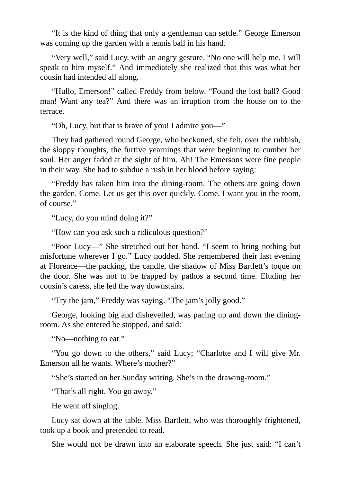"It is the kind of thing that only a gentleman can settle." George Emerson was coming up the garden with a tennis ball in his hand.

"Very well," said Lucy, with an angry gesture. "No one will help me. I will speak to him myself." And immediately she realized that this was what her cousin had intended all along.

"Hullo, Emerson!" called Freddy from below. "Found the lost ball? Good man! Want any tea?" And there was an irruption from the house on to the terrace.

"Oh, Lucy, but that is brave of you! I admire you—"

They had gathered round George, who beckoned, she felt, over the rubbish, the sloppy thoughts, the furtive yearnings that were beginning to cumber her soul. Her anger faded at the sight of him. Ah! The Emersons were fine people in their way. She had to subdue a rush in her blood before saying:

"Freddy has taken him into the dining-room. The others are going down the garden. Come. Let us get this over quickly. Come. I want you in the room, of course."

"Lucy, do you mind doing it?"

"How can you ask such a ridiculous question?"

"Poor Lucy—" She stretched out her hand. "I seem to bring nothing but misfortune wherever I go." Lucy nodded. She remembered their last evening at Florence—the packing, the candle, the shadow of Miss Bartlett's toque on the door. She was not to be trapped by pathos a second time. Eluding her cousin's caress, she led the way downstairs.

"Try the jam," Freddy was saying. "The jam's jolly good."

George, looking big and dishevelled, was pacing up and down the diningroom. As she entered he stopped, and said:

"No—nothing to eat."

"You go down to the others," said Lucy; "Charlotte and I will give Mr. Emerson all he wants. Where's mother?"

"She's started on her Sunday writing. She's in the drawing-room."

"That's all right. You go away."

He went off singing.

Lucy sat down at the table. Miss Bartlett, who was thoroughly frightened, took up a book and pretended to read.

She would not be drawn into an elaborate speech. She just said: "I can't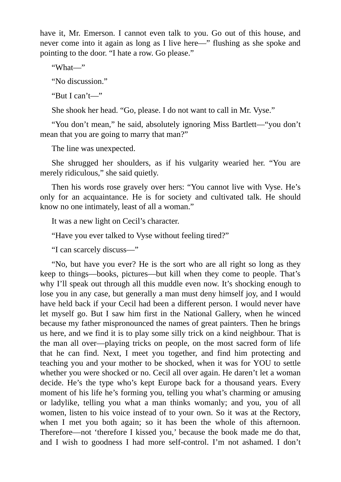have it, Mr. Emerson. I cannot even talk to you. Go out of this house, and never come into it again as long as I live here—" flushing as she spoke and pointing to the door. "I hate a row. Go please."

"What—"

"No discussion."

"But I can't—"

She shook her head. "Go, please. I do not want to call in Mr. Vyse."

"You don't mean," he said, absolutely ignoring Miss Bartlett—"you don't mean that you are going to marry that man?"

The line was unexpected.

She shrugged her shoulders, as if his vulgarity wearied her. "You are merely ridiculous," she said quietly.

Then his words rose gravely over hers: "You cannot live with Vyse. He's only for an acquaintance. He is for society and cultivated talk. He should know no one intimately, least of all a woman."

It was a new light on Cecil's character.

"Have you ever talked to Vyse without feeling tired?"

"I can scarcely discuss—"

"No, but have you ever? He is the sort who are all right so long as they keep to things—books, pictures—but kill when they come to people. That's why I'll speak out through all this muddle even now. It's shocking enough to lose you in any case, but generally a man must deny himself joy, and I would have held back if your Cecil had been a different person. I would never have let myself go. But I saw him first in the National Gallery, when he winced because my father mispronounced the names of great painters. Then he brings us here, and we find it is to play some silly trick on a kind neighbour. That is the man all over—playing tricks on people, on the most sacred form of life that he can find. Next, I meet you together, and find him protecting and teaching you and your mother to be shocked, when it was for YOU to settle whether you were shocked or no. Cecil all over again. He daren't let a woman decide. He's the type who's kept Europe back for a thousand years. Every moment of his life he's forming you, telling you what's charming or amusing or ladylike, telling you what a man thinks womanly; and you, you of all women, listen to his voice instead of to your own. So it was at the Rectory, when I met you both again; so it has been the whole of this afternoon. Therefore—not 'therefore I kissed you,' because the book made me do that, and I wish to goodness I had more self-control. I'm not ashamed. I don't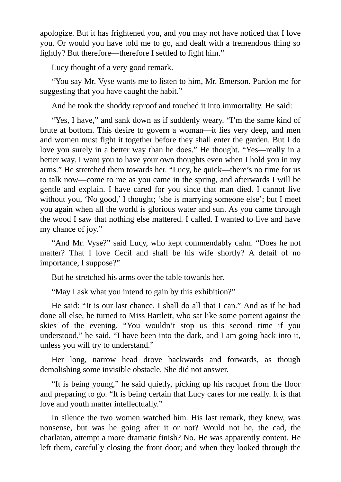apologize. But it has frightened you, and you may not have noticed that I love you. Or would you have told me to go, and dealt with a tremendous thing so lightly? But therefore—therefore I settled to fight him."

Lucy thought of a very good remark.

"You say Mr. Vyse wants me to listen to him, Mr. Emerson. Pardon me for suggesting that you have caught the habit."

And he took the shoddy reproof and touched it into immortality. He said:

"Yes, I have," and sank down as if suddenly weary. "I'm the same kind of brute at bottom. This desire to govern a woman—it lies very deep, and men and women must fight it together before they shall enter the garden. But I do love you surely in a better way than he does." He thought. "Yes—really in a better way. I want you to have your own thoughts even when I hold you in my arms." He stretched them towards her. "Lucy, be quick—there's no time for us to talk now—come to me as you came in the spring, and afterwards I will be gentle and explain. I have cared for you since that man died. I cannot live without you, 'No good,' I thought; 'she is marrying someone else'; but I meet you again when all the world is glorious water and sun. As you came through the wood I saw that nothing else mattered. I called. I wanted to live and have my chance of joy."

"And Mr. Vyse?" said Lucy, who kept commendably calm. "Does he not matter? That I love Cecil and shall be his wife shortly? A detail of no importance, I suppose?"

But he stretched his arms over the table towards her.

"May I ask what you intend to gain by this exhibition?"

He said: "It is our last chance. I shall do all that I can." And as if he had done all else, he turned to Miss Bartlett, who sat like some portent against the skies of the evening. "You wouldn't stop us this second time if you understood," he said. "I have been into the dark, and I am going back into it, unless you will try to understand."

Her long, narrow head drove backwards and forwards, as though demolishing some invisible obstacle. She did not answer.

"It is being young," he said quietly, picking up his racquet from the floor and preparing to go. "It is being certain that Lucy cares for me really. It is that love and youth matter intellectually."

In silence the two women watched him. His last remark, they knew, was nonsense, but was he going after it or not? Would not he, the cad, the charlatan, attempt a more dramatic finish? No. He was apparently content. He left them, carefully closing the front door; and when they looked through the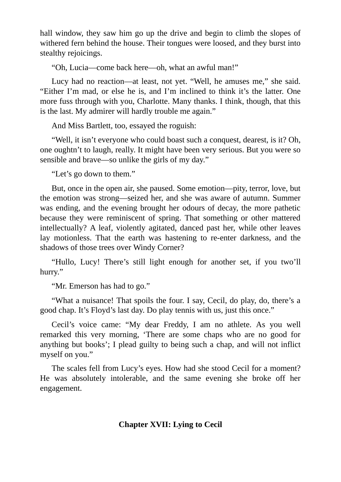hall window, they saw him go up the drive and begin to climb the slopes of withered fern behind the house. Their tongues were loosed, and they burst into stealthy rejoicings.

"Oh, Lucia—come back here—oh, what an awful man!"

Lucy had no reaction—at least, not yet. "Well, he amuses me," she said. "Either I'm mad, or else he is, and I'm inclined to think it's the latter. One more fuss through with you, Charlotte. Many thanks. I think, though, that this is the last. My admirer will hardly trouble me again."

And Miss Bartlett, too, essayed the roguish:

"Well, it isn't everyone who could boast such a conquest, dearest, is it? Oh, one oughtn't to laugh, really. It might have been very serious. But you were so sensible and brave—so unlike the girls of my day."

"Let's go down to them."

But, once in the open air, she paused. Some emotion—pity, terror, love, but the emotion was strong—seized her, and she was aware of autumn. Summer was ending, and the evening brought her odours of decay, the more pathetic because they were reminiscent of spring. That something or other mattered intellectually? A leaf, violently agitated, danced past her, while other leaves lay motionless. That the earth was hastening to re-enter darkness, and the shadows of those trees over Windy Corner?

"Hullo, Lucy! There's still light enough for another set, if you two'll hurry."

"Mr. Emerson has had to go."

"What a nuisance! That spoils the four. I say, Cecil, do play, do, there's a good chap. It's Floyd's last day. Do play tennis with us, just this once."

Cecil's voice came: "My dear Freddy, I am no athlete. As you well remarked this very morning, 'There are some chaps who are no good for anything but books'; I plead guilty to being such a chap, and will not inflict myself on you."

The scales fell from Lucy's eyes. How had she stood Cecil for a moment? He was absolutely intolerable, and the same evening she broke off her engagement.

# **Chapter XVII: Lying to Cecil**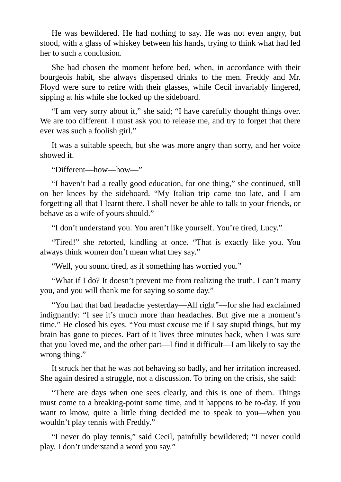He was bewildered. He had nothing to say. He was not even angry, but stood, with a glass of whiskey between his hands, trying to think what had led her to such a conclusion.

She had chosen the moment before bed, when, in accordance with their bourgeois habit, she always dispensed drinks to the men. Freddy and Mr. Floyd were sure to retire with their glasses, while Cecil invariably lingered, sipping at his while she locked up the sideboard.

"I am very sorry about it," she said; "I have carefully thought things over. We are too different. I must ask you to release me, and try to forget that there ever was such a foolish girl."

It was a suitable speech, but she was more angry than sorry, and her voice showed it.

"Different—how—how—"

"I haven't had a really good education, for one thing," she continued, still on her knees by the sideboard. "My Italian trip came too late, and I am forgetting all that I learnt there. I shall never be able to talk to your friends, or behave as a wife of yours should."

"I don't understand you. You aren't like yourself. You're tired, Lucy."

"Tired!" she retorted, kindling at once. "That is exactly like you. You always think women don't mean what they say."

"Well, you sound tired, as if something has worried you."

"What if I do? It doesn't prevent me from realizing the truth. I can't marry you, and you will thank me for saying so some day."

"You had that bad headache yesterday—All right"—for she had exclaimed indignantly: "I see it's much more than headaches. But give me a moment's time." He closed his eyes. "You must excuse me if I say stupid things, but my brain has gone to pieces. Part of it lives three minutes back, when I was sure that you loved me, and the other part—I find it difficult—I am likely to say the wrong thing."

It struck her that he was not behaving so badly, and her irritation increased. She again desired a struggle, not a discussion. To bring on the crisis, she said:

"There are days when one sees clearly, and this is one of them. Things must come to a breaking-point some time, and it happens to be to-day. If you want to know, quite a little thing decided me to speak to you—when you wouldn't play tennis with Freddy."

"I never do play tennis," said Cecil, painfully bewildered; "I never could play. I don't understand a word you say."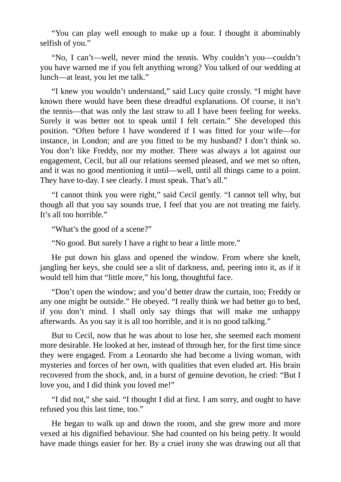"You can play well enough to make up a four. I thought it abominably selfish of you."

"No, I can't—well, never mind the tennis. Why couldn't you—couldn't you have warned me if you felt anything wrong? You talked of our wedding at lunch—at least, you let me talk."

"I knew you wouldn't understand," said Lucy quite crossly. "I might have known there would have been these dreadful explanations. Of course, it isn't the tennis—that was only the last straw to all I have been feeling for weeks. Surely it was better not to speak until I felt certain." She developed this position. "Often before I have wondered if I was fitted for your wife—for instance, in London; and are you fitted to be my husband? I don't think so. You don't like Freddy, nor my mother. There was always a lot against our engagement, Cecil, but all our relations seemed pleased, and we met so often, and it was no good mentioning it until—well, until all things came to a point. They have to-day. I see clearly. I must speak. That's all."

"I cannot think you were right," said Cecil gently. "I cannot tell why, but though all that you say sounds true, I feel that you are not treating me fairly. It's all too horrible."

"What's the good of a scene?"

"No good. But surely I have a right to hear a little more."

He put down his glass and opened the window. From where she knelt, jangling her keys, she could see a slit of darkness, and, peering into it, as if it would tell him that "little more," his long, thoughtful face.

"Don't open the window; and you'd better draw the curtain, too; Freddy or any one might be outside." He obeyed. "I really think we had better go to bed, if you don't mind. I shall only say things that will make me unhappy afterwards. As you say it is all too horrible, and it is no good talking."

But to Cecil, now that he was about to lose her, she seemed each moment more desirable. He looked at her, instead of through her, for the first time since they were engaged. From a Leonardo she had become a living woman, with mysteries and forces of her own, with qualities that even eluded art. His brain recovered from the shock, and, in a burst of genuine devotion, he cried: "But I love you, and I did think you loved me!"

"I did not," she said. "I thought I did at first. I am sorry, and ought to have refused you this last time, too."

He began to walk up and down the room, and she grew more and more vexed at his dignified behaviour. She had counted on his being petty. It would have made things easier for her. By a cruel irony she was drawing out all that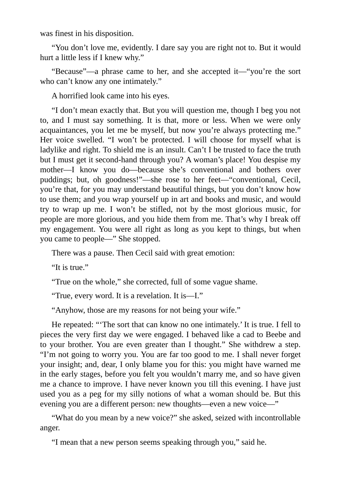was finest in his disposition.

"You don't love me, evidently. I dare say you are right not to. But it would hurt a little less if I knew why."

"Because"—a phrase came to her, and she accepted it—"you're the sort who can't know any one intimately."

A horrified look came into his eyes.

"I don't mean exactly that. But you will question me, though I beg you not to, and I must say something. It is that, more or less. When we were only acquaintances, you let me be myself, but now you're always protecting me." Her voice swelled. "I won't be protected. I will choose for myself what is ladylike and right. To shield me is an insult. Can't I be trusted to face the truth but I must get it second-hand through you? A woman's place! You despise my mother—I know you do—because she's conventional and bothers over puddings; but, oh goodness!"—she rose to her feet—"conventional, Cecil, you're that, for you may understand beautiful things, but you don't know how to use them; and you wrap yourself up in art and books and music, and would try to wrap up me. I won't be stifled, not by the most glorious music, for people are more glorious, and you hide them from me. That's why I break off my engagement. You were all right as long as you kept to things, but when you came to people—" She stopped.

There was a pause. Then Cecil said with great emotion:

"It is true."

"True on the whole," she corrected, full of some vague shame.

"True, every word. It is a revelation. It is—I."

"Anyhow, those are my reasons for not being your wife."

He repeated: "'The sort that can know no one intimately.' It is true. I fell to pieces the very first day we were engaged. I behaved like a cad to Beebe and to your brother. You are even greater than I thought." She withdrew a step. "I'm not going to worry you. You are far too good to me. I shall never forget your insight; and, dear, I only blame you for this: you might have warned me in the early stages, before you felt you wouldn't marry me, and so have given me a chance to improve. I have never known you till this evening. I have just used you as a peg for my silly notions of what a woman should be. But this evening you are a different person: new thoughts—even a new voice—"

"What do you mean by a new voice?" she asked, seized with incontrollable anger.

"I mean that a new person seems speaking through you," said he.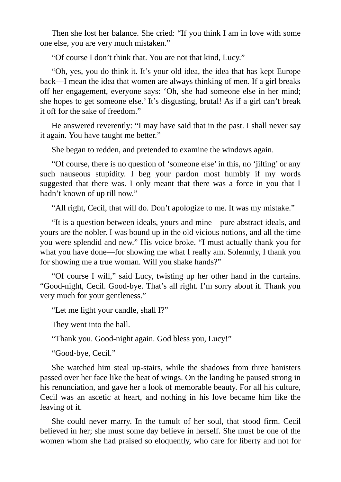Then she lost her balance. She cried: "If you think I am in love with some one else, you are very much mistaken."

"Of course I don't think that. You are not that kind, Lucy."

"Oh, yes, you do think it. It's your old idea, the idea that has kept Europe back—I mean the idea that women are always thinking of men. If a girl breaks off her engagement, everyone says: 'Oh, she had someone else in her mind; she hopes to get someone else.' It's disgusting, brutal! As if a girl can't break it off for the sake of freedom."

He answered reverently: "I may have said that in the past. I shall never say it again. You have taught me better."

She began to redden, and pretended to examine the windows again.

"Of course, there is no question of 'someone else' in this, no 'jilting' or any such nauseous stupidity. I beg your pardon most humbly if my words suggested that there was. I only meant that there was a force in you that I hadn't known of up till now."

"All right, Cecil, that will do. Don't apologize to me. It was my mistake."

"It is a question between ideals, yours and mine—pure abstract ideals, and yours are the nobler. I was bound up in the old vicious notions, and all the time you were splendid and new." His voice broke. "I must actually thank you for what you have done—for showing me what I really am. Solemnly, I thank you for showing me a true woman. Will you shake hands?"

"Of course I will," said Lucy, twisting up her other hand in the curtains. "Good-night, Cecil. Good-bye. That's all right. I'm sorry about it. Thank you very much for your gentleness."

"Let me light your candle, shall I?"

They went into the hall.

"Thank you. Good-night again. God bless you, Lucy!"

"Good-bye, Cecil."

She watched him steal up-stairs, while the shadows from three banisters passed over her face like the beat of wings. On the landing he paused strong in his renunciation, and gave her a look of memorable beauty. For all his culture, Cecil was an ascetic at heart, and nothing in his love became him like the leaving of it.

She could never marry. In the tumult of her soul, that stood firm. Cecil believed in her; she must some day believe in herself. She must be one of the women whom she had praised so eloquently, who care for liberty and not for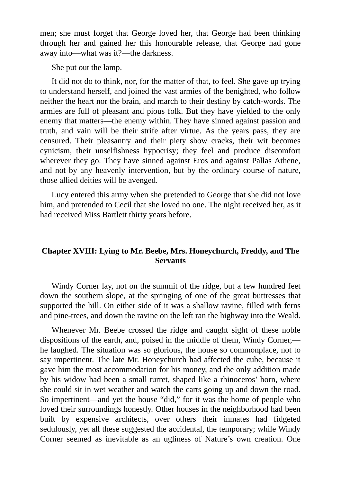men; she must forget that George loved her, that George had been thinking through her and gained her this honourable release, that George had gone away into—what was it?—the darkness.

She put out the lamp.

It did not do to think, nor, for the matter of that, to feel. She gave up trying to understand herself, and joined the vast armies of the benighted, who follow neither the heart nor the brain, and march to their destiny by catch-words. The armies are full of pleasant and pious folk. But they have yielded to the only enemy that matters—the enemy within. They have sinned against passion and truth, and vain will be their strife after virtue. As the years pass, they are censured. Their pleasantry and their piety show cracks, their wit becomes cynicism, their unselfishness hypocrisy; they feel and produce discomfort wherever they go. They have sinned against Eros and against Pallas Athene, and not by any heavenly intervention, but by the ordinary course of nature, those allied deities will be avenged.

Lucy entered this army when she pretended to George that she did not love him, and pretended to Cecil that she loved no one. The night received her, as it had received Miss Bartlett thirty years before.

## **Chapter XVIII: Lying to Mr. Beebe, Mrs. Honeychurch, Freddy, and The Servants**

Windy Corner lay, not on the summit of the ridge, but a few hundred feet down the southern slope, at the springing of one of the great buttresses that supported the hill. On either side of it was a shallow ravine, filled with ferns and pine-trees, and down the ravine on the left ran the highway into the Weald.

Whenever Mr. Beebe crossed the ridge and caught sight of these noble dispositions of the earth, and, poised in the middle of them, Windy Corner, he laughed. The situation was so glorious, the house so commonplace, not to say impertinent. The late Mr. Honeychurch had affected the cube, because it gave him the most accommodation for his money, and the only addition made by his widow had been a small turret, shaped like a rhinoceros' horn, where she could sit in wet weather and watch the carts going up and down the road. So impertinent—and yet the house "did," for it was the home of people who loved their surroundings honestly. Other houses in the neighborhood had been built by expensive architects, over others their inmates had fidgeted sedulously, yet all these suggested the accidental, the temporary; while Windy Corner seemed as inevitable as an ugliness of Nature's own creation. One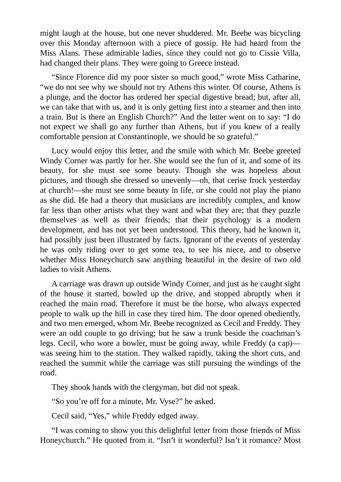might laugh at the house, but one never shuddered. Mr. Beebe was bicycling over this Monday afternoon with a piece of gossip. He had heard from the Miss Alans. These admirable ladies, since they could not go to Cissie Villa, had changed their plans. They were going to Greece instead.

"Since Florence did my poor sister so much good," wrote Miss Catharine, "we do not see why we should not try Athens this winter. Of course, Athens is a plunge, and the doctor has ordered her special digestive bread; but, after all, we can take that with us, and it is only getting first into a steamer and then into a train. But is there an English Church?" And the letter went on to say: "I do not expect we shall go any further than Athens, but if you knew of a really comfortable pension at Constantinople, we should be so grateful."

Lucy would enjoy this letter, and the smile with which Mr. Beebe greeted Windy Corner was partly for her. She would see the fun of it, and some of its beauty, for she must see some beauty. Though she was hopeless about pictures, and though she dressed so unevenly—oh, that cerise frock yesterday at church!—she must see some beauty in life, or she could not play the piano as she did. He had a theory that musicians are incredibly complex, and know far less than other artists what they want and what they are; that they puzzle themselves as well as their friends; that their psychology is a modern development, and has not yet been understood. This theory, had he known it, had possibly just been illustrated by facts. Ignorant of the events of yesterday he was only riding over to get some tea, to see his niece, and to observe whether Miss Honeychurch saw anything beautiful in the desire of two old ladies to visit Athens.

A carriage was drawn up outside Windy Corner, and just as he caught sight of the house it started, bowled up the drive, and stopped abruptly when it reached the main road. Therefore it must be the horse, who always expected people to walk up the hill in case they tired him. The door opened obediently, and two men emerged, whom Mr. Beebe recognized as Cecil and Freddy. They were an odd couple to go driving; but he saw a trunk beside the coachman's legs. Cecil, who wore a bowler, must be going away, while Freddy (a cap) was seeing him to the station. They walked rapidly, taking the short cuts, and reached the summit while the carriage was still pursuing the windings of the road.

They shook hands with the clergyman, but did not speak.

"So you're off for a minute, Mr. Vyse?" he asked.

Cecil said, "Yes," while Freddy edged away.

"I was coming to show you this delightful letter from those friends of Miss Honeychurch." He quoted from it. "Isn't it wonderful? Isn't it romance? Most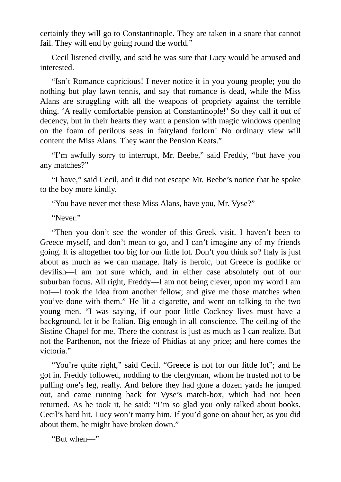certainly they will go to Constantinople. They are taken in a snare that cannot fail. They will end by going round the world."

Cecil listened civilly, and said he was sure that Lucy would be amused and interested.

"Isn't Romance capricious! I never notice it in you young people; you do nothing but play lawn tennis, and say that romance is dead, while the Miss Alans are struggling with all the weapons of propriety against the terrible thing. 'A really comfortable pension at Constantinople!' So they call it out of decency, but in their hearts they want a pension with magic windows opening on the foam of perilous seas in fairyland forlorn! No ordinary view will content the Miss Alans. They want the Pension Keats."

"I'm awfully sorry to interrupt, Mr. Beebe," said Freddy, "but have you any matches?"

"I have," said Cecil, and it did not escape Mr. Beebe's notice that he spoke to the boy more kindly.

"You have never met these Miss Alans, have you, Mr. Vyse?"

"Never."

"Then you don't see the wonder of this Greek visit. I haven't been to Greece myself, and don't mean to go, and I can't imagine any of my friends going. It is altogether too big for our little lot. Don't you think so? Italy is just about as much as we can manage. Italy is heroic, but Greece is godlike or devilish—I am not sure which, and in either case absolutely out of our suburban focus. All right, Freddy—I am not being clever, upon my word I am not—I took the idea from another fellow; and give me those matches when you've done with them." He lit a cigarette, and went on talking to the two young men. "I was saying, if our poor little Cockney lives must have a background, let it be Italian. Big enough in all conscience. The ceiling of the Sistine Chapel for me. There the contrast is just as much as I can realize. But not the Parthenon, not the frieze of Phidias at any price; and here comes the victoria."

"You're quite right," said Cecil. "Greece is not for our little lot"; and he got in. Freddy followed, nodding to the clergyman, whom he trusted not to be pulling one's leg, really. And before they had gone a dozen yards he jumped out, and came running back for Vyse's match-box, which had not been returned. As he took it, he said: "I'm so glad you only talked about books. Cecil's hard hit. Lucy won't marry him. If you'd gone on about her, as you did about them, he might have broken down."

"But when—"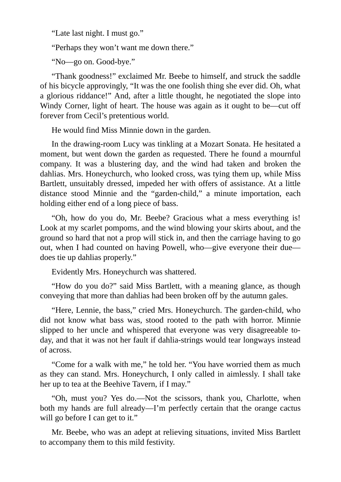"Late last night. I must go."

"Perhaps they won't want me down there."

"No—go on. Good-bye."

"Thank goodness!" exclaimed Mr. Beebe to himself, and struck the saddle of his bicycle approvingly, "It was the one foolish thing she ever did. Oh, what a glorious riddance!" And, after a little thought, he negotiated the slope into Windy Corner, light of heart. The house was again as it ought to be—cut off forever from Cecil's pretentious world.

He would find Miss Minnie down in the garden.

In the drawing-room Lucy was tinkling at a Mozart Sonata. He hesitated a moment, but went down the garden as requested. There he found a mournful company. It was a blustering day, and the wind had taken and broken the dahlias. Mrs. Honeychurch, who looked cross, was tying them up, while Miss Bartlett, unsuitably dressed, impeded her with offers of assistance. At a little distance stood Minnie and the "garden-child," a minute importation, each holding either end of a long piece of bass.

"Oh, how do you do, Mr. Beebe? Gracious what a mess everything is! Look at my scarlet pompoms, and the wind blowing your skirts about, and the ground so hard that not a prop will stick in, and then the carriage having to go out, when I had counted on having Powell, who—give everyone their due does tie up dahlias properly."

Evidently Mrs. Honeychurch was shattered.

"How do you do?" said Miss Bartlett, with a meaning glance, as though conveying that more than dahlias had been broken off by the autumn gales.

"Here, Lennie, the bass," cried Mrs. Honeychurch. The garden-child, who did not know what bass was, stood rooted to the path with horror. Minnie slipped to her uncle and whispered that everyone was very disagreeable today, and that it was not her fault if dahlia-strings would tear longways instead of across.

"Come for a walk with me," he told her. "You have worried them as much as they can stand. Mrs. Honeychurch, I only called in aimlessly. I shall take her up to tea at the Beehive Tavern, if I may."

"Oh, must you? Yes do.—Not the scissors, thank you, Charlotte, when both my hands are full already—I'm perfectly certain that the orange cactus will go before I can get to it."

Mr. Beebe, who was an adept at relieving situations, invited Miss Bartlett to accompany them to this mild festivity.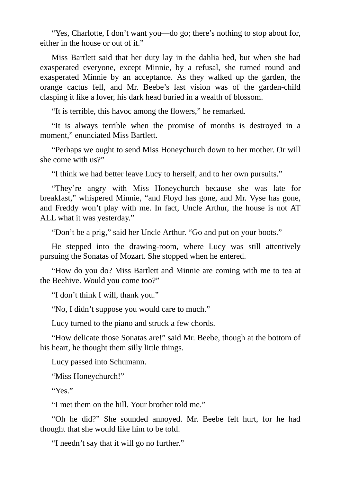"Yes, Charlotte, I don't want you—do go; there's nothing to stop about for, either in the house or out of it."

Miss Bartlett said that her duty lay in the dahlia bed, but when she had exasperated everyone, except Minnie, by a refusal, she turned round and exasperated Minnie by an acceptance. As they walked up the garden, the orange cactus fell, and Mr. Beebe's last vision was of the garden-child clasping it like a lover, his dark head buried in a wealth of blossom.

"It is terrible, this havoc among the flowers," he remarked.

"It is always terrible when the promise of months is destroyed in a moment," enunciated Miss Bartlett.

"Perhaps we ought to send Miss Honeychurch down to her mother. Or will she come with us?"

"I think we had better leave Lucy to herself, and to her own pursuits."

"They're angry with Miss Honeychurch because she was late for breakfast," whispered Minnie, "and Floyd has gone, and Mr. Vyse has gone, and Freddy won't play with me. In fact, Uncle Arthur, the house is not AT ALL what it was yesterday."

"Don't be a prig," said her Uncle Arthur. "Go and put on your boots."

He stepped into the drawing-room, where Lucy was still attentively pursuing the Sonatas of Mozart. She stopped when he entered.

"How do you do? Miss Bartlett and Minnie are coming with me to tea at the Beehive. Would you come too?"

"I don't think I will, thank you."

"No, I didn't suppose you would care to much."

Lucy turned to the piano and struck a few chords.

"How delicate those Sonatas are!" said Mr. Beebe, though at the bottom of his heart, he thought them silly little things.

Lucy passed into Schumann.

"Miss Honeychurch!"

"Yes."

"I met them on the hill. Your brother told me."

"Oh he did?" She sounded annoyed. Mr. Beebe felt hurt, for he had thought that she would like him to be told.

"I needn't say that it will go no further."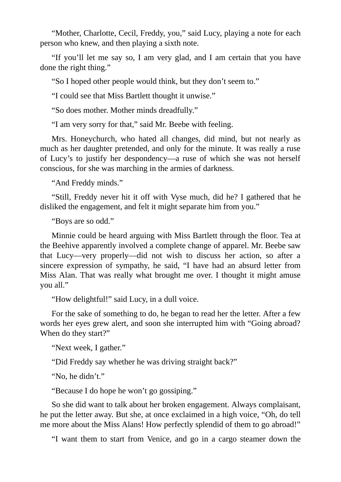"Mother, Charlotte, Cecil, Freddy, you," said Lucy, playing a note for each person who knew, and then playing a sixth note.

"If you'll let me say so, I am very glad, and I am certain that you have done the right thing."

"So I hoped other people would think, but they don't seem to."

"I could see that Miss Bartlett thought it unwise."

"So does mother. Mother minds dreadfully."

"I am very sorry for that," said Mr. Beebe with feeling.

Mrs. Honeychurch, who hated all changes, did mind, but not nearly as much as her daughter pretended, and only for the minute. It was really a ruse of Lucy's to justify her despondency—a ruse of which she was not herself conscious, for she was marching in the armies of darkness.

"And Freddy minds."

"Still, Freddy never hit it off with Vyse much, did he? I gathered that he disliked the engagement, and felt it might separate him from you."

"Boys are so odd."

Minnie could be heard arguing with Miss Bartlett through the floor. Tea at the Beehive apparently involved a complete change of apparel. Mr. Beebe saw that Lucy—very properly—did not wish to discuss her action, so after a sincere expression of sympathy, he said, "I have had an absurd letter from Miss Alan. That was really what brought me over. I thought it might amuse you all."

"How delightful!" said Lucy, in a dull voice.

For the sake of something to do, he began to read her the letter. After a few words her eyes grew alert, and soon she interrupted him with "Going abroad? When do they start?"

"Next week, I gather."

"Did Freddy say whether he was driving straight back?"

"No, he didn't."

"Because I do hope he won't go gossiping."

So she did want to talk about her broken engagement. Always complaisant, he put the letter away. But she, at once exclaimed in a high voice, "Oh, do tell me more about the Miss Alans! How perfectly splendid of them to go abroad!"

"I want them to start from Venice, and go in a cargo steamer down the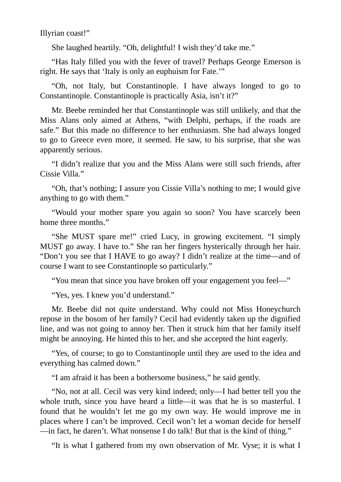Illyrian coast!"

She laughed heartily. "Oh, delightful! I wish they'd take me."

"Has Italy filled you with the fever of travel? Perhaps George Emerson is right. He says that 'Italy is only an euphuism for Fate.'"

"Oh, not Italy, but Constantinople. I have always longed to go to Constantinople. Constantinople is practically Asia, isn't it?"

Mr. Beebe reminded her that Constantinople was still unlikely, and that the Miss Alans only aimed at Athens, "with Delphi, perhaps, if the roads are safe." But this made no difference to her enthusiasm. She had always longed to go to Greece even more, it seemed. He saw, to his surprise, that she was apparently serious.

"I didn't realize that you and the Miss Alans were still such friends, after Cissie Villa."

"Oh, that's nothing; I assure you Cissie Villa's nothing to me; I would give anything to go with them."

"Would your mother spare you again so soon? You have scarcely been home three months."

"She MUST spare me!" cried Lucy, in growing excitement. "I simply MUST go away. I have to." She ran her fingers hysterically through her hair. "Don't you see that I HAVE to go away? I didn't realize at the time—and of course I want to see Constantinople so particularly."

"You mean that since you have broken off your engagement you feel—"

"Yes, yes. I knew you'd understand."

Mr. Beebe did not quite understand. Why could not Miss Honeychurch repose in the bosom of her family? Cecil had evidently taken up the dignified line, and was not going to annoy her. Then it struck him that her family itself might be annoying. He hinted this to her, and she accepted the hint eagerly.

"Yes, of course; to go to Constantinople until they are used to the idea and everything has calmed down."

"I am afraid it has been a bothersome business," he said gently.

"No, not at all. Cecil was very kind indeed; only—I had better tell you the whole truth, since you have heard a little—it was that he is so masterful. I found that he wouldn't let me go my own way. He would improve me in places where I can't be improved. Cecil won't let a woman decide for herself —in fact, he daren't. What nonsense I do talk! But that is the kind of thing."

"It is what I gathered from my own observation of Mr. Vyse; it is what I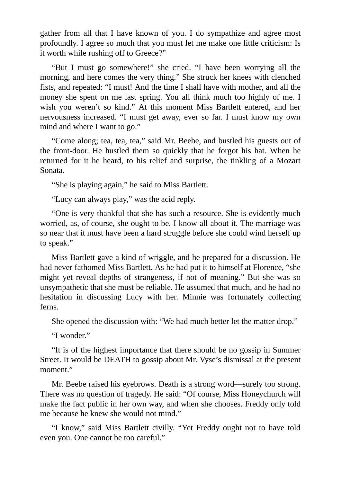gather from all that I have known of you. I do sympathize and agree most profoundly. I agree so much that you must let me make one little criticism: Is it worth while rushing off to Greece?"

"But I must go somewhere!" she cried. "I have been worrying all the morning, and here comes the very thing." She struck her knees with clenched fists, and repeated: "I must! And the time I shall have with mother, and all the money she spent on me last spring. You all think much too highly of me. I wish you weren't so kind." At this moment Miss Bartlett entered, and her nervousness increased. "I must get away, ever so far. I must know my own mind and where I want to go."

"Come along; tea, tea, tea," said Mr. Beebe, and bustled his guests out of the front-door. He hustled them so quickly that he forgot his hat. When he returned for it he heard, to his relief and surprise, the tinkling of a Mozart Sonata.

"She is playing again," he said to Miss Bartlett.

"Lucy can always play," was the acid reply.

"One is very thankful that she has such a resource. She is evidently much worried, as, of course, she ought to be. I know all about it. The marriage was so near that it must have been a hard struggle before she could wind herself up to speak."

Miss Bartlett gave a kind of wriggle, and he prepared for a discussion. He had never fathomed Miss Bartlett. As he had put it to himself at Florence, "she might yet reveal depths of strangeness, if not of meaning." But she was so unsympathetic that she must be reliable. He assumed that much, and he had no hesitation in discussing Lucy with her. Minnie was fortunately collecting ferns.

She opened the discussion with: "We had much better let the matter drop."

"I wonder."

"It is of the highest importance that there should be no gossip in Summer Street. It would be DEATH to gossip about Mr. Vyse's dismissal at the present moment."

Mr. Beebe raised his eyebrows. Death is a strong word—surely too strong. There was no question of tragedy. He said: "Of course, Miss Honeychurch will make the fact public in her own way, and when she chooses. Freddy only told me because he knew she would not mind."

"I know," said Miss Bartlett civilly. "Yet Freddy ought not to have told even you. One cannot be too careful."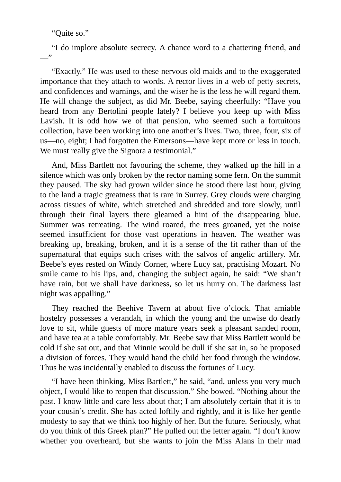"Quite so."

"I do implore absolute secrecy. A chance word to a chattering friend, and  $\overline{\phantom{a}}$ 

"Exactly." He was used to these nervous old maids and to the exaggerated importance that they attach to words. A rector lives in a web of petty secrets, and confidences and warnings, and the wiser he is the less he will regard them. He will change the subject, as did Mr. Beebe, saying cheerfully: "Have you heard from any Bertolini people lately? I believe you keep up with Miss Lavish. It is odd how we of that pension, who seemed such a fortuitous collection, have been working into one another's lives. Two, three, four, six of us—no, eight; I had forgotten the Emersons—have kept more or less in touch. We must really give the Signora a testimonial."

And, Miss Bartlett not favouring the scheme, they walked up the hill in a silence which was only broken by the rector naming some fern. On the summit they paused. The sky had grown wilder since he stood there last hour, giving to the land a tragic greatness that is rare in Surrey. Grey clouds were charging across tissues of white, which stretched and shredded and tore slowly, until through their final layers there gleamed a hint of the disappearing blue. Summer was retreating. The wind roared, the trees groaned, yet the noise seemed insufficient for those vast operations in heaven. The weather was breaking up, breaking, broken, and it is a sense of the fit rather than of the supernatural that equips such crises with the salvos of angelic artillery. Mr. Beebe's eyes rested on Windy Corner, where Lucy sat, practising Mozart. No smile came to his lips, and, changing the subject again, he said: "We shan't have rain, but we shall have darkness, so let us hurry on. The darkness last night was appalling."

They reached the Beehive Tavern at about five o'clock. That amiable hostelry possesses a verandah, in which the young and the unwise do dearly love to sit, while guests of more mature years seek a pleasant sanded room, and have tea at a table comfortably. Mr. Beebe saw that Miss Bartlett would be cold if she sat out, and that Minnie would be dull if she sat in, so he proposed a division of forces. They would hand the child her food through the window. Thus he was incidentally enabled to discuss the fortunes of Lucy.

"I have been thinking, Miss Bartlett," he said, "and, unless you very much object, I would like to reopen that discussion." She bowed. "Nothing about the past. I know little and care less about that; I am absolutely certain that it is to your cousin's credit. She has acted loftily and rightly, and it is like her gentle modesty to say that we think too highly of her. But the future. Seriously, what do you think of this Greek plan?" He pulled out the letter again. "I don't know whether you overheard, but she wants to join the Miss Alans in their mad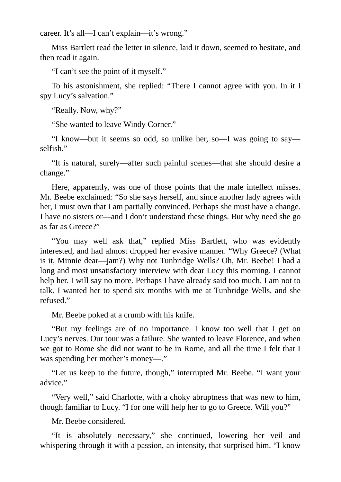career. It's all—I can't explain—it's wrong."

Miss Bartlett read the letter in silence, laid it down, seemed to hesitate, and then read it again.

"I can't see the point of it myself."

To his astonishment, she replied: "There I cannot agree with you. In it I spy Lucy's salvation."

"Really. Now, why?"

"She wanted to leave Windy Corner."

"I know—but it seems so odd, so unlike her, so—I was going to say selfish."

"It is natural, surely—after such painful scenes—that she should desire a change."

Here, apparently, was one of those points that the male intellect misses. Mr. Beebe exclaimed: "So she says herself, and since another lady agrees with her, I must own that I am partially convinced. Perhaps she must have a change. I have no sisters or—and I don't understand these things. But why need she go as far as Greece?"

"You may well ask that," replied Miss Bartlett, who was evidently interested, and had almost dropped her evasive manner. "Why Greece? (What is it, Minnie dear—jam?) Why not Tunbridge Wells? Oh, Mr. Beebe! I had a long and most unsatisfactory interview with dear Lucy this morning. I cannot help her. I will say no more. Perhaps I have already said too much. I am not to talk. I wanted her to spend six months with me at Tunbridge Wells, and she refused."

Mr. Beebe poked at a crumb with his knife.

"But my feelings are of no importance. I know too well that I get on Lucy's nerves. Our tour was a failure. She wanted to leave Florence, and when we got to Rome she did not want to be in Rome, and all the time I felt that I was spending her mother's money—."

"Let us keep to the future, though," interrupted Mr. Beebe. "I want your advice."

"Very well," said Charlotte, with a choky abruptness that was new to him, though familiar to Lucy. "I for one will help her to go to Greece. Will you?"

Mr. Beebe considered.

"It is absolutely necessary," she continued, lowering her veil and whispering through it with a passion, an intensity, that surprised him. "I know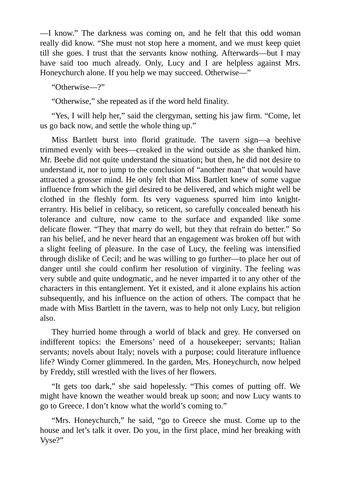—I know." The darkness was coming on, and he felt that this odd woman really did know. "She must not stop here a moment, and we must keep quiet till she goes. I trust that the servants know nothing. Afterwards—but I may have said too much already. Only, Lucy and I are helpless against Mrs. Honeychurch alone. If you help we may succeed. Otherwise—"

"Otherwise—?"

"Otherwise," she repeated as if the word held finality.

"Yes, I will help her," said the clergyman, setting his jaw firm. "Come, let us go back now, and settle the whole thing up."

Miss Bartlett burst into florid gratitude. The tavern sign—a beehive trimmed evenly with bees—creaked in the wind outside as she thanked him. Mr. Beebe did not quite understand the situation; but then, he did not desire to understand it, nor to jump to the conclusion of "another man" that would have attracted a grosser mind. He only felt that Miss Bartlett knew of some vague influence from which the girl desired to be delivered, and which might well be clothed in the fleshly form. Its very vagueness spurred him into knighterrantry. His belief in celibacy, so reticent, so carefully concealed beneath his tolerance and culture, now came to the surface and expanded like some delicate flower. "They that marry do well, but they that refrain do better." So ran his belief, and he never heard that an engagement was broken off but with a slight feeling of pleasure. In the case of Lucy, the feeling was intensified through dislike of Cecil; and he was willing to go further—to place her out of danger until she could confirm her resolution of virginity. The feeling was very subtle and quite undogmatic, and he never imparted it to any other of the characters in this entanglement. Yet it existed, and it alone explains his action subsequently, and his influence on the action of others. The compact that he made with Miss Bartlett in the tavern, was to help not only Lucy, but religion also.

They hurried home through a world of black and grey. He conversed on indifferent topics: the Emersons' need of a housekeeper; servants; Italian servants; novels about Italy; novels with a purpose; could literature influence life? Windy Corner glimmered. In the garden, Mrs. Honeychurch, now helped by Freddy, still wrestled with the lives of her flowers.

"It gets too dark," she said hopelessly. "This comes of putting off. We might have known the weather would break up soon; and now Lucy wants to go to Greece. I don't know what the world's coming to."

"Mrs. Honeychurch," he said, "go to Greece she must. Come up to the house and let's talk it over. Do you, in the first place, mind her breaking with Vyse?"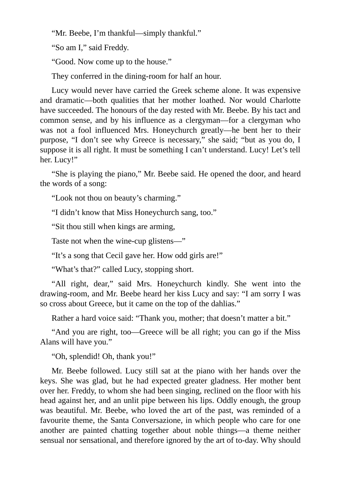"Mr. Beebe, I'm thankful—simply thankful."

"So am I," said Freddy.

"Good. Now come up to the house."

They conferred in the dining-room for half an hour.

Lucy would never have carried the Greek scheme alone. It was expensive and dramatic—both qualities that her mother loathed. Nor would Charlotte have succeeded. The honours of the day rested with Mr. Beebe. By his tact and common sense, and by his influence as a clergyman—for a clergyman who was not a fool influenced Mrs. Honeychurch greatly—he bent her to their purpose, "I don't see why Greece is necessary," she said; "but as you do, I suppose it is all right. It must be something I can't understand. Lucy! Let's tell her. Lucy!"

"She is playing the piano," Mr. Beebe said. He opened the door, and heard the words of a song:

"Look not thou on beauty's charming."

"I didn't know that Miss Honeychurch sang, too."

"Sit thou still when kings are arming,

Taste not when the wine-cup glistens—"

"It's a song that Cecil gave her. How odd girls are!"

"What's that?" called Lucy, stopping short.

"All right, dear," said Mrs. Honeychurch kindly. She went into the drawing-room, and Mr. Beebe heard her kiss Lucy and say: "I am sorry I was so cross about Greece, but it came on the top of the dahlias."

Rather a hard voice said: "Thank you, mother; that doesn't matter a bit."

"And you are right, too—Greece will be all right; you can go if the Miss Alans will have you."

"Oh, splendid! Oh, thank you!"

Mr. Beebe followed. Lucy still sat at the piano with her hands over the keys. She was glad, but he had expected greater gladness. Her mother bent over her. Freddy, to whom she had been singing, reclined on the floor with his head against her, and an unlit pipe between his lips. Oddly enough, the group was beautiful. Mr. Beebe, who loved the art of the past, was reminded of a favourite theme, the Santa Conversazione, in which people who care for one another are painted chatting together about noble things—a theme neither sensual nor sensational, and therefore ignored by the art of to-day. Why should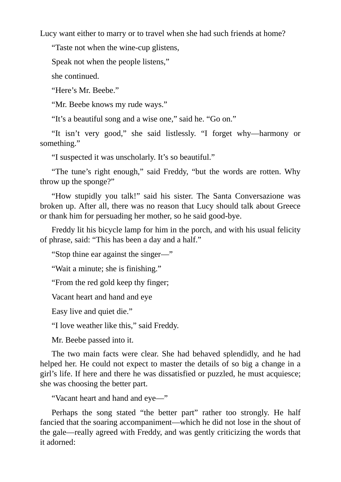Lucy want either to marry or to travel when she had such friends at home?

"Taste not when the wine-cup glistens,

Speak not when the people listens,"

she continued.

"Here's Mr. Beebe."

"Mr. Beebe knows my rude ways."

"It's a beautiful song and a wise one," said he. "Go on."

"It isn't very good," she said listlessly. "I forget why—harmony or something."

"I suspected it was unscholarly. It's so beautiful."

"The tune's right enough," said Freddy, "but the words are rotten. Why throw up the sponge?"

"How stupidly you talk!" said his sister. The Santa Conversazione was broken up. After all, there was no reason that Lucy should talk about Greece or thank him for persuading her mother, so he said good-bye.

Freddy lit his bicycle lamp for him in the porch, and with his usual felicity of phrase, said: "This has been a day and a half."

"Stop thine ear against the singer—"

"Wait a minute; she is finishing."

"From the red gold keep thy finger;

Vacant heart and hand and eye

Easy live and quiet die."

"I love weather like this," said Freddy.

Mr. Beebe passed into it.

The two main facts were clear. She had behaved splendidly, and he had helped her. He could not expect to master the details of so big a change in a girl's life. If here and there he was dissatisfied or puzzled, he must acquiesce; she was choosing the better part.

"Vacant heart and hand and eye—"

Perhaps the song stated "the better part" rather too strongly. He half fancied that the soaring accompaniment—which he did not lose in the shout of the gale—really agreed with Freddy, and was gently criticizing the words that it adorned: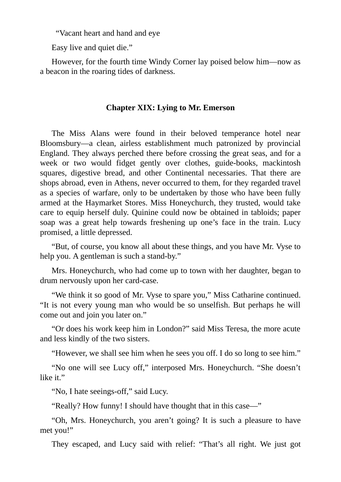"Vacant heart and hand and eye

Easy live and quiet die."

However, for the fourth time Windy Corner lay poised below him—now as a beacon in the roaring tides of darkness.

## **Chapter XIX: Lying to Mr. Emerson**

The Miss Alans were found in their beloved temperance hotel near Bloomsbury—a clean, airless establishment much patronized by provincial England. They always perched there before crossing the great seas, and for a week or two would fidget gently over clothes, guide-books, mackintosh squares, digestive bread, and other Continental necessaries. That there are shops abroad, even in Athens, never occurred to them, for they regarded travel as a species of warfare, only to be undertaken by those who have been fully armed at the Haymarket Stores. Miss Honeychurch, they trusted, would take care to equip herself duly. Quinine could now be obtained in tabloids; paper soap was a great help towards freshening up one's face in the train. Lucy promised, a little depressed.

"But, of course, you know all about these things, and you have Mr. Vyse to help you. A gentleman is such a stand-by."

Mrs. Honeychurch, who had come up to town with her daughter, began to drum nervously upon her card-case.

"We think it so good of Mr. Vyse to spare you," Miss Catharine continued. "It is not every young man who would be so unselfish. But perhaps he will come out and join you later on."

"Or does his work keep him in London?" said Miss Teresa, the more acute and less kindly of the two sisters.

"However, we shall see him when he sees you off. I do so long to see him."

"No one will see Lucy off," interposed Mrs. Honeychurch. "She doesn't like it."

"No, I hate seeings-off," said Lucy.

"Really? How funny! I should have thought that in this case—"

"Oh, Mrs. Honeychurch, you aren't going? It is such a pleasure to have met you!"

They escaped, and Lucy said with relief: "That's all right. We just got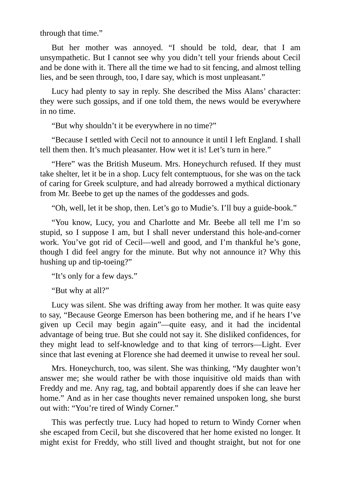through that time."

But her mother was annoyed. "I should be told, dear, that I am unsympathetic. But I cannot see why you didn't tell your friends about Cecil and be done with it. There all the time we had to sit fencing, and almost telling lies, and be seen through, too, I dare say, which is most unpleasant."

Lucy had plenty to say in reply. She described the Miss Alans' character: they were such gossips, and if one told them, the news would be everywhere in no time.

"But why shouldn't it be everywhere in no time?"

"Because I settled with Cecil not to announce it until I left England. I shall tell them then. It's much pleasanter. How wet it is! Let's turn in here."

"Here" was the British Museum. Mrs. Honeychurch refused. If they must take shelter, let it be in a shop. Lucy felt contemptuous, for she was on the tack of caring for Greek sculpture, and had already borrowed a mythical dictionary from Mr. Beebe to get up the names of the goddesses and gods.

"Oh, well, let it be shop, then. Let's go to Mudie's. I'll buy a guide-book."

"You know, Lucy, you and Charlotte and Mr. Beebe all tell me I'm so stupid, so I suppose I am, but I shall never understand this hole-and-corner work. You've got rid of Cecil—well and good, and I'm thankful he's gone, though I did feel angry for the minute. But why not announce it? Why this hushing up and tip-toeing?"

"It's only for a few days."

"But why at all?"

Lucy was silent. She was drifting away from her mother. It was quite easy to say, "Because George Emerson has been bothering me, and if he hears I've given up Cecil may begin again"—quite easy, and it had the incidental advantage of being true. But she could not say it. She disliked confidences, for they might lead to self-knowledge and to that king of terrors—Light. Ever since that last evening at Florence she had deemed it unwise to reveal her soul.

Mrs. Honeychurch, too, was silent. She was thinking, "My daughter won't answer me; she would rather be with those inquisitive old maids than with Freddy and me. Any rag, tag, and bobtail apparently does if she can leave her home." And as in her case thoughts never remained unspoken long, she burst out with: "You're tired of Windy Corner."

This was perfectly true. Lucy had hoped to return to Windy Corner when she escaped from Cecil, but she discovered that her home existed no longer. It might exist for Freddy, who still lived and thought straight, but not for one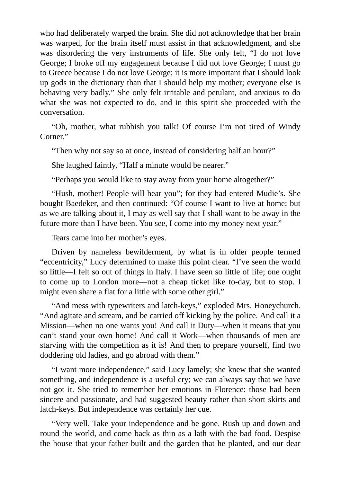who had deliberately warped the brain. She did not acknowledge that her brain was warped, for the brain itself must assist in that acknowledgment, and she was disordering the very instruments of life. She only felt, "I do not love George; I broke off my engagement because I did not love George; I must go to Greece because I do not love George; it is more important that I should look up gods in the dictionary than that I should help my mother; everyone else is behaving very badly." She only felt irritable and petulant, and anxious to do what she was not expected to do, and in this spirit she proceeded with the conversation.

"Oh, mother, what rubbish you talk! Of course I'm not tired of Windy Corner."

"Then why not say so at once, instead of considering half an hour?"

She laughed faintly, "Half a minute would be nearer."

"Perhaps you would like to stay away from your home altogether?"

"Hush, mother! People will hear you"; for they had entered Mudie's. She bought Baedeker, and then continued: "Of course I want to live at home; but as we are talking about it, I may as well say that I shall want to be away in the future more than I have been. You see, I come into my money next year."

Tears came into her mother's eyes.

Driven by nameless bewilderment, by what is in older people termed "eccentricity," Lucy determined to make this point clear. "I've seen the world so little—I felt so out of things in Italy. I have seen so little of life; one ought to come up to London more—not a cheap ticket like to-day, but to stop. I might even share a flat for a little with some other girl."

"And mess with typewriters and latch-keys," exploded Mrs. Honeychurch. "And agitate and scream, and be carried off kicking by the police. And call it a Mission—when no one wants you! And call it Duty—when it means that you can't stand your own home! And call it Work—when thousands of men are starving with the competition as it is! And then to prepare yourself, find two doddering old ladies, and go abroad with them."

"I want more independence," said Lucy lamely; she knew that she wanted something, and independence is a useful cry; we can always say that we have not got it. She tried to remember her emotions in Florence: those had been sincere and passionate, and had suggested beauty rather than short skirts and latch-keys. But independence was certainly her cue.

"Very well. Take your independence and be gone. Rush up and down and round the world, and come back as thin as a lath with the bad food. Despise the house that your father built and the garden that he planted, and our dear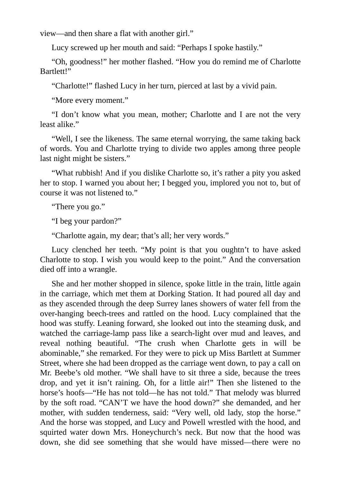view—and then share a flat with another girl."

Lucy screwed up her mouth and said: "Perhaps I spoke hastily."

"Oh, goodness!" her mother flashed. "How you do remind me of Charlotte Bartlett!"

"Charlotte!" flashed Lucy in her turn, pierced at last by a vivid pain.

"More every moment."

"I don't know what you mean, mother; Charlotte and I are not the very least alike."

"Well, I see the likeness. The same eternal worrying, the same taking back of words. You and Charlotte trying to divide two apples among three people last night might be sisters."

"What rubbish! And if you dislike Charlotte so, it's rather a pity you asked her to stop. I warned you about her; I begged you, implored you not to, but of course it was not listened to."

"There you go."

"I beg your pardon?"

"Charlotte again, my dear; that's all; her very words."

Lucy clenched her teeth. "My point is that you oughtn't to have asked Charlotte to stop. I wish you would keep to the point." And the conversation died off into a wrangle.

She and her mother shopped in silence, spoke little in the train, little again in the carriage, which met them at Dorking Station. It had poured all day and as they ascended through the deep Surrey lanes showers of water fell from the over-hanging beech-trees and rattled on the hood. Lucy complained that the hood was stuffy. Leaning forward, she looked out into the steaming dusk, and watched the carriage-lamp pass like a search-light over mud and leaves, and reveal nothing beautiful. "The crush when Charlotte gets in will be abominable," she remarked. For they were to pick up Miss Bartlett at Summer Street, where she had been dropped as the carriage went down, to pay a call on Mr. Beebe's old mother. "We shall have to sit three a side, because the trees drop, and yet it isn't raining. Oh, for a little air!" Then she listened to the horse's hoofs—"He has not told—he has not told." That melody was blurred by the soft road. "CAN'T we have the hood down?" she demanded, and her mother, with sudden tenderness, said: "Very well, old lady, stop the horse." And the horse was stopped, and Lucy and Powell wrestled with the hood, and squirted water down Mrs. Honeychurch's neck. But now that the hood was down, she did see something that she would have missed—there were no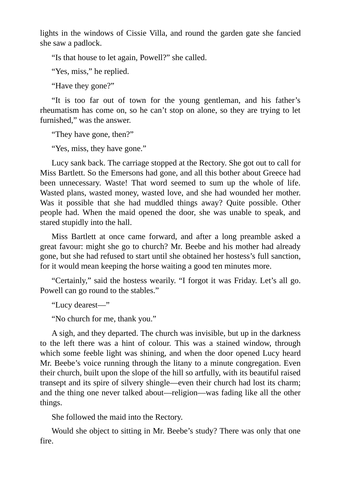lights in the windows of Cissie Villa, and round the garden gate she fancied she saw a padlock.

"Is that house to let again, Powell?" she called.

"Yes, miss," he replied.

"Have they gone?"

"It is too far out of town for the young gentleman, and his father's rheumatism has come on, so he can't stop on alone, so they are trying to let furnished," was the answer.

"They have gone, then?"

"Yes, miss, they have gone."

Lucy sank back. The carriage stopped at the Rectory. She got out to call for Miss Bartlett. So the Emersons had gone, and all this bother about Greece had been unnecessary. Waste! That word seemed to sum up the whole of life. Wasted plans, wasted money, wasted love, and she had wounded her mother. Was it possible that she had muddled things away? Quite possible. Other people had. When the maid opened the door, she was unable to speak, and stared stupidly into the hall.

Miss Bartlett at once came forward, and after a long preamble asked a great favour: might she go to church? Mr. Beebe and his mother had already gone, but she had refused to start until she obtained her hostess's full sanction, for it would mean keeping the horse waiting a good ten minutes more.

"Certainly," said the hostess wearily. "I forgot it was Friday. Let's all go. Powell can go round to the stables."

"Lucy dearest—"

"No church for me, thank you."

A sigh, and they departed. The church was invisible, but up in the darkness to the left there was a hint of colour. This was a stained window, through which some feeble light was shining, and when the door opened Lucy heard Mr. Beebe's voice running through the litany to a minute congregation. Even their church, built upon the slope of the hill so artfully, with its beautiful raised transept and its spire of silvery shingle—even their church had lost its charm; and the thing one never talked about—religion—was fading like all the other things.

She followed the maid into the Rectory.

Would she object to sitting in Mr. Beebe's study? There was only that one fire.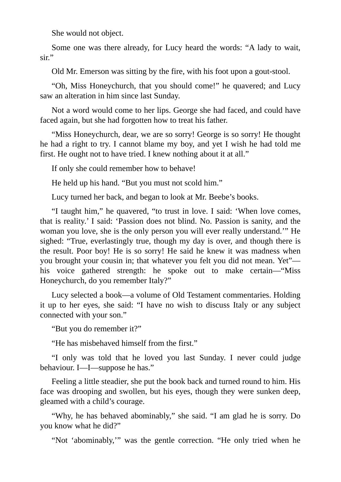She would not object.

Some one was there already, for Lucy heard the words: "A lady to wait, sir."

Old Mr. Emerson was sitting by the fire, with his foot upon a gout-stool.

"Oh, Miss Honeychurch, that you should come!" he quavered; and Lucy saw an alteration in him since last Sunday.

Not a word would come to her lips. George she had faced, and could have faced again, but she had forgotten how to treat his father.

"Miss Honeychurch, dear, we are so sorry! George is so sorry! He thought he had a right to try. I cannot blame my boy, and yet I wish he had told me first. He ought not to have tried. I knew nothing about it at all."

If only she could remember how to behave!

He held up his hand. "But you must not scold him."

Lucy turned her back, and began to look at Mr. Beebe's books.

"I taught him," he quavered, "to trust in love. I said: 'When love comes, that is reality.' I said: 'Passion does not blind. No. Passion is sanity, and the woman you love, she is the only person you will ever really understand.'" He sighed: "True, everlastingly true, though my day is over, and though there is the result. Poor boy! He is so sorry! He said he knew it was madness when you brought your cousin in; that whatever you felt you did not mean. Yet" his voice gathered strength: he spoke out to make certain—"Miss Honeychurch, do you remember Italy?"

Lucy selected a book—a volume of Old Testament commentaries. Holding it up to her eyes, she said: "I have no wish to discuss Italy or any subject connected with your son."

"But you do remember it?"

"He has misbehaved himself from the first."

"I only was told that he loved you last Sunday. I never could judge behaviour. I—I—suppose he has."

Feeling a little steadier, she put the book back and turned round to him. His face was drooping and swollen, but his eyes, though they were sunken deep, gleamed with a child's courage.

"Why, he has behaved abominably," she said. "I am glad he is sorry. Do you know what he did?"

"Not 'abominably,'" was the gentle correction. "He only tried when he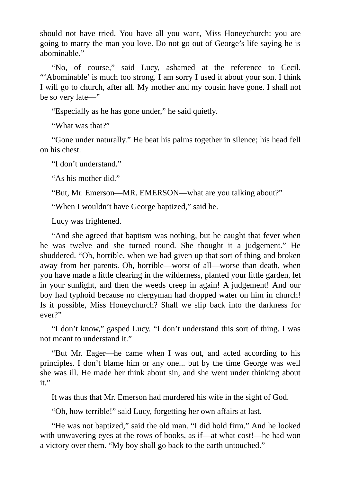should not have tried. You have all you want, Miss Honeychurch: you are going to marry the man you love. Do not go out of George's life saying he is abominable."

"No, of course," said Lucy, ashamed at the reference to Cecil. "'Abominable' is much too strong. I am sorry I used it about your son. I think I will go to church, after all. My mother and my cousin have gone. I shall not be so very late—"

"Especially as he has gone under," he said quietly.

"What was that?"

"Gone under naturally." He beat his palms together in silence; his head fell on his chest.

"I don't understand."

"As his mother did."

"But, Mr. Emerson—MR. EMERSON—what are you talking about?"

"When I wouldn't have George baptized," said he.

Lucy was frightened.

"And she agreed that baptism was nothing, but he caught that fever when he was twelve and she turned round. She thought it a judgement." He shuddered. "Oh, horrible, when we had given up that sort of thing and broken away from her parents. Oh, horrible—worst of all—worse than death, when you have made a little clearing in the wilderness, planted your little garden, let in your sunlight, and then the weeds creep in again! A judgement! And our boy had typhoid because no clergyman had dropped water on him in church! Is it possible, Miss Honeychurch? Shall we slip back into the darkness for ever?"

"I don't know," gasped Lucy. "I don't understand this sort of thing. I was not meant to understand it."

"But Mr. Eager—he came when I was out, and acted according to his principles. I don't blame him or any one... but by the time George was well she was ill. He made her think about sin, and she went under thinking about it."

It was thus that Mr. Emerson had murdered his wife in the sight of God.

"Oh, how terrible!" said Lucy, forgetting her own affairs at last.

"He was not baptized," said the old man. "I did hold firm." And he looked with unwavering eyes at the rows of books, as if—at what cost!—he had won a victory over them. "My boy shall go back to the earth untouched."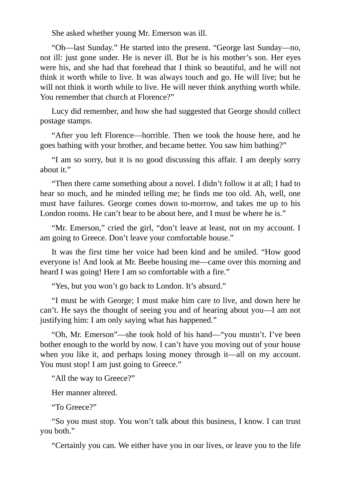She asked whether young Mr. Emerson was ill.

"Oh—last Sunday." He started into the present. "George last Sunday—no, not ill: just gone under. He is never ill. But he is his mother's son. Her eyes were his, and she had that forehead that I think so beautiful, and he will not think it worth while to live. It was always touch and go. He will live; but he will not think it worth while to live. He will never think anything worth while. You remember that church at Florence?"

Lucy did remember, and how she had suggested that George should collect postage stamps.

"After you left Florence—horrible. Then we took the house here, and he goes bathing with your brother, and became better. You saw him bathing?"

"I am so sorry, but it is no good discussing this affair. I am deeply sorry about it."

"Then there came something about a novel. I didn't follow it at all; I had to hear so much, and he minded telling me; he finds me too old. Ah, well, one must have failures. George comes down to-morrow, and takes me up to his London rooms. He can't bear to be about here, and I must be where he is."

"Mr. Emerson," cried the girl, "don't leave at least, not on my account. I am going to Greece. Don't leave your comfortable house."

It was the first time her voice had been kind and he smiled. "How good everyone is! And look at Mr. Beebe housing me—came over this morning and heard I was going! Here I am so comfortable with a fire."

"Yes, but you won't go back to London. It's absurd."

"I must be with George; I must make him care to live, and down here he can't. He says the thought of seeing you and of hearing about you—I am not justifying him: I am only saying what has happened."

"Oh, Mr. Emerson"—she took hold of his hand—"you mustn't. I've been bother enough to the world by now. I can't have you moving out of your house when you like it, and perhaps losing money through it—all on my account. You must stop! I am just going to Greece."

"All the way to Greece?"

Her manner altered.

"To Greece?"

"So you must stop. You won't talk about this business, I know. I can trust you both."

"Certainly you can. We either have you in our lives, or leave you to the life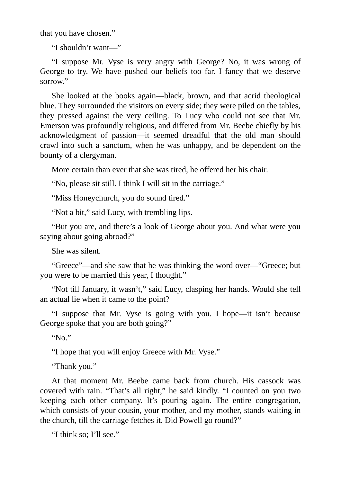that you have chosen."

"I shouldn't want—"

"I suppose Mr. Vyse is very angry with George? No, it was wrong of George to try. We have pushed our beliefs too far. I fancy that we deserve sorrow."

She looked at the books again—black, brown, and that acrid theological blue. They surrounded the visitors on every side; they were piled on the tables, they pressed against the very ceiling. To Lucy who could not see that Mr. Emerson was profoundly religious, and differed from Mr. Beebe chiefly by his acknowledgment of passion—it seemed dreadful that the old man should crawl into such a sanctum, when he was unhappy, and be dependent on the bounty of a clergyman.

More certain than ever that she was tired, he offered her his chair.

"No, please sit still. I think I will sit in the carriage."

"Miss Honeychurch, you do sound tired."

"Not a bit," said Lucy, with trembling lips.

"But you are, and there's a look of George about you. And what were you saying about going abroad?"

She was silent.

"Greece"—and she saw that he was thinking the word over—"Greece; but you were to be married this year, I thought."

"Not till January, it wasn't," said Lucy, clasping her hands. Would she tell an actual lie when it came to the point?

"I suppose that Mr. Vyse is going with you. I hope—it isn't because George spoke that you are both going?"

" $N_0$ "

"I hope that you will enjoy Greece with Mr. Vyse."

"Thank you."

At that moment Mr. Beebe came back from church. His cassock was covered with rain. "That's all right," he said kindly. "I counted on you two keeping each other company. It's pouring again. The entire congregation, which consists of your cousin, your mother, and my mother, stands waiting in the church, till the carriage fetches it. Did Powell go round?"

"I think so; I'll see."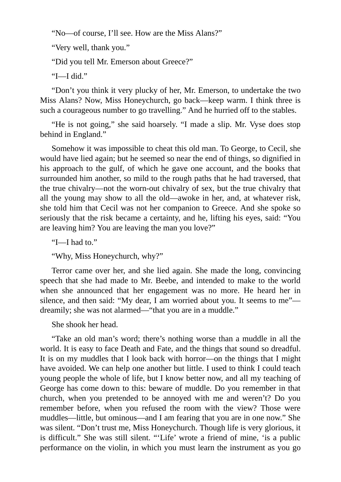"No—of course, I'll see. How are the Miss Alans?"

"Very well, thank you."

"Did you tell Mr. Emerson about Greece?"

"I—I did."

"Don't you think it very plucky of her, Mr. Emerson, to undertake the two Miss Alans? Now, Miss Honeychurch, go back—keep warm. I think three is such a courageous number to go travelling." And he hurried off to the stables.

"He is not going," she said hoarsely. "I made a slip. Mr. Vyse does stop behind in England."

Somehow it was impossible to cheat this old man. To George, to Cecil, she would have lied again; but he seemed so near the end of things, so dignified in his approach to the gulf, of which he gave one account, and the books that surrounded him another, so mild to the rough paths that he had traversed, that the true chivalry—not the worn-out chivalry of sex, but the true chivalry that all the young may show to all the old—awoke in her, and, at whatever risk, she told him that Cecil was not her companion to Greece. And she spoke so seriously that the risk became a certainty, and he, lifting his eyes, said: "You are leaving him? You are leaving the man you love?"

"I—I had to."

"Why, Miss Honeychurch, why?"

Terror came over her, and she lied again. She made the long, convincing speech that she had made to Mr. Beebe, and intended to make to the world when she announced that her engagement was no more. He heard her in silence, and then said: "My dear, I am worried about you. It seems to me"dreamily; she was not alarmed—"that you are in a muddle."

She shook her head.

"Take an old man's word; there's nothing worse than a muddle in all the world. It is easy to face Death and Fate, and the things that sound so dreadful. It is on my muddles that I look back with horror—on the things that I might have avoided. We can help one another but little. I used to think I could teach young people the whole of life, but I know better now, and all my teaching of George has come down to this: beware of muddle. Do you remember in that church, when you pretended to be annoyed with me and weren't? Do you remember before, when you refused the room with the view? Those were muddles—little, but ominous—and I am fearing that you are in one now." She was silent. "Don't trust me, Miss Honeychurch. Though life is very glorious, it is difficult." She was still silent. "'Life' wrote a friend of mine, 'is a public performance on the violin, in which you must learn the instrument as you go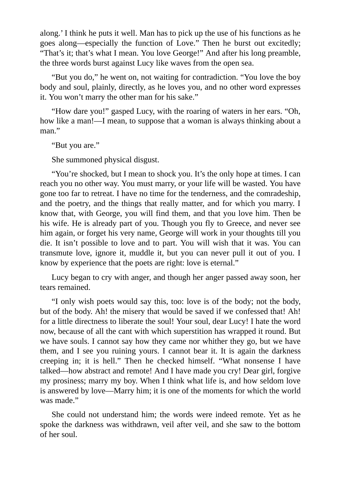along.' I think he puts it well. Man has to pick up the use of his functions as he goes along—especially the function of Love." Then he burst out excitedly; "That's it; that's what I mean. You love George!" And after his long preamble, the three words burst against Lucy like waves from the open sea.

"But you do," he went on, not waiting for contradiction. "You love the boy body and soul, plainly, directly, as he loves you, and no other word expresses it. You won't marry the other man for his sake."

"How dare you!" gasped Lucy, with the roaring of waters in her ears. "Oh, how like a man!—I mean, to suppose that a woman is always thinking about a man."

"But you are."

She summoned physical disgust.

"You're shocked, but I mean to shock you. It's the only hope at times. I can reach you no other way. You must marry, or your life will be wasted. You have gone too far to retreat. I have no time for the tenderness, and the comradeship, and the poetry, and the things that really matter, and for which you marry. I know that, with George, you will find them, and that you love him. Then be his wife. He is already part of you. Though you fly to Greece, and never see him again, or forget his very name, George will work in your thoughts till you die. It isn't possible to love and to part. You will wish that it was. You can transmute love, ignore it, muddle it, but you can never pull it out of you. I know by experience that the poets are right: love is eternal."

Lucy began to cry with anger, and though her anger passed away soon, her tears remained.

"I only wish poets would say this, too: love is of the body; not the body, but of the body. Ah! the misery that would be saved if we confessed that! Ah! for a little directness to liberate the soul! Your soul, dear Lucy! I hate the word now, because of all the cant with which superstition has wrapped it round. But we have souls. I cannot say how they came nor whither they go, but we have them, and I see you ruining yours. I cannot bear it. It is again the darkness creeping in; it is hell." Then he checked himself. "What nonsense I have talked—how abstract and remote! And I have made you cry! Dear girl, forgive my prosiness; marry my boy. When I think what life is, and how seldom love is answered by love—Marry him; it is one of the moments for which the world was made."

She could not understand him; the words were indeed remote. Yet as he spoke the darkness was withdrawn, veil after veil, and she saw to the bottom of her soul.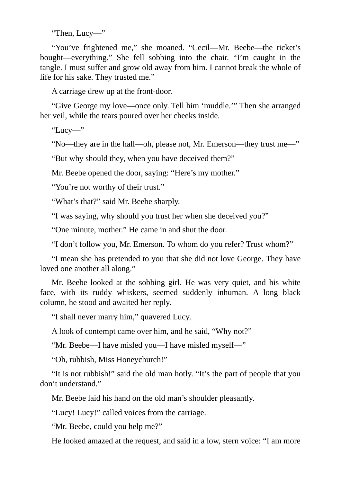"Then, Lucy—"

"You've frightened me," she moaned. "Cecil—Mr. Beebe—the ticket's bought—everything." She fell sobbing into the chair. "I'm caught in the tangle. I must suffer and grow old away from him. I cannot break the whole of life for his sake. They trusted me."

A carriage drew up at the front-door.

"Give George my love—once only. Tell him 'muddle.'" Then she arranged her veil, while the tears poured over her cheeks inside.

"Lucy—"

"No—they are in the hall—oh, please not, Mr. Emerson—they trust me—"

"But why should they, when you have deceived them?"

Mr. Beebe opened the door, saying: "Here's my mother."

"You're not worthy of their trust."

"What's that?" said Mr. Beebe sharply.

"I was saying, why should you trust her when she deceived you?"

"One minute, mother." He came in and shut the door.

"I don't follow you, Mr. Emerson. To whom do you refer? Trust whom?"

"I mean she has pretended to you that she did not love George. They have loved one another all along."

Mr. Beebe looked at the sobbing girl. He was very quiet, and his white face, with its ruddy whiskers, seemed suddenly inhuman. A long black column, he stood and awaited her reply.

"I shall never marry him," quavered Lucy.

A look of contempt came over him, and he said, "Why not?"

"Mr. Beebe—I have misled you—I have misled myself—"

"Oh, rubbish, Miss Honeychurch!"

"It is not rubbish!" said the old man hotly. "It's the part of people that you don't understand."

Mr. Beebe laid his hand on the old man's shoulder pleasantly.

"Lucy! Lucy!" called voices from the carriage.

"Mr. Beebe, could you help me?"

He looked amazed at the request, and said in a low, stern voice: "I am more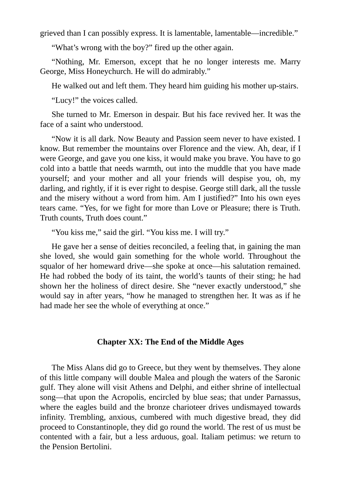grieved than I can possibly express. It is lamentable, lamentable—incredible."

"What's wrong with the boy?" fired up the other again.

"Nothing, Mr. Emerson, except that he no longer interests me. Marry George, Miss Honeychurch. He will do admirably."

He walked out and left them. They heard him guiding his mother up-stairs.

"Lucy!" the voices called.

She turned to Mr. Emerson in despair. But his face revived her. It was the face of a saint who understood.

"Now it is all dark. Now Beauty and Passion seem never to have existed. I know. But remember the mountains over Florence and the view. Ah, dear, if I were George, and gave you one kiss, it would make you brave. You have to go cold into a battle that needs warmth, out into the muddle that you have made yourself; and your mother and all your friends will despise you, oh, my darling, and rightly, if it is ever right to despise. George still dark, all the tussle and the misery without a word from him. Am I justified?" Into his own eyes tears came. "Yes, for we fight for more than Love or Pleasure; there is Truth. Truth counts, Truth does count."

"You kiss me," said the girl. "You kiss me. I will try."

He gave her a sense of deities reconciled, a feeling that, in gaining the man she loved, she would gain something for the whole world. Throughout the squalor of her homeward drive—she spoke at once—his salutation remained. He had robbed the body of its taint, the world's taunts of their sting; he had shown her the holiness of direct desire. She "never exactly understood," she would say in after years, "how he managed to strengthen her. It was as if he had made her see the whole of everything at once."

## **Chapter XX: The End of the Middle Ages**

The Miss Alans did go to Greece, but they went by themselves. They alone of this little company will double Malea and plough the waters of the Saronic gulf. They alone will visit Athens and Delphi, and either shrine of intellectual song—that upon the Acropolis, encircled by blue seas; that under Parnassus, where the eagles build and the bronze charioteer drives undismayed towards infinity. Trembling, anxious, cumbered with much digestive bread, they did proceed to Constantinople, they did go round the world. The rest of us must be contented with a fair, but a less arduous, goal. Italiam petimus: we return to the Pension Bertolini.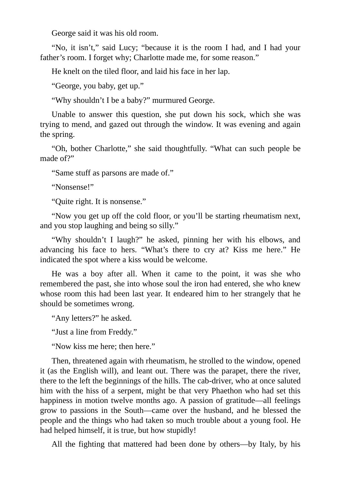George said it was his old room.

"No, it isn't," said Lucy; "because it is the room I had, and I had your father's room. I forget why; Charlotte made me, for some reason."

He knelt on the tiled floor, and laid his face in her lap.

"George, you baby, get up."

"Why shouldn't I be a baby?" murmured George.

Unable to answer this question, she put down his sock, which she was trying to mend, and gazed out through the window. It was evening and again the spring.

"Oh, bother Charlotte," she said thoughtfully. "What can such people be made of?"

"Same stuff as parsons are made of."

"Nonsense!"

"Quite right. It is nonsense."

"Now you get up off the cold floor, or you'll be starting rheumatism next, and you stop laughing and being so silly."

"Why shouldn't I laugh?" he asked, pinning her with his elbows, and advancing his face to hers. "What's there to cry at? Kiss me here." He indicated the spot where a kiss would be welcome.

He was a boy after all. When it came to the point, it was she who remembered the past, she into whose soul the iron had entered, she who knew whose room this had been last year. It endeared him to her strangely that he should be sometimes wrong.

"Any letters?" he asked.

"Just a line from Freddy."

"Now kiss me here; then here."

Then, threatened again with rheumatism, he strolled to the window, opened it (as the English will), and leant out. There was the parapet, there the river, there to the left the beginnings of the hills. The cab-driver, who at once saluted him with the hiss of a serpent, might be that very Phaethon who had set this happiness in motion twelve months ago. A passion of gratitude—all feelings grow to passions in the South—came over the husband, and he blessed the people and the things who had taken so much trouble about a young fool. He had helped himself, it is true, but how stupidly!

All the fighting that mattered had been done by others—by Italy, by his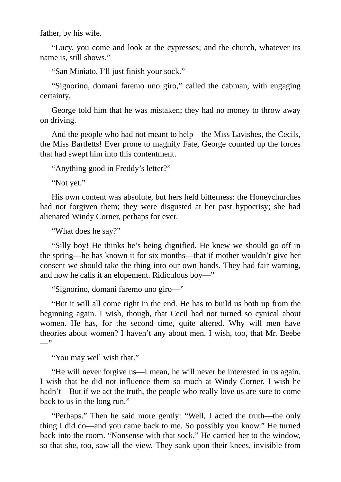father, by his wife.

"Lucy, you come and look at the cypresses; and the church, whatever its name is, still shows."

"San Miniato. I'll just finish your sock."

"Signorino, domani faremo uno giro," called the cabman, with engaging certainty.

George told him that he was mistaken; they had no money to throw away on driving.

And the people who had not meant to help—the Miss Lavishes, the Cecils, the Miss Bartletts! Ever prone to magnify Fate, George counted up the forces that had swept him into this contentment.

"Anything good in Freddy's letter?"

"Not yet."

His own content was absolute, but hers held bitterness: the Honeychurches had not forgiven them; they were disgusted at her past hypocrisy; she had alienated Windy Corner, perhaps for ever.

"What does he say?"

"Silly boy! He thinks he's being dignified. He knew we should go off in the spring—he has known it for six months—that if mother wouldn't give her consent we should take the thing into our own hands. They had fair warning, and now he calls it an elopement. Ridiculous boy—"

"Signorino, domani faremo uno giro—"

"But it will all come right in the end. He has to build us both up from the beginning again. I wish, though, that Cecil had not turned so cynical about women. He has, for the second time, quite altered. Why will men have theories about women? I haven't any about men. I wish, too, that Mr. Beebe  $\overline{\phantom{a}}$ 

"You may well wish that."

"He will never forgive us—I mean, he will never be interested in us again. I wish that he did not influence them so much at Windy Corner. I wish he hadn't—But if we act the truth, the people who really love us are sure to come back to us in the long run."

"Perhaps." Then he said more gently: "Well, I acted the truth—the only thing I did do—and you came back to me. So possibly you know." He turned back into the room. "Nonsense with that sock." He carried her to the window, so that she, too, saw all the view. They sank upon their knees, invisible from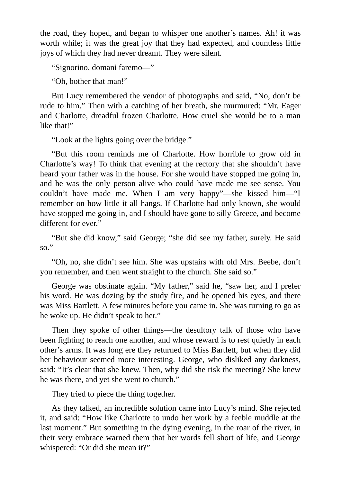the road, they hoped, and began to whisper one another's names. Ah! it was worth while; it was the great joy that they had expected, and countless little joys of which they had never dreamt. They were silent.

"Signorino, domani faremo—"

"Oh, bother that man!"

But Lucy remembered the vendor of photographs and said, "No, don't be rude to him." Then with a catching of her breath, she murmured: "Mr. Eager and Charlotte, dreadful frozen Charlotte. How cruel she would be to a man like that!"

"Look at the lights going over the bridge."

"But this room reminds me of Charlotte. How horrible to grow old in Charlotte's way! To think that evening at the rectory that she shouldn't have heard your father was in the house. For she would have stopped me going in, and he was the only person alive who could have made me see sense. You couldn't have made me. When I am very happy"—she kissed him—"I remember on how little it all hangs. If Charlotte had only known, she would have stopped me going in, and I should have gone to silly Greece, and become different for ever."

"But she did know," said George; "she did see my father, surely. He said so."

"Oh, no, she didn't see him. She was upstairs with old Mrs. Beebe, don't you remember, and then went straight to the church. She said so."

George was obstinate again. "My father," said he, "saw her, and I prefer his word. He was dozing by the study fire, and he opened his eyes, and there was Miss Bartlett. A few minutes before you came in. She was turning to go as he woke up. He didn't speak to her."

Then they spoke of other things—the desultory talk of those who have been fighting to reach one another, and whose reward is to rest quietly in each other's arms. It was long ere they returned to Miss Bartlett, but when they did her behaviour seemed more interesting. George, who disliked any darkness, said: "It's clear that she knew. Then, why did she risk the meeting? She knew he was there, and yet she went to church."

They tried to piece the thing together.

As they talked, an incredible solution came into Lucy's mind. She rejected it, and said: "How like Charlotte to undo her work by a feeble muddle at the last moment." But something in the dying evening, in the roar of the river, in their very embrace warned them that her words fell short of life, and George whispered: "Or did she mean it?"